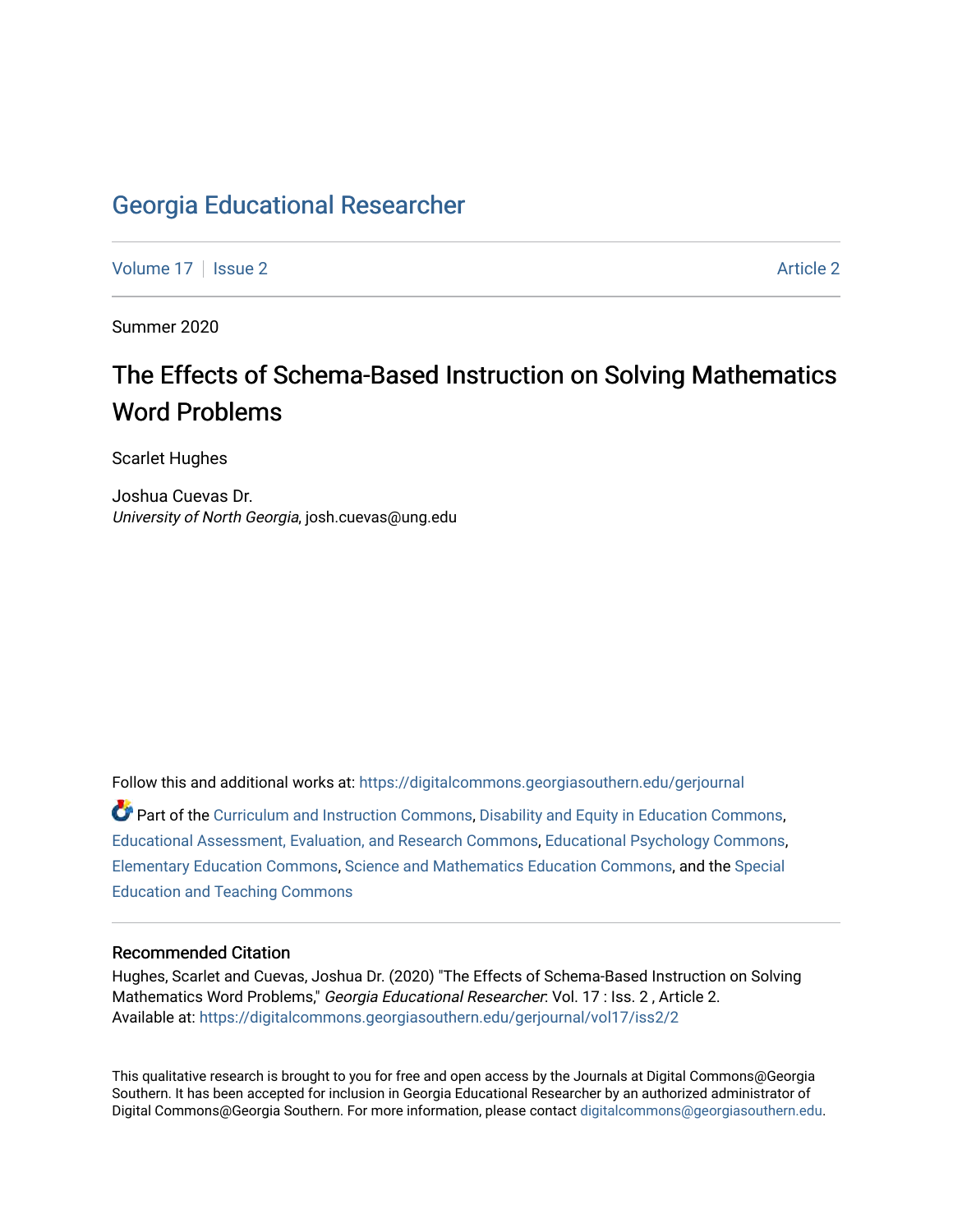# [Georgia Educational Researcher](https://digitalcommons.georgiasouthern.edu/gerjournal)

[Volume 17](https://digitalcommons.georgiasouthern.edu/gerjournal/vol17) | [Issue 2](https://digitalcommons.georgiasouthern.edu/gerjournal/vol17/iss2) [Article 2](https://digitalcommons.georgiasouthern.edu/gerjournal/vol17/iss2/2) Article 2 Article 2 Article 2 Article 2 Article 2 Article 2

Summer 2020

# The Effects of Schema-Based Instruction on Solving Mathematics Word Problems

Scarlet Hughes

Joshua Cuevas Dr. University of North Georgia, josh.cuevas@ung.edu

Follow this and additional works at: [https://digitalcommons.georgiasouthern.edu/gerjournal](https://digitalcommons.georgiasouthern.edu/gerjournal?utm_source=digitalcommons.georgiasouthern.edu%2Fgerjournal%2Fvol17%2Fiss2%2F2&utm_medium=PDF&utm_campaign=PDFCoverPages)  Part of the [Curriculum and Instruction Commons,](http://network.bepress.com/hgg/discipline/786?utm_source=digitalcommons.georgiasouthern.edu%2Fgerjournal%2Fvol17%2Fiss2%2F2&utm_medium=PDF&utm_campaign=PDFCoverPages) [Disability and Equity in Education Commons](http://network.bepress.com/hgg/discipline/1040?utm_source=digitalcommons.georgiasouthern.edu%2Fgerjournal%2Fvol17%2Fiss2%2F2&utm_medium=PDF&utm_campaign=PDFCoverPages), [Educational Assessment, Evaluation, and Research Commons,](http://network.bepress.com/hgg/discipline/796?utm_source=digitalcommons.georgiasouthern.edu%2Fgerjournal%2Fvol17%2Fiss2%2F2&utm_medium=PDF&utm_campaign=PDFCoverPages) [Educational Psychology Commons,](http://network.bepress.com/hgg/discipline/798?utm_source=digitalcommons.georgiasouthern.edu%2Fgerjournal%2Fvol17%2Fiss2%2F2&utm_medium=PDF&utm_campaign=PDFCoverPages) [Elementary Education Commons](http://network.bepress.com/hgg/discipline/1378?utm_source=digitalcommons.georgiasouthern.edu%2Fgerjournal%2Fvol17%2Fiss2%2F2&utm_medium=PDF&utm_campaign=PDFCoverPages), [Science and Mathematics Education Commons](http://network.bepress.com/hgg/discipline/800?utm_source=digitalcommons.georgiasouthern.edu%2Fgerjournal%2Fvol17%2Fiss2%2F2&utm_medium=PDF&utm_campaign=PDFCoverPages), and the [Special](http://network.bepress.com/hgg/discipline/801?utm_source=digitalcommons.georgiasouthern.edu%2Fgerjournal%2Fvol17%2Fiss2%2F2&utm_medium=PDF&utm_campaign=PDFCoverPages)  [Education and Teaching Commons](http://network.bepress.com/hgg/discipline/801?utm_source=digitalcommons.georgiasouthern.edu%2Fgerjournal%2Fvol17%2Fiss2%2F2&utm_medium=PDF&utm_campaign=PDFCoverPages) 

#### Recommended Citation

Hughes, Scarlet and Cuevas, Joshua Dr. (2020) "The Effects of Schema-Based Instruction on Solving Mathematics Word Problems," Georgia Educational Researcher: Vol. 17 : Iss. 2, Article 2. Available at: [https://digitalcommons.georgiasouthern.edu/gerjournal/vol17/iss2/2](https://digitalcommons.georgiasouthern.edu/gerjournal/vol17/iss2/2?utm_source=digitalcommons.georgiasouthern.edu%2Fgerjournal%2Fvol17%2Fiss2%2F2&utm_medium=PDF&utm_campaign=PDFCoverPages)

This qualitative research is brought to you for free and open access by the Journals at Digital Commons@Georgia Southern. It has been accepted for inclusion in Georgia Educational Researcher by an authorized administrator of Digital Commons@Georgia Southern. For more information, please contact [digitalcommons@georgiasouthern.edu.](mailto:digitalcommons@georgiasouthern.edu)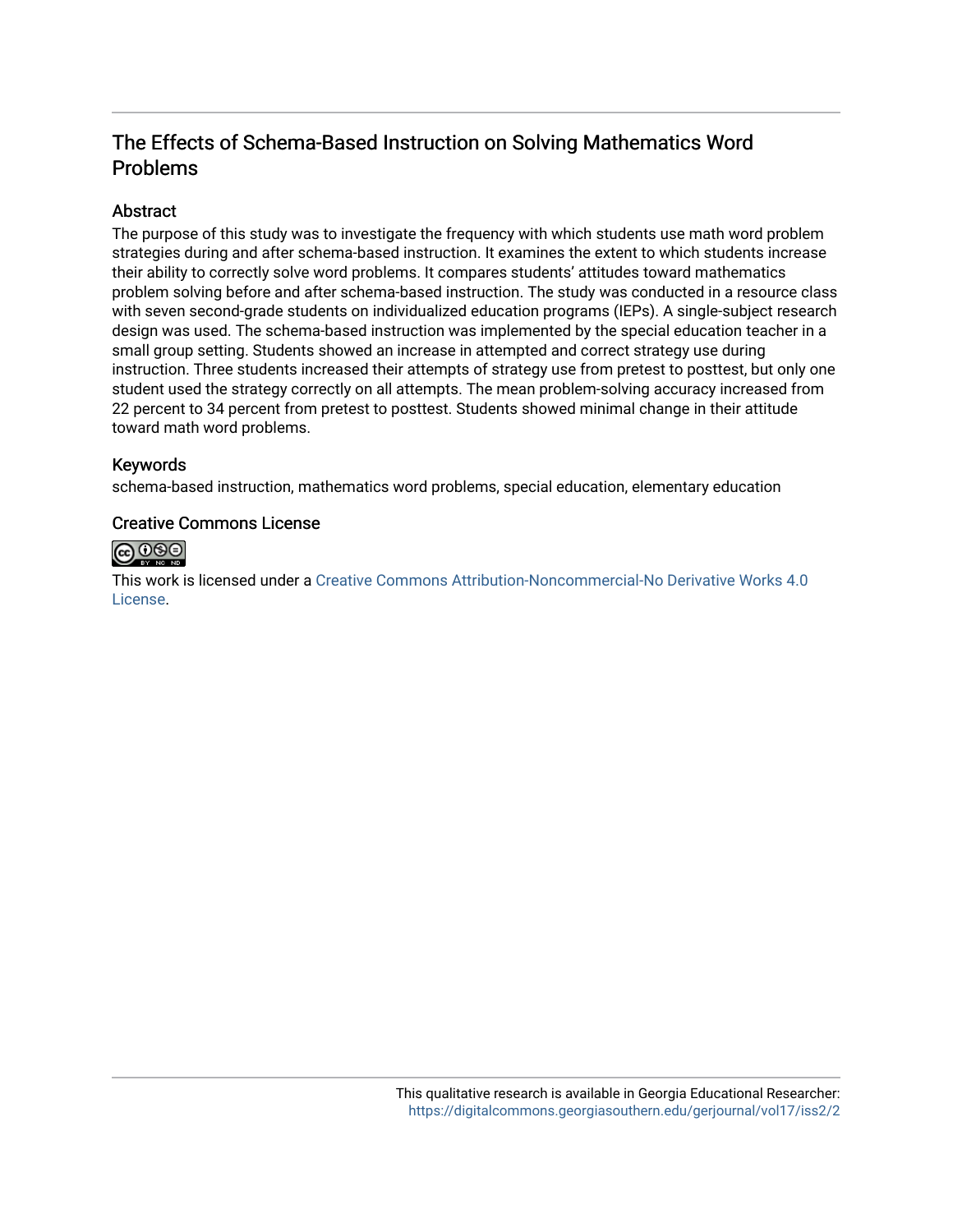# The Effects of Schema-Based Instruction on Solving Mathematics Word Problems

#### Abstract

The purpose of this study was to investigate the frequency with which students use math word problem strategies during and after schema-based instruction. It examines the extent to which students increase their ability to correctly solve word problems. It compares students' attitudes toward mathematics problem solving before and after schema-based instruction. The study was conducted in a resource class with seven second-grade students on individualized education programs (IEPs). A single-subject research design was used. The schema-based instruction was implemented by the special education teacher in a small group setting. Students showed an increase in attempted and correct strategy use during instruction. Three students increased their attempts of strategy use from pretest to posttest, but only one student used the strategy correctly on all attempts. The mean problem-solving accuracy increased from 22 percent to 34 percent from pretest to posttest. Students showed minimal change in their attitude toward math word problems.

#### Keywords

schema-based instruction, mathematics word problems, special education, elementary education

#### Creative Commons License



This work is licensed under a [Creative Commons Attribution-Noncommercial-No Derivative Works 4.0](http://creativecommons.org/licenses/by-nc-nd/4.0/) [License](http://creativecommons.org/licenses/by-nc-nd/4.0/).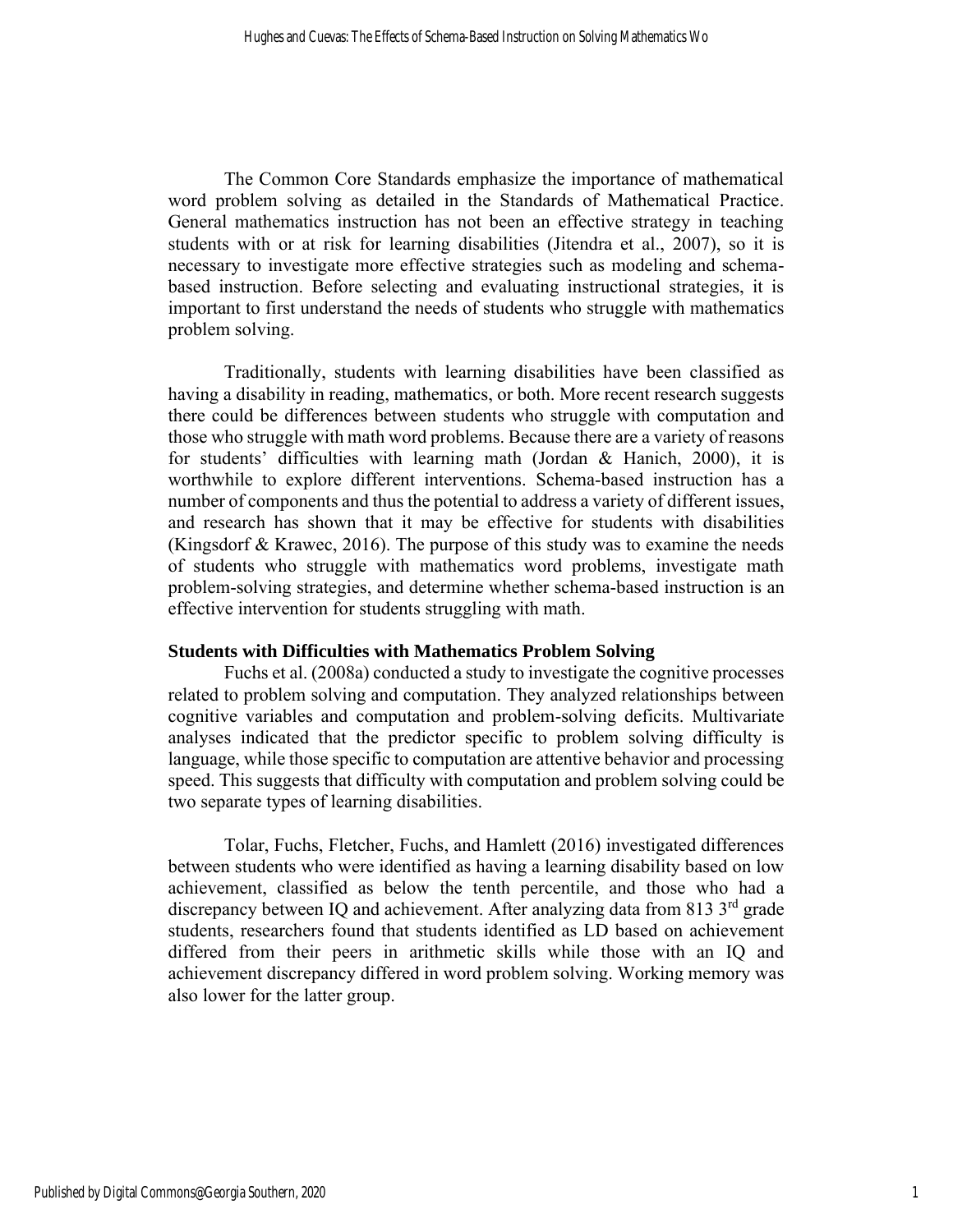The Common Core Standards emphasize the importance of mathematical word problem solving as detailed in the Standards of Mathematical Practice. General mathematics instruction has not been an effective strategy in teaching students with or at risk for learning disabilities (Jitendra et al., 2007), so it is necessary to investigate more effective strategies such as modeling and schemabased instruction. Before selecting and evaluating instructional strategies, it is important to first understand the needs of students who struggle with mathematics problem solving.

Traditionally, students with learning disabilities have been classified as having a disability in reading, mathematics, or both. More recent research suggests there could be differences between students who struggle with computation and those who struggle with math word problems. Because there are a variety of reasons for students' difficulties with learning math (Jordan & Hanich, 2000), it is worthwhile to explore different interventions. Schema-based instruction has a number of components and thus the potential to address a variety of different issues, and research has shown that it may be effective for students with disabilities (Kingsdorf & Krawec, 2016). The purpose of this study was to examine the needs of students who struggle with mathematics word problems, investigate math problem-solving strategies, and determine whether schema-based instruction is an effective intervention for students struggling with math.

#### **Students with Difficulties with Mathematics Problem Solving**

Fuchs et al. (2008a) conducted a study to investigate the cognitive processes related to problem solving and computation. They analyzed relationships between cognitive variables and computation and problem-solving deficits. Multivariate analyses indicated that the predictor specific to problem solving difficulty is language, while those specific to computation are attentive behavior and processing speed. This suggests that difficulty with computation and problem solving could be two separate types of learning disabilities.

Tolar, Fuchs, Fletcher, Fuchs, and Hamlett (2016) investigated differences between students who were identified as having a learning disability based on low achievement, classified as below the tenth percentile, and those who had a discrepancy between IQ and achievement. After analyzing data from 813 3<sup>rd</sup> grade students, researchers found that students identified as LD based on achievement differed from their peers in arithmetic skills while those with an IQ and achievement discrepancy differed in word problem solving. Working memory was also lower for the latter group.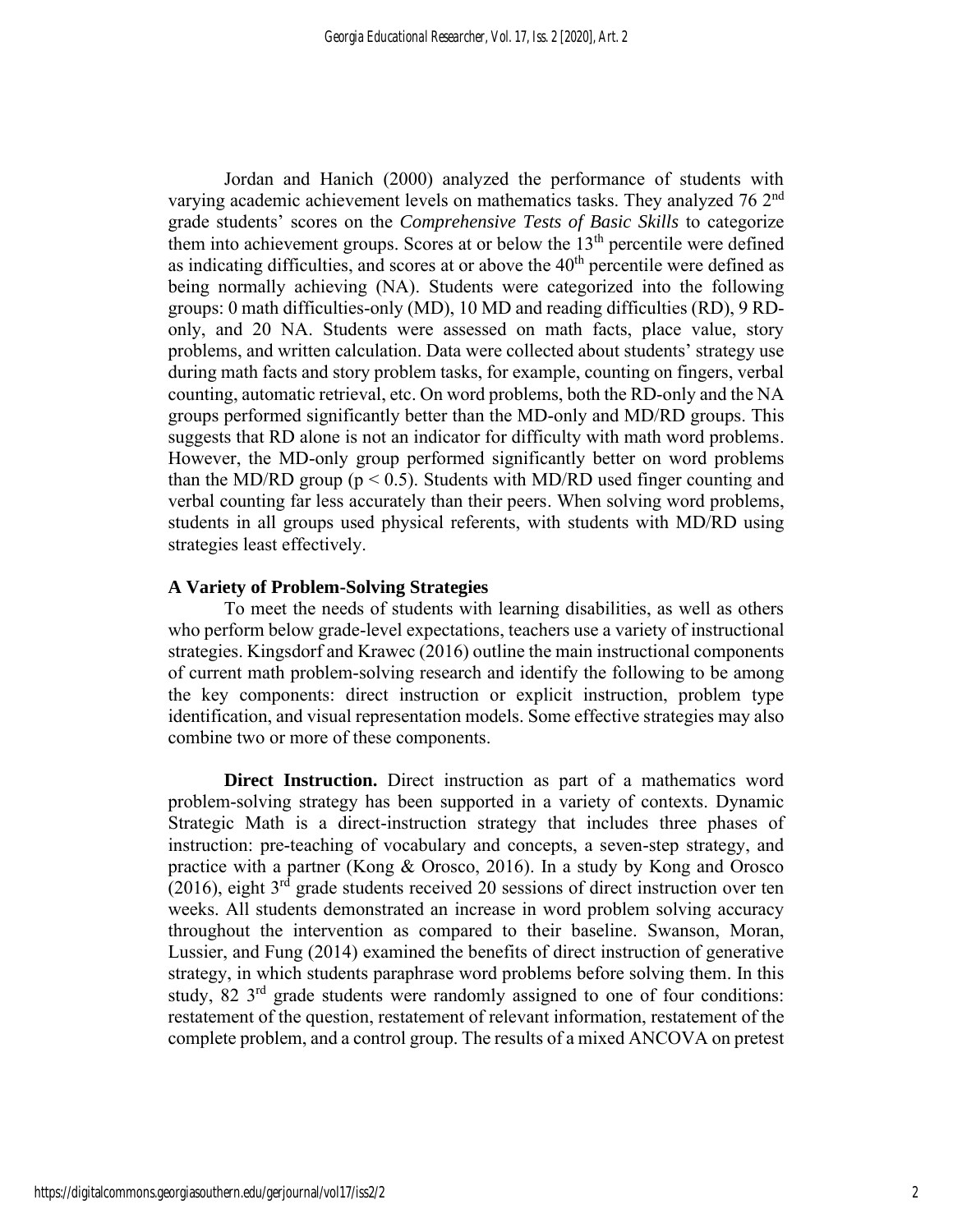Jordan and Hanich (2000) analyzed the performance of students with varying academic achievement levels on mathematics tasks. They analyzed 76 2<sup>nd</sup> grade students' scores on the *Comprehensive Tests of Basic Skills* to categorize them into achievement groups. Scores at or below the  $13<sup>th</sup>$  percentile were defined as indicating difficulties, and scores at or above the  $40<sup>th</sup>$  percentile were defined as being normally achieving (NA). Students were categorized into the following groups: 0 math difficulties-only (MD), 10 MD and reading difficulties (RD), 9 RDonly, and 20 NA. Students were assessed on math facts, place value, story problems, and written calculation. Data were collected about students' strategy use during math facts and story problem tasks, for example, counting on fingers, verbal counting, automatic retrieval, etc. On word problems, both the RD-only and the NA groups performed significantly better than the MD-only and MD/RD groups. This suggests that RD alone is not an indicator for difficulty with math word problems. However, the MD-only group performed significantly better on word problems than the MD/RD group ( $p < 0.5$ ). Students with MD/RD used finger counting and verbal counting far less accurately than their peers. When solving word problems, students in all groups used physical referents, with students with MD/RD using strategies least effectively.

#### **A Variety of Problem-Solving Strategies**

To meet the needs of students with learning disabilities, as well as others who perform below grade-level expectations, teachers use a variety of instructional strategies. Kingsdorf and Krawec (2016) outline the main instructional components of current math problem-solving research and identify the following to be among the key components: direct instruction or explicit instruction, problem type identification, and visual representation models. Some effective strategies may also combine two or more of these components.

**Direct Instruction.** Direct instruction as part of a mathematics word problem-solving strategy has been supported in a variety of contexts. Dynamic Strategic Math is a direct-instruction strategy that includes three phases of instruction: pre-teaching of vocabulary and concepts, a seven-step strategy, and practice with a partner (Kong & Orosco, 2016). In a study by Kong and Orosco  $(2016)$ , eight  $3<sup>rd</sup>$  grade students received 20 sessions of direct instruction over ten weeks. All students demonstrated an increase in word problem solving accuracy throughout the intervention as compared to their baseline. Swanson, Moran, Lussier, and Fung (2014) examined the benefits of direct instruction of generative strategy, in which students paraphrase word problems before solving them. In this study, 82 3<sup>rd</sup> grade students were randomly assigned to one of four conditions: restatement of the question, restatement of relevant information, restatement of the complete problem, and a control group. The results of a mixed ANCOVA on pretest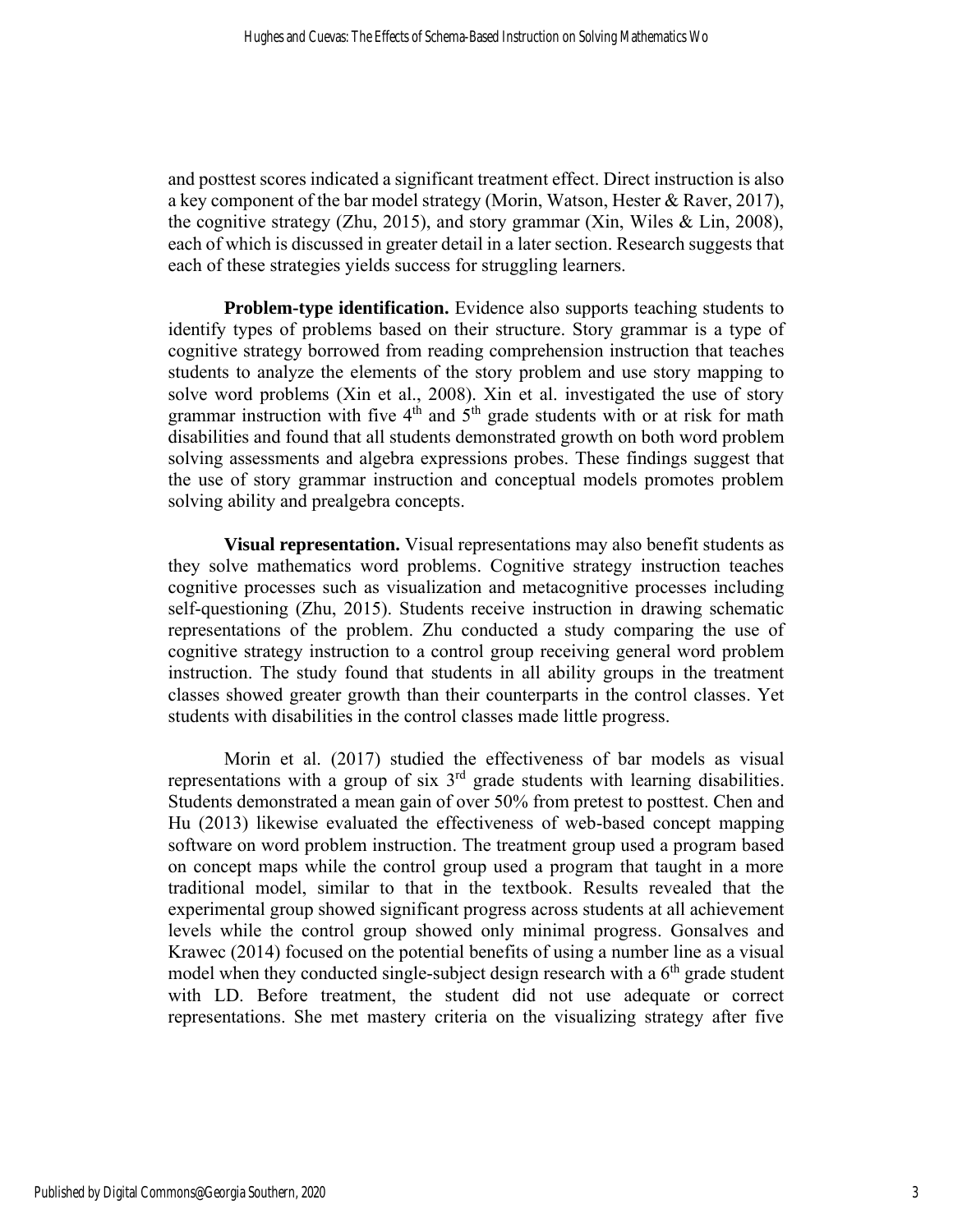and posttest scores indicated a significant treatment effect. Direct instruction is also a key component of the bar model strategy (Morin, Watson, Hester & Raver, 2017), the cognitive strategy (Zhu, 2015), and story grammar (Xin, Wiles & Lin, 2008), each of which is discussed in greater detail in a later section. Research suggests that each of these strategies yields success for struggling learners.

**Problem-type identification.** Evidence also supports teaching students to identify types of problems based on their structure. Story grammar is a type of cognitive strategy borrowed from reading comprehension instruction that teaches students to analyze the elements of the story problem and use story mapping to solve word problems (Xin et al., 2008). Xin et al. investigated the use of story grammar instruction with five  $4<sup>th</sup>$  and  $5<sup>th</sup>$  grade students with or at risk for math disabilities and found that all students demonstrated growth on both word problem solving assessments and algebra expressions probes. These findings suggest that the use of story grammar instruction and conceptual models promotes problem solving ability and prealgebra concepts.

**Visual representation.** Visual representations may also benefit students as they solve mathematics word problems. Cognitive strategy instruction teaches cognitive processes such as visualization and metacognitive processes including self-questioning (Zhu, 2015). Students receive instruction in drawing schematic representations of the problem. Zhu conducted a study comparing the use of cognitive strategy instruction to a control group receiving general word problem instruction. The study found that students in all ability groups in the treatment classes showed greater growth than their counterparts in the control classes. Yet students with disabilities in the control classes made little progress.

Morin et al. (2017) studied the effectiveness of bar models as visual representations with a group of six  $3<sup>rd</sup>$  grade students with learning disabilities. Students demonstrated a mean gain of over 50% from pretest to posttest. Chen and Hu (2013) likewise evaluated the effectiveness of web-based concept mapping software on word problem instruction. The treatment group used a program based on concept maps while the control group used a program that taught in a more traditional model, similar to that in the textbook. Results revealed that the experimental group showed significant progress across students at all achievement levels while the control group showed only minimal progress. Gonsalves and Krawec (2014) focused on the potential benefits of using a number line as a visual model when they conducted single-subject design research with a  $6<sup>th</sup>$  grade student with LD. Before treatment, the student did not use adequate or correct representations. She met mastery criteria on the visualizing strategy after five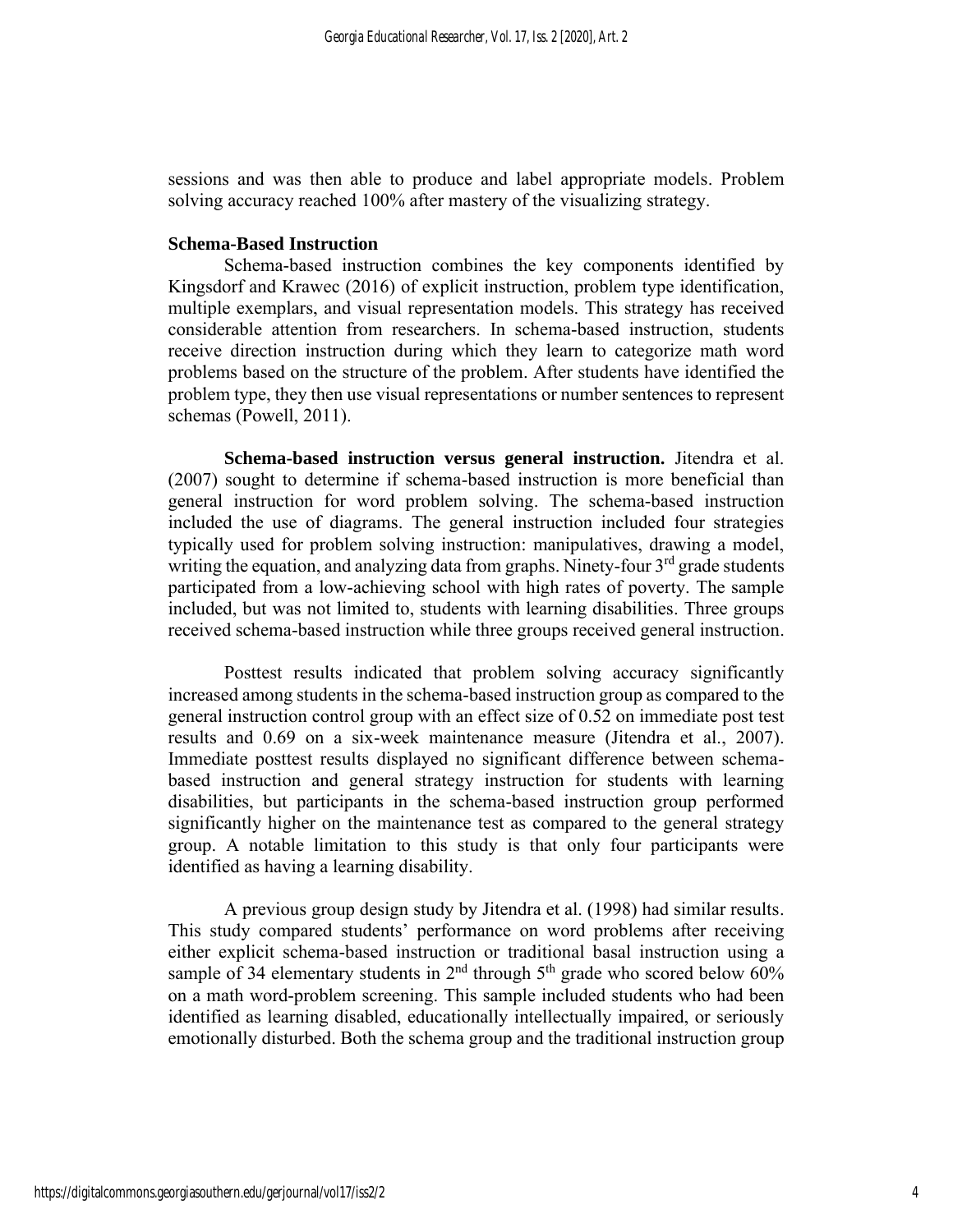sessions and was then able to produce and label appropriate models. Problem solving accuracy reached 100% after mastery of the visualizing strategy.

#### **Schema-Based Instruction**

Schema-based instruction combines the key components identified by Kingsdorf and Krawec (2016) of explicit instruction, problem type identification, multiple exemplars, and visual representation models. This strategy has received considerable attention from researchers. In schema-based instruction, students receive direction instruction during which they learn to categorize math word problems based on the structure of the problem. After students have identified the problem type, they then use visual representations or number sentences to represent schemas (Powell, 2011).

**Schema-based instruction versus general instruction.** Jitendra et al. (2007) sought to determine if schema-based instruction is more beneficial than general instruction for word problem solving. The schema-based instruction included the use of diagrams. The general instruction included four strategies typically used for problem solving instruction: manipulatives, drawing a model, writing the equation, and analyzing data from graphs. Ninety-four 3<sup>rd</sup> grade students participated from a low-achieving school with high rates of poverty. The sample included, but was not limited to, students with learning disabilities. Three groups received schema-based instruction while three groups received general instruction.

Posttest results indicated that problem solving accuracy significantly increased among students in the schema-based instruction group as compared to the general instruction control group with an effect size of 0.52 on immediate post test results and 0.69 on a six-week maintenance measure (Jitendra et al., 2007). Immediate posttest results displayed no significant difference between schemabased instruction and general strategy instruction for students with learning disabilities, but participants in the schema-based instruction group performed significantly higher on the maintenance test as compared to the general strategy group. A notable limitation to this study is that only four participants were identified as having a learning disability.

A previous group design study by Jitendra et al. (1998) had similar results. This study compared students' performance on word problems after receiving either explicit schema-based instruction or traditional basal instruction using a sample of 34 elementary students in  $2<sup>nd</sup>$  through  $5<sup>th</sup>$  grade who scored below 60% on a math word-problem screening. This sample included students who had been identified as learning disabled, educationally intellectually impaired, or seriously emotionally disturbed. Both the schema group and the traditional instruction group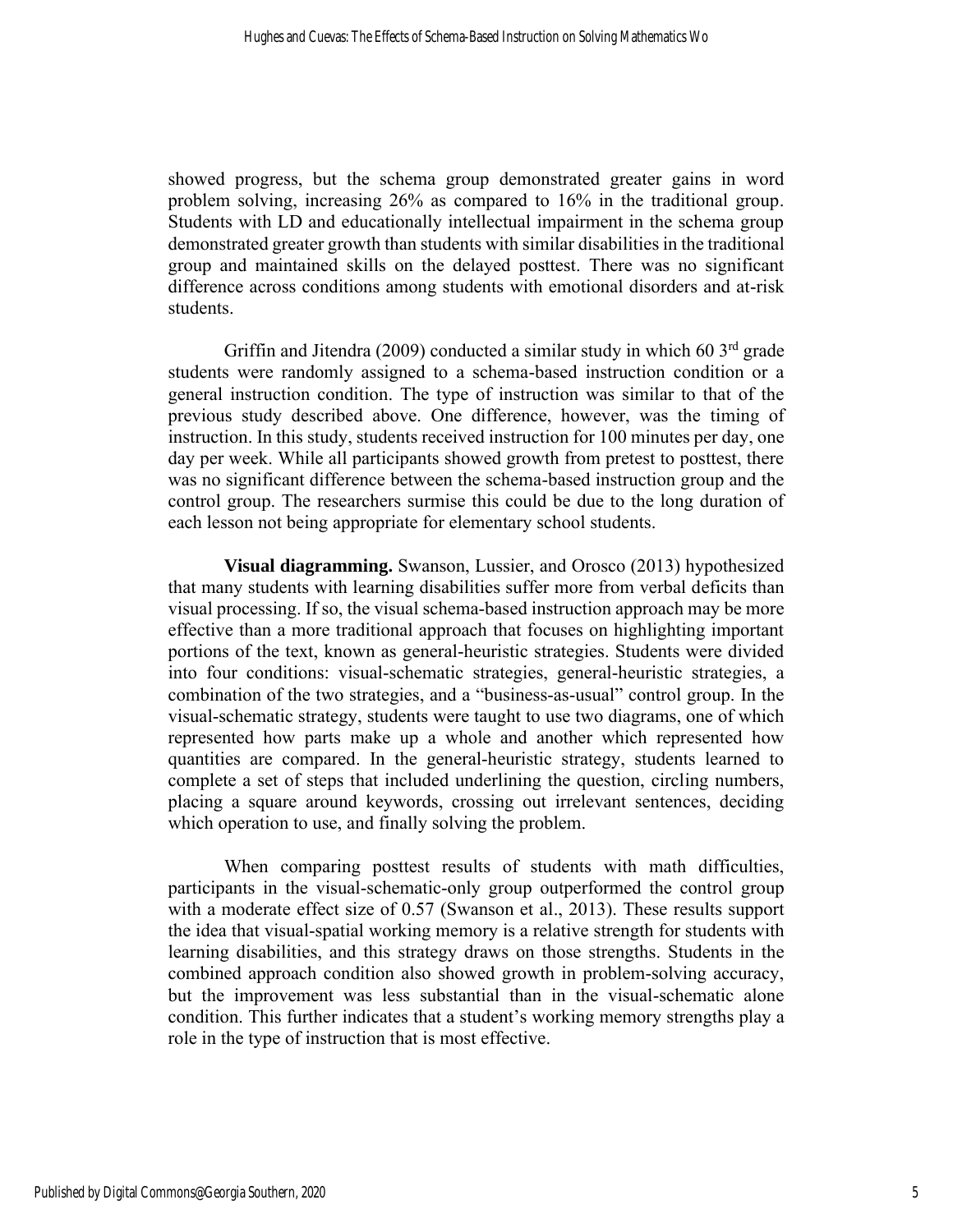showed progress, but the schema group demonstrated greater gains in word problem solving, increasing 26% as compared to 16% in the traditional group. Students with LD and educationally intellectual impairment in the schema group demonstrated greater growth than students with similar disabilities in the traditional group and maintained skills on the delayed posttest. There was no significant difference across conditions among students with emotional disorders and at-risk students.

Griffin and Jitendra (2009) conducted a similar study in which 60 3<sup>rd</sup> grade students were randomly assigned to a schema-based instruction condition or a general instruction condition. The type of instruction was similar to that of the previous study described above. One difference, however, was the timing of instruction. In this study, students received instruction for 100 minutes per day, one day per week. While all participants showed growth from pretest to posttest, there was no significant difference between the schema-based instruction group and the control group. The researchers surmise this could be due to the long duration of each lesson not being appropriate for elementary school students.

**Visual diagramming.** Swanson, Lussier, and Orosco (2013) hypothesized that many students with learning disabilities suffer more from verbal deficits than visual processing. If so, the visual schema-based instruction approach may be more effective than a more traditional approach that focuses on highlighting important portions of the text, known as general-heuristic strategies. Students were divided into four conditions: visual-schematic strategies, general-heuristic strategies, a combination of the two strategies, and a "business-as-usual" control group. In the visual-schematic strategy, students were taught to use two diagrams, one of which represented how parts make up a whole and another which represented how quantities are compared. In the general-heuristic strategy, students learned to complete a set of steps that included underlining the question, circling numbers, placing a square around keywords, crossing out irrelevant sentences, deciding which operation to use, and finally solving the problem.

When comparing posttest results of students with math difficulties, participants in the visual-schematic-only group outperformed the control group with a moderate effect size of 0.57 (Swanson et al., 2013). These results support the idea that visual-spatial working memory is a relative strength for students with learning disabilities, and this strategy draws on those strengths. Students in the combined approach condition also showed growth in problem-solving accuracy, but the improvement was less substantial than in the visual-schematic alone condition. This further indicates that a student's working memory strengths play a role in the type of instruction that is most effective.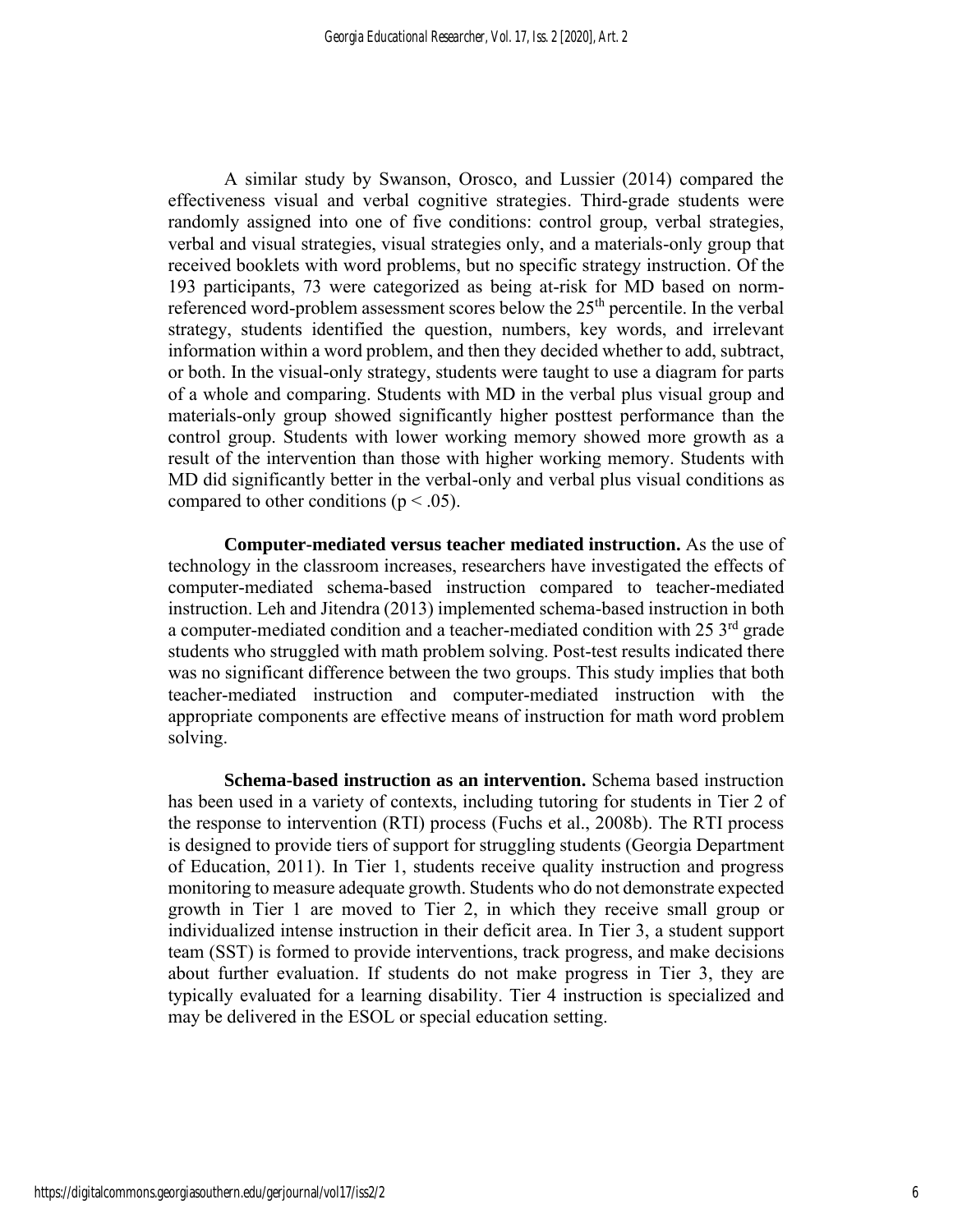A similar study by Swanson, Orosco, and Lussier (2014) compared the effectiveness visual and verbal cognitive strategies. Third-grade students were randomly assigned into one of five conditions: control group, verbal strategies, verbal and visual strategies, visual strategies only, and a materials-only group that received booklets with word problems, but no specific strategy instruction. Of the 193 participants, 73 were categorized as being at-risk for MD based on normreferenced word-problem assessment scores below the  $25<sup>th</sup>$  percentile. In the verbal strategy, students identified the question, numbers, key words, and irrelevant information within a word problem, and then they decided whether to add, subtract, or both. In the visual-only strategy, students were taught to use a diagram for parts of a whole and comparing. Students with MD in the verbal plus visual group and materials-only group showed significantly higher posttest performance than the control group. Students with lower working memory showed more growth as a result of the intervention than those with higher working memory. Students with MD did significantly better in the verbal-only and verbal plus visual conditions as compared to other conditions ( $p < .05$ ).

**Computer-mediated versus teacher mediated instruction.** As the use of technology in the classroom increases, researchers have investigated the effects of computer-mediated schema-based instruction compared to teacher-mediated instruction. Leh and Jitendra (2013) implemented schema-based instruction in both a computer-mediated condition and a teacher-mediated condition with 25 3<sup>rd</sup> grade students who struggled with math problem solving. Post-test results indicated there was no significant difference between the two groups. This study implies that both teacher-mediated instruction and computer-mediated instruction with the appropriate components are effective means of instruction for math word problem solving.

**Schema-based instruction as an intervention.** Schema based instruction has been used in a variety of contexts, including tutoring for students in Tier 2 of the response to intervention (RTI) process (Fuchs et al., 2008b). The RTI process is designed to provide tiers of support for struggling students (Georgia Department of Education, 2011). In Tier 1, students receive quality instruction and progress monitoring to measure adequate growth. Students who do not demonstrate expected growth in Tier 1 are moved to Tier 2, in which they receive small group or individualized intense instruction in their deficit area. In Tier 3, a student support team (SST) is formed to provide interventions, track progress, and make decisions about further evaluation. If students do not make progress in Tier 3, they are typically evaluated for a learning disability. Tier 4 instruction is specialized and may be delivered in the ESOL or special education setting.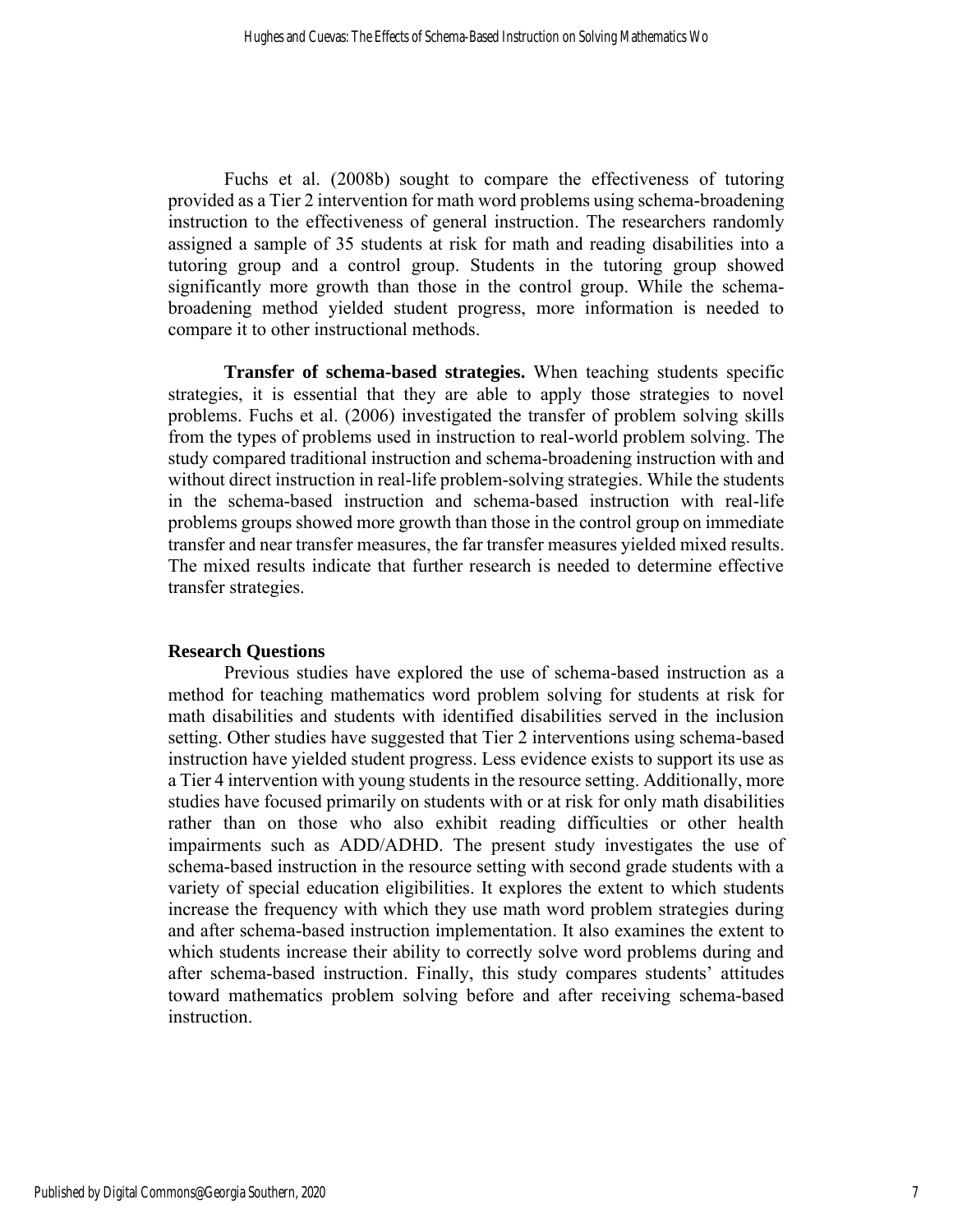Fuchs et al. (2008b) sought to compare the effectiveness of tutoring provided as a Tier 2 intervention for math word problems using schema-broadening instruction to the effectiveness of general instruction. The researchers randomly assigned a sample of 35 students at risk for math and reading disabilities into a tutoring group and a control group. Students in the tutoring group showed significantly more growth than those in the control group. While the schemabroadening method yielded student progress, more information is needed to compare it to other instructional methods.

**Transfer of schema-based strategies.** When teaching students specific strategies, it is essential that they are able to apply those strategies to novel problems. Fuchs et al. (2006) investigated the transfer of problem solving skills from the types of problems used in instruction to real-world problem solving. The study compared traditional instruction and schema-broadening instruction with and without direct instruction in real-life problem-solving strategies. While the students in the schema-based instruction and schema-based instruction with real-life problems groups showed more growth than those in the control group on immediate transfer and near transfer measures, the far transfer measures yielded mixed results. The mixed results indicate that further research is needed to determine effective transfer strategies.

#### **Research Questions**

Previous studies have explored the use of schema-based instruction as a method for teaching mathematics word problem solving for students at risk for math disabilities and students with identified disabilities served in the inclusion setting. Other studies have suggested that Tier 2 interventions using schema-based instruction have yielded student progress. Less evidence exists to support its use as a Tier 4 intervention with young students in the resource setting. Additionally, more studies have focused primarily on students with or at risk for only math disabilities rather than on those who also exhibit reading difficulties or other health impairments such as ADD/ADHD. The present study investigates the use of schema-based instruction in the resource setting with second grade students with a variety of special education eligibilities. It explores the extent to which students increase the frequency with which they use math word problem strategies during and after schema-based instruction implementation. It also examines the extent to which students increase their ability to correctly solve word problems during and after schema-based instruction. Finally, this study compares students' attitudes toward mathematics problem solving before and after receiving schema-based instruction.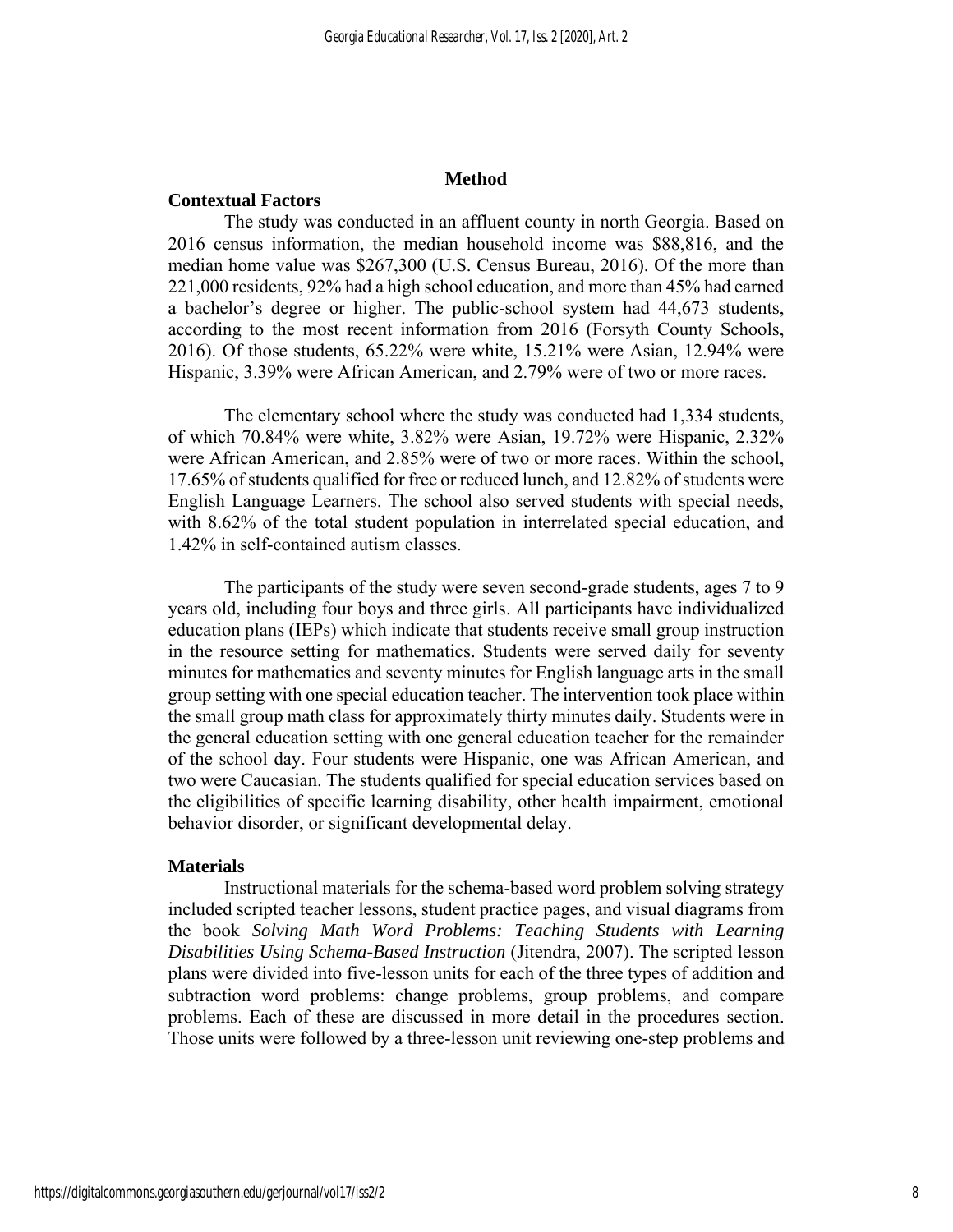#### **Method**

#### **Contextual Factors**

The study was conducted in an affluent county in north Georgia. Based on 2016 census information, the median household income was \$88,816, and the median home value was \$267,300 (U.S. Census Bureau, 2016). Of the more than 221,000 residents, 92% had a high school education, and more than 45% had earned a bachelor's degree or higher. The public-school system had 44,673 students, according to the most recent information from 2016 (Forsyth County Schools, 2016). Of those students, 65.22% were white, 15.21% were Asian, 12.94% were Hispanic, 3.39% were African American, and 2.79% were of two or more races.

The elementary school where the study was conducted had 1,334 students, of which 70.84% were white, 3.82% were Asian, 19.72% were Hispanic, 2.32% were African American, and 2.85% were of two or more races. Within the school, 17.65% of students qualified for free or reduced lunch, and 12.82% of students were English Language Learners. The school also served students with special needs, with 8.62% of the total student population in interrelated special education, and 1.42% in self-contained autism classes.

The participants of the study were seven second-grade students, ages 7 to 9 years old, including four boys and three girls. All participants have individualized education plans (IEPs) which indicate that students receive small group instruction in the resource setting for mathematics. Students were served daily for seventy minutes for mathematics and seventy minutes for English language arts in the small group setting with one special education teacher. The intervention took place within the small group math class for approximately thirty minutes daily. Students were in the general education setting with one general education teacher for the remainder of the school day. Four students were Hispanic, one was African American, and two were Caucasian. The students qualified for special education services based on the eligibilities of specific learning disability, other health impairment, emotional behavior disorder, or significant developmental delay.

#### **Materials**

Instructional materials for the schema-based word problem solving strategy included scripted teacher lessons, student practice pages, and visual diagrams from the book *Solving Math Word Problems: Teaching Students with Learning Disabilities Using Schema-Based Instruction* (Jitendra, 2007). The scripted lesson plans were divided into five-lesson units for each of the three types of addition and subtraction word problems: change problems, group problems, and compare problems. Each of these are discussed in more detail in the procedures section. Those units were followed by a three-lesson unit reviewing one-step problems and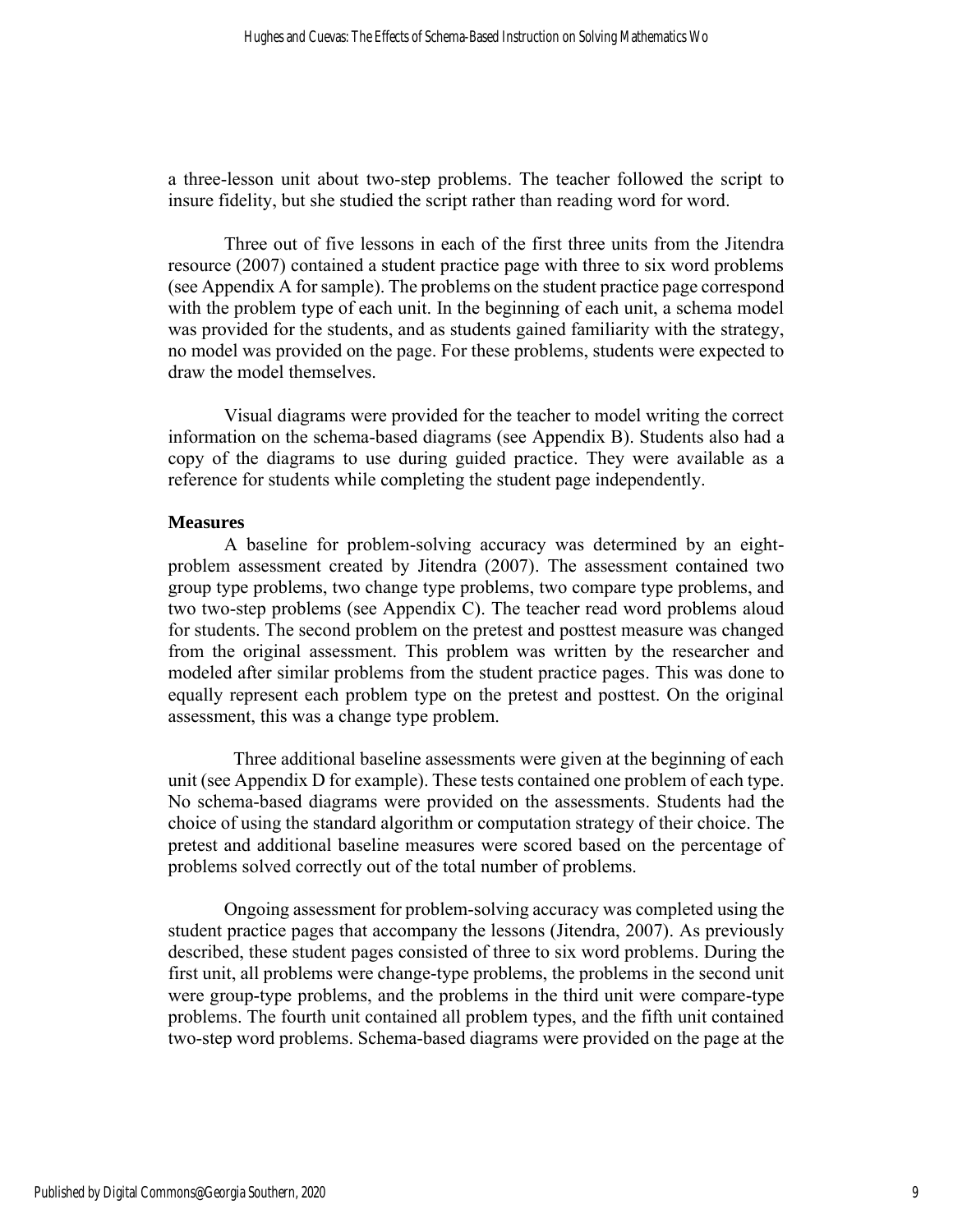a three-lesson unit about two-step problems. The teacher followed the script to insure fidelity, but she studied the script rather than reading word for word.

Three out of five lessons in each of the first three units from the Jitendra resource (2007) contained a student practice page with three to six word problems (see Appendix A for sample). The problems on the student practice page correspond with the problem type of each unit. In the beginning of each unit, a schema model was provided for the students, and as students gained familiarity with the strategy, no model was provided on the page. For these problems, students were expected to draw the model themselves.

Visual diagrams were provided for the teacher to model writing the correct information on the schema-based diagrams (see Appendix B). Students also had a copy of the diagrams to use during guided practice. They were available as a reference for students while completing the student page independently.

#### **Measures**

A baseline for problem-solving accuracy was determined by an eightproblem assessment created by Jitendra (2007). The assessment contained two group type problems, two change type problems, two compare type problems, and two two-step problems (see Appendix C). The teacher read word problems aloud for students. The second problem on the pretest and posttest measure was changed from the original assessment. This problem was written by the researcher and modeled after similar problems from the student practice pages. This was done to equally represent each problem type on the pretest and posttest. On the original assessment, this was a change type problem.

 Three additional baseline assessments were given at the beginning of each unit (see Appendix D for example). These tests contained one problem of each type. No schema-based diagrams were provided on the assessments. Students had the choice of using the standard algorithm or computation strategy of their choice. The pretest and additional baseline measures were scored based on the percentage of problems solved correctly out of the total number of problems.

Ongoing assessment for problem-solving accuracy was completed using the student practice pages that accompany the lessons (Jitendra, 2007). As previously described, these student pages consisted of three to six word problems. During the first unit, all problems were change-type problems, the problems in the second unit were group-type problems, and the problems in the third unit were compare-type problems. The fourth unit contained all problem types, and the fifth unit contained two-step word problems. Schema-based diagrams were provided on the page at the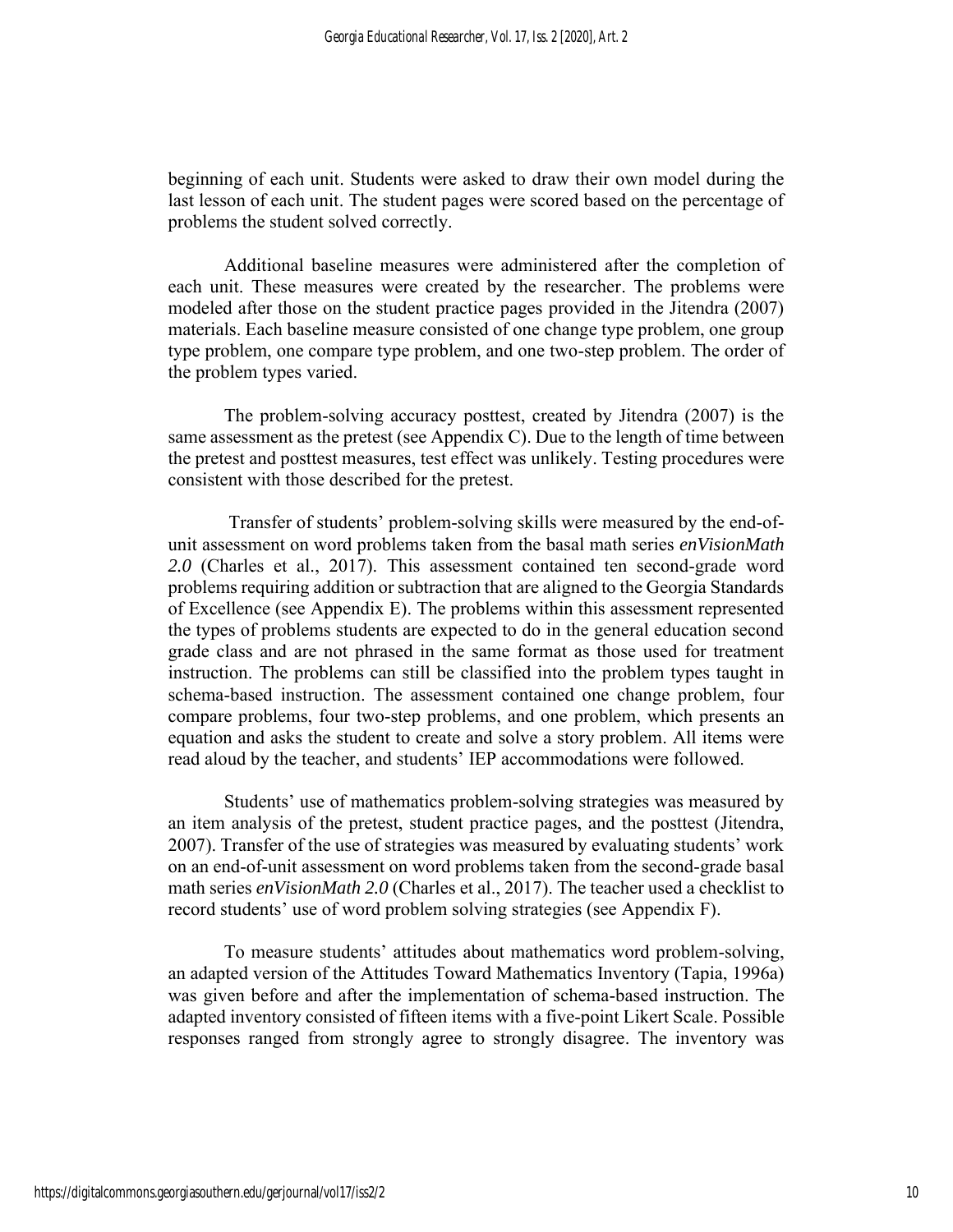beginning of each unit. Students were asked to draw their own model during the last lesson of each unit. The student pages were scored based on the percentage of problems the student solved correctly.

Additional baseline measures were administered after the completion of each unit. These measures were created by the researcher. The problems were modeled after those on the student practice pages provided in the Jitendra (2007) materials. Each baseline measure consisted of one change type problem, one group type problem, one compare type problem, and one two-step problem. The order of the problem types varied.

The problem-solving accuracy posttest, created by Jitendra (2007) is the same assessment as the pretest (see Appendix C). Due to the length of time between the pretest and posttest measures, test effect was unlikely. Testing procedures were consistent with those described for the pretest.

Transfer of students' problem-solving skills were measured by the end-ofunit assessment on word problems taken from the basal math series *enVisionMath 2.0* (Charles et al., 2017). This assessment contained ten second-grade word problems requiring addition or subtraction that are aligned to the Georgia Standards of Excellence (see Appendix E). The problems within this assessment represented the types of problems students are expected to do in the general education second grade class and are not phrased in the same format as those used for treatment instruction. The problems can still be classified into the problem types taught in schema-based instruction. The assessment contained one change problem, four compare problems, four two-step problems, and one problem, which presents an equation and asks the student to create and solve a story problem. All items were read aloud by the teacher, and students' IEP accommodations were followed.

Students' use of mathematics problem-solving strategies was measured by an item analysis of the pretest, student practice pages, and the posttest (Jitendra, 2007). Transfer of the use of strategies was measured by evaluating students' work on an end-of-unit assessment on word problems taken from the second-grade basal math series *enVisionMath 2.0* (Charles et al., 2017). The teacher used a checklist to record students' use of word problem solving strategies (see Appendix F).

To measure students' attitudes about mathematics word problem-solving, an adapted version of the Attitudes Toward Mathematics Inventory (Tapia, 1996a) was given before and after the implementation of schema-based instruction. The adapted inventory consisted of fifteen items with a five-point Likert Scale. Possible responses ranged from strongly agree to strongly disagree. The inventory was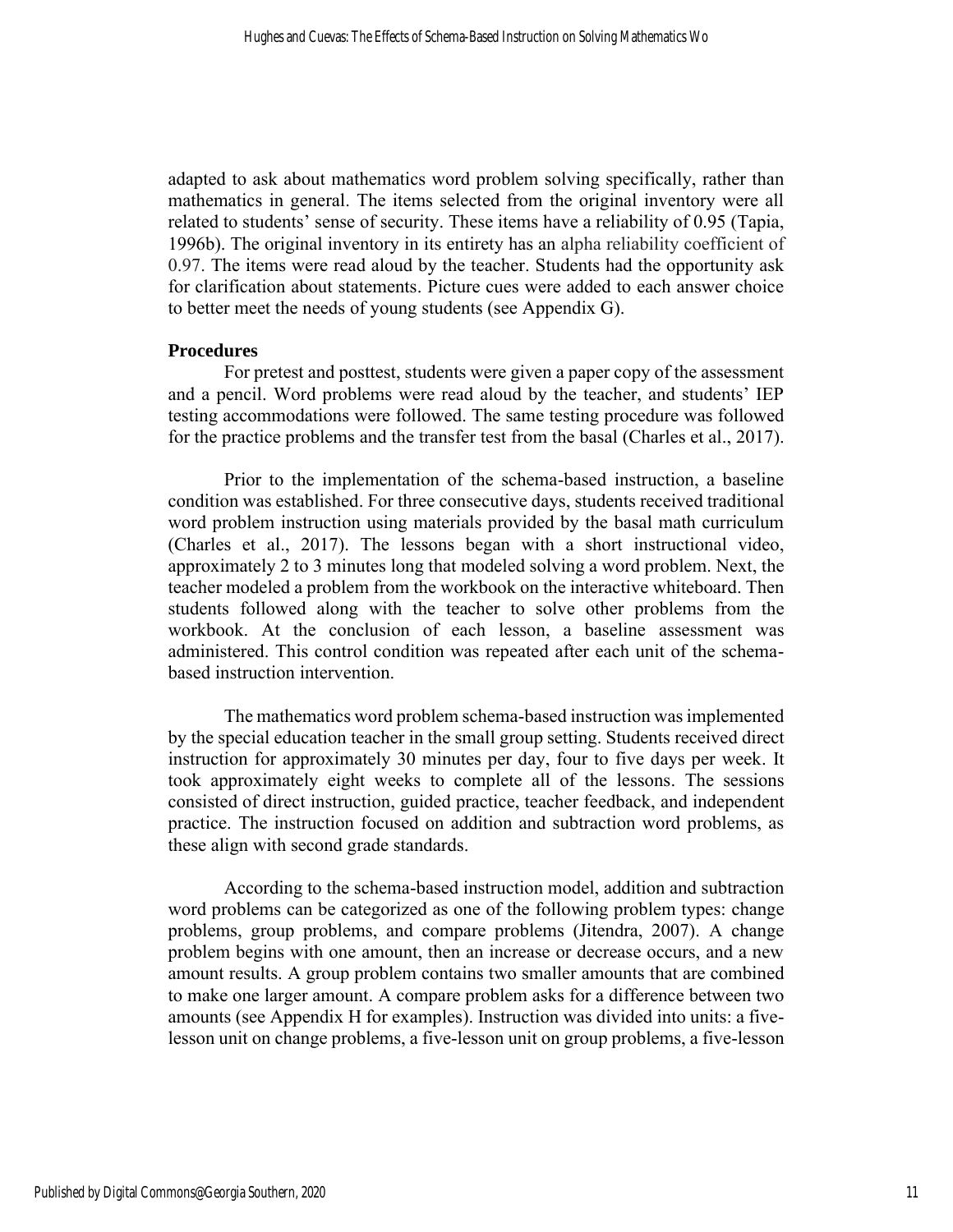adapted to ask about mathematics word problem solving specifically, rather than mathematics in general. The items selected from the original inventory were all related to students' sense of security. These items have a reliability of 0.95 (Tapia, 1996b). The original inventory in its entirety has an alpha reliability coefficient of 0.97. The items were read aloud by the teacher. Students had the opportunity ask for clarification about statements. Picture cues were added to each answer choice to better meet the needs of young students (see Appendix G).

#### **Procedures**

For pretest and posttest, students were given a paper copy of the assessment and a pencil. Word problems were read aloud by the teacher, and students' IEP testing accommodations were followed. The same testing procedure was followed for the practice problems and the transfer test from the basal (Charles et al., 2017).

Prior to the implementation of the schema-based instruction, a baseline condition was established. For three consecutive days, students received traditional word problem instruction using materials provided by the basal math curriculum (Charles et al., 2017). The lessons began with a short instructional video, approximately 2 to 3 minutes long that modeled solving a word problem. Next, the teacher modeled a problem from the workbook on the interactive whiteboard. Then students followed along with the teacher to solve other problems from the workbook. At the conclusion of each lesson, a baseline assessment was administered. This control condition was repeated after each unit of the schemabased instruction intervention.

The mathematics word problem schema-based instruction was implemented by the special education teacher in the small group setting. Students received direct instruction for approximately 30 minutes per day, four to five days per week. It took approximately eight weeks to complete all of the lessons. The sessions consisted of direct instruction, guided practice, teacher feedback, and independent practice. The instruction focused on addition and subtraction word problems, as these align with second grade standards.

According to the schema-based instruction model, addition and subtraction word problems can be categorized as one of the following problem types: change problems, group problems, and compare problems (Jitendra, 2007). A change problem begins with one amount, then an increase or decrease occurs, and a new amount results. A group problem contains two smaller amounts that are combined to make one larger amount. A compare problem asks for a difference between two amounts (see Appendix H for examples). Instruction was divided into units: a fivelesson unit on change problems, a five-lesson unit on group problems, a five-lesson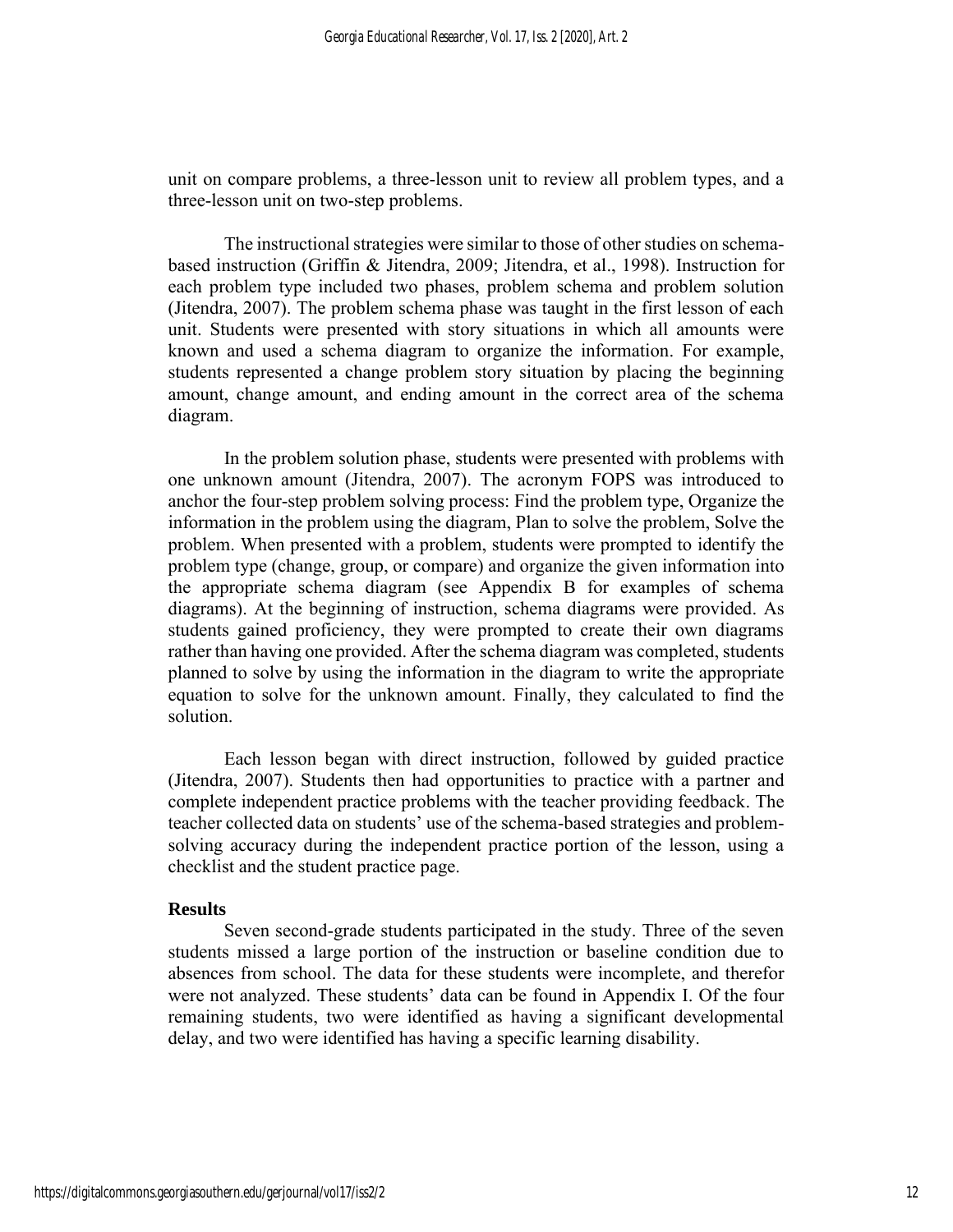unit on compare problems, a three-lesson unit to review all problem types, and a three-lesson unit on two-step problems.

The instructional strategies were similar to those of other studies on schemabased instruction (Griffin & Jitendra, 2009; Jitendra, et al., 1998). Instruction for each problem type included two phases, problem schema and problem solution (Jitendra, 2007). The problem schema phase was taught in the first lesson of each unit. Students were presented with story situations in which all amounts were known and used a schema diagram to organize the information. For example, students represented a change problem story situation by placing the beginning amount, change amount, and ending amount in the correct area of the schema diagram.

In the problem solution phase, students were presented with problems with one unknown amount (Jitendra, 2007). The acronym FOPS was introduced to anchor the four-step problem solving process: Find the problem type, Organize the information in the problem using the diagram, Plan to solve the problem, Solve the problem. When presented with a problem, students were prompted to identify the problem type (change, group, or compare) and organize the given information into the appropriate schema diagram (see Appendix B for examples of schema diagrams). At the beginning of instruction, schema diagrams were provided. As students gained proficiency, they were prompted to create their own diagrams rather than having one provided. After the schema diagram was completed, students planned to solve by using the information in the diagram to write the appropriate equation to solve for the unknown amount. Finally, they calculated to find the solution.

Each lesson began with direct instruction, followed by guided practice (Jitendra, 2007). Students then had opportunities to practice with a partner and complete independent practice problems with the teacher providing feedback. The teacher collected data on students' use of the schema-based strategies and problemsolving accuracy during the independent practice portion of the lesson, using a checklist and the student practice page.

#### **Results**

Seven second-grade students participated in the study. Three of the seven students missed a large portion of the instruction or baseline condition due to absences from school. The data for these students were incomplete, and therefor were not analyzed. These students' data can be found in Appendix I. Of the four remaining students, two were identified as having a significant developmental delay, and two were identified has having a specific learning disability.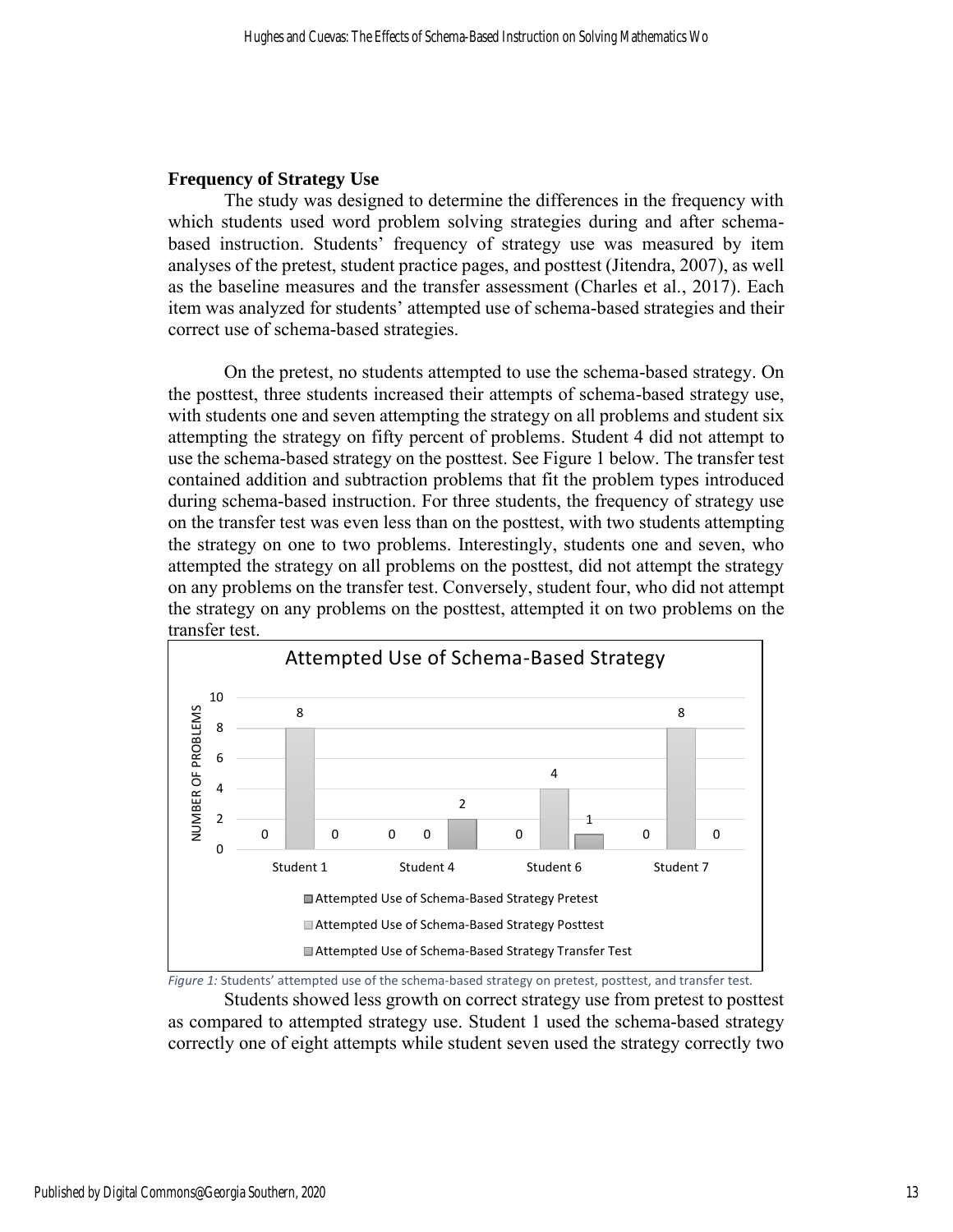#### **Frequency of Strategy Use**

The study was designed to determine the differences in the frequency with which students used word problem solving strategies during and after schemabased instruction. Students' frequency of strategy use was measured by item analyses of the pretest, student practice pages, and posttest (Jitendra, 2007), as well as the baseline measures and the transfer assessment (Charles et al., 2017). Each item was analyzed for students' attempted use of schema-based strategies and their correct use of schema-based strategies.

On the pretest, no students attempted to use the schema-based strategy. On the posttest, three students increased their attempts of schema-based strategy use, with students one and seven attempting the strategy on all problems and student six attempting the strategy on fifty percent of problems. Student 4 did not attempt to use the schema-based strategy on the posttest. See Figure 1 below. The transfer test contained addition and subtraction problems that fit the problem types introduced during schema-based instruction. For three students, the frequency of strategy use on the transfer test was even less than on the posttest, with two students attempting the strategy on one to two problems. Interestingly, students one and seven, who attempted the strategy on all problems on the posttest, did not attempt the strategy on any problems on the transfer test. Conversely, student four, who did not attempt the strategy on any problems on the posttest, attempted it on two problems on the transfer test.





Students showed less growth on correct strategy use from pretest to posttest as compared to attempted strategy use. Student 1 used the schema-based strategy correctly one of eight attempts while student seven used the strategy correctly two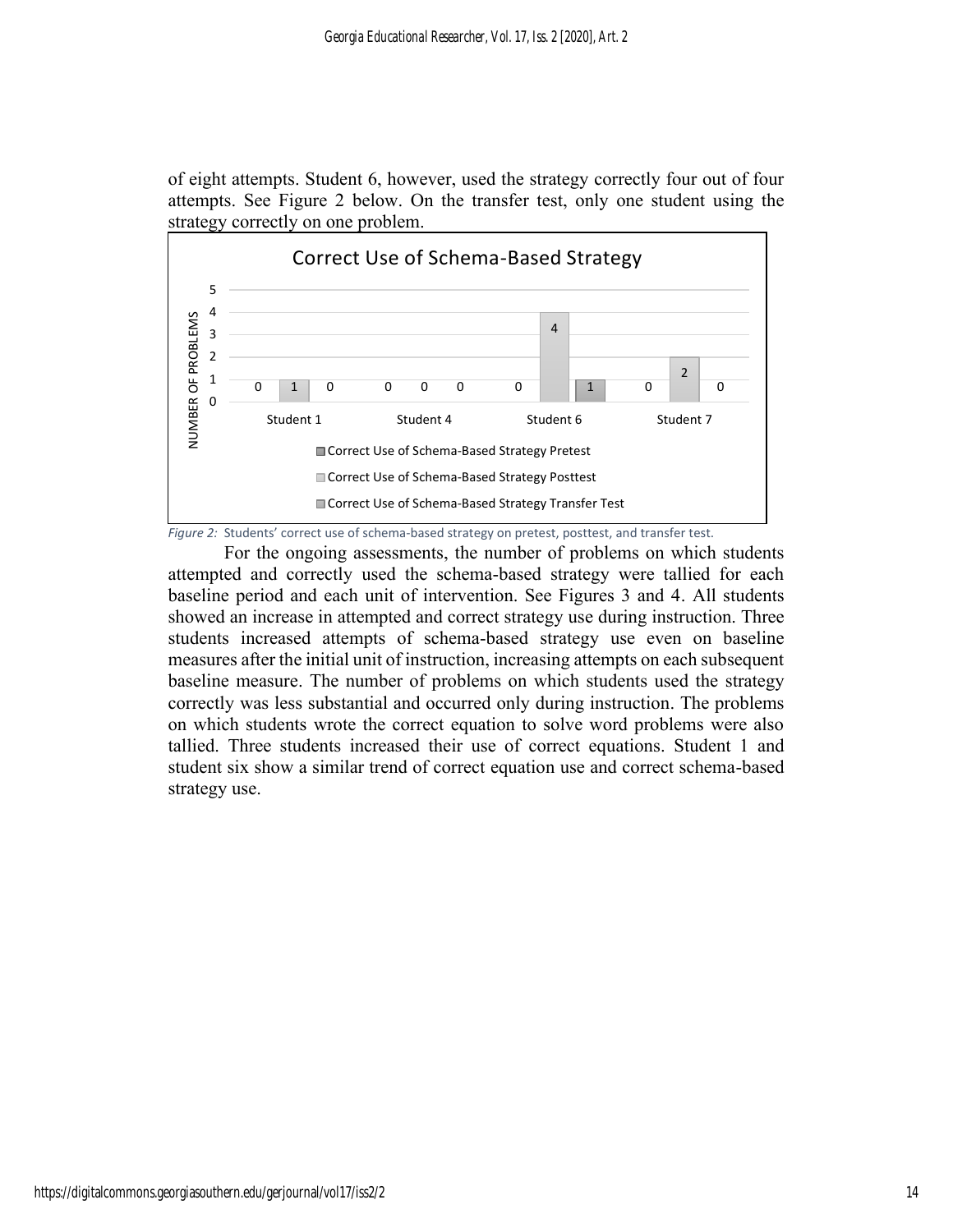of eight attempts. Student 6, however, used the strategy correctly four out of four attempts. See Figure 2 below. On the transfer test, only one student using the strategy correctly on one problem.



*Figure 2:* Students' correct use of schema-based strategy on pretest, posttest, and transfer test.

For the ongoing assessments, the number of problems on which students attempted and correctly used the schema-based strategy were tallied for each baseline period and each unit of intervention. See Figures 3 and 4. All students showed an increase in attempted and correct strategy use during instruction. Three students increased attempts of schema-based strategy use even on baseline measures after the initial unit of instruction, increasing attempts on each subsequent baseline measure. The number of problems on which students used the strategy correctly was less substantial and occurred only during instruction. The problems on which students wrote the correct equation to solve word problems were also tallied. Three students increased their use of correct equations. Student 1 and student six show a similar trend of correct equation use and correct schema-based strategy use.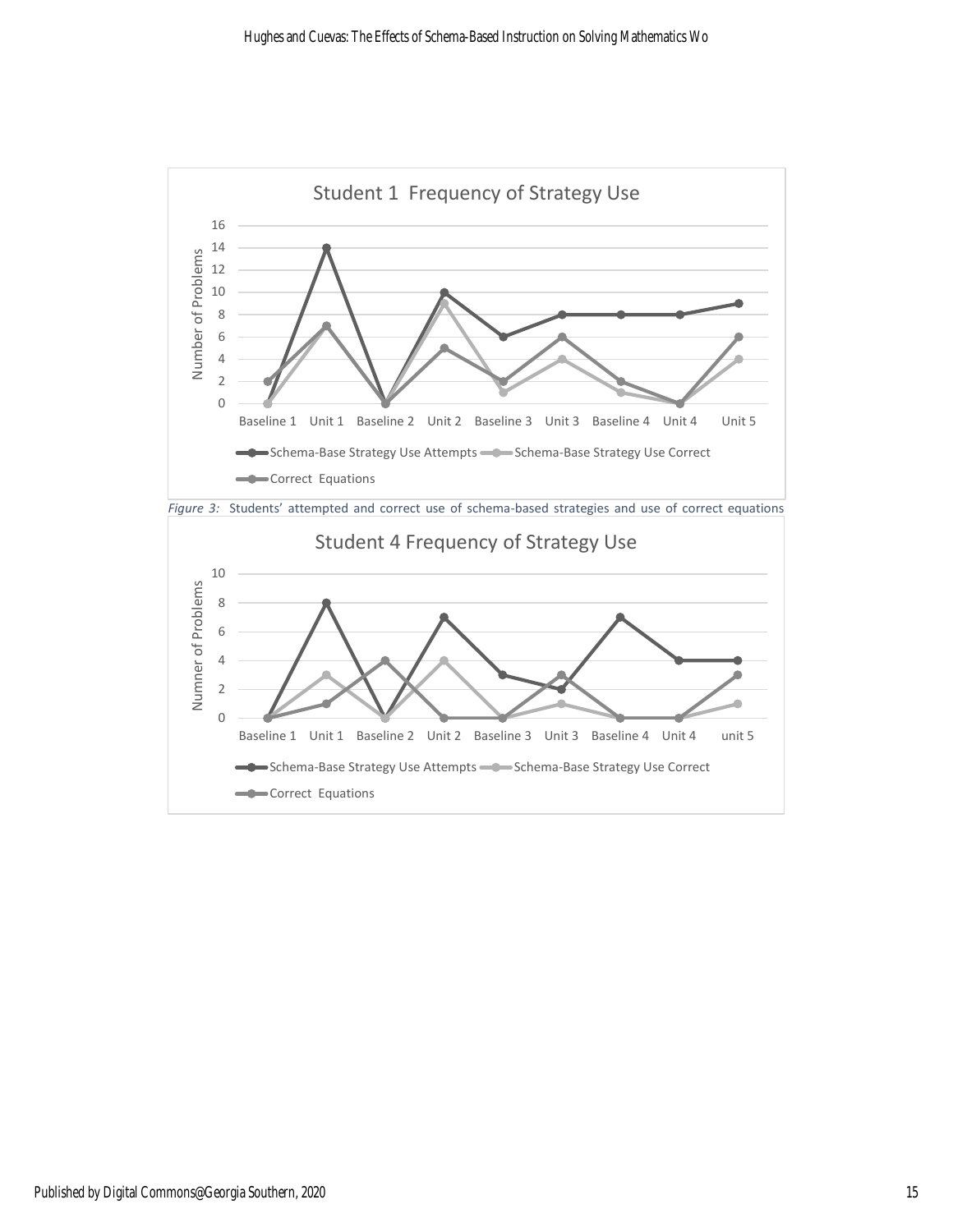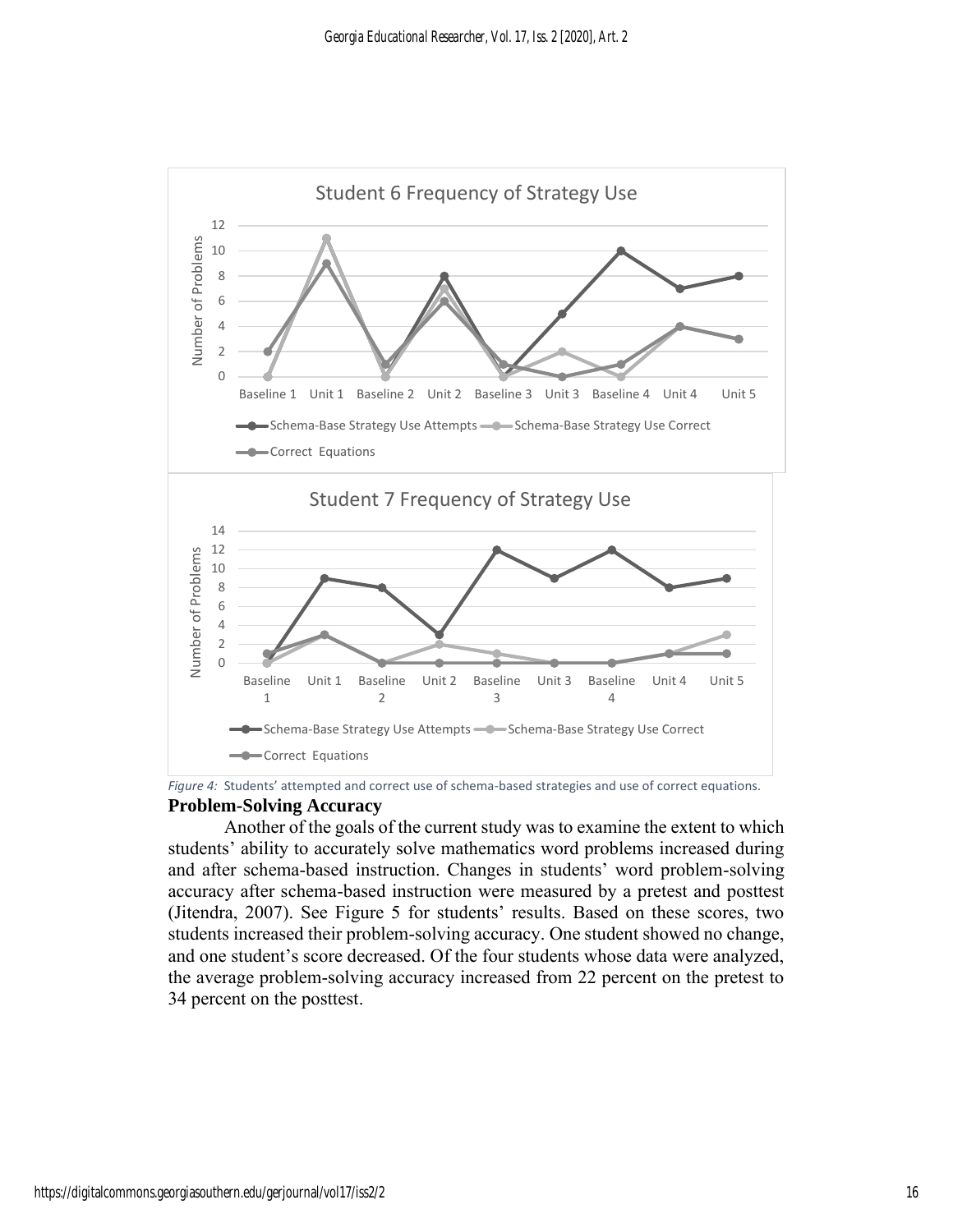

*Figure 4:* Students' attempted and correct use of schema-based strategies and use of correct equations. **Problem-Solving Accuracy**

Another of the goals of the current study was to examine the extent to which students' ability to accurately solve mathematics word problems increased during and after schema-based instruction. Changes in students' word problem-solving accuracy after schema-based instruction were measured by a pretest and posttest (Jitendra, 2007). See Figure 5 for students' results. Based on these scores, two students increased their problem-solving accuracy. One student showed no change, and one student's score decreased. Of the four students whose data were analyzed, the average problem-solving accuracy increased from 22 percent on the pretest to 34 percent on the posttest.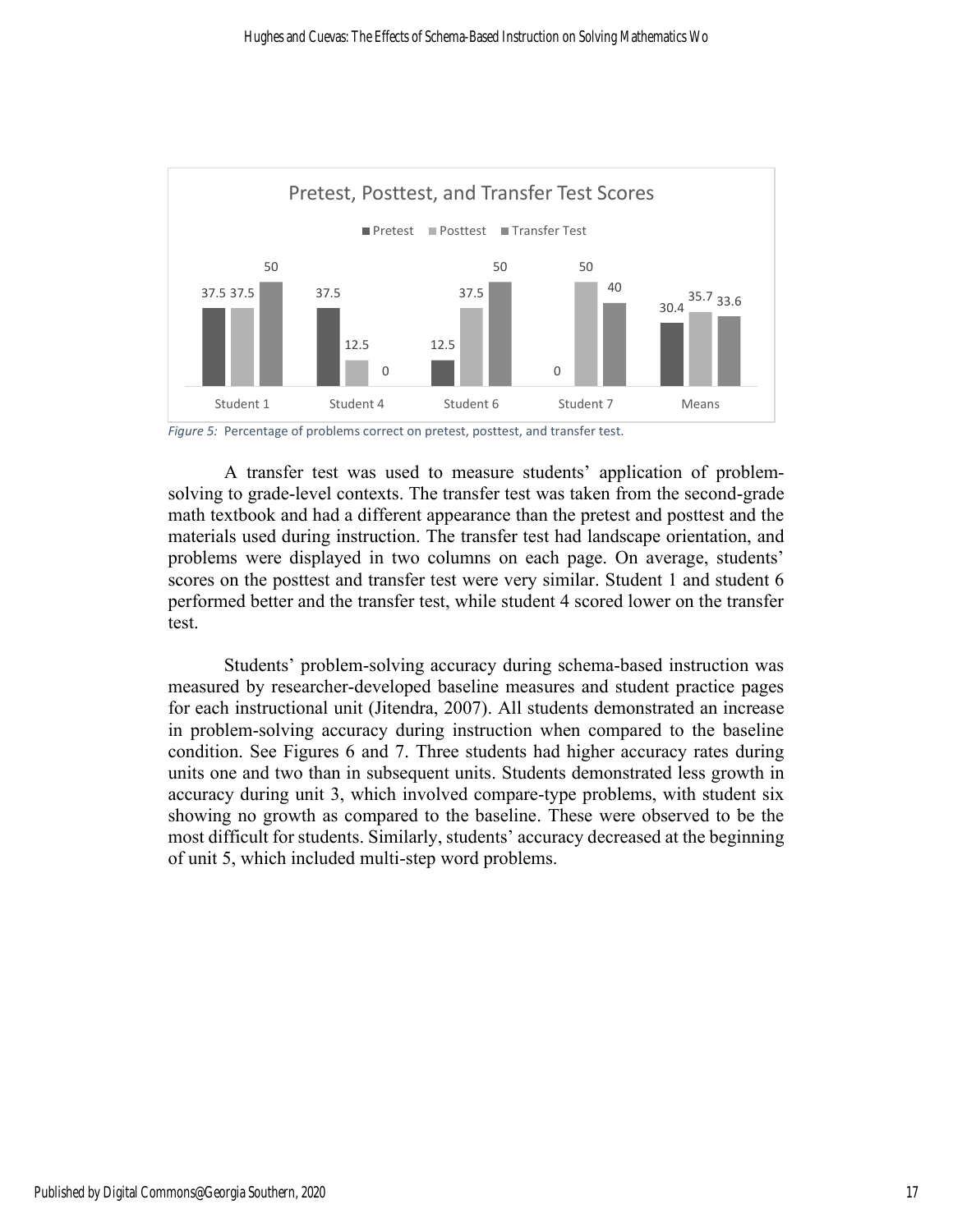

*Figure 5:* Percentage of problems correct on pretest, posttest, and transfer test.

A transfer test was used to measure students' application of problemsolving to grade-level contexts. The transfer test was taken from the second-grade math textbook and had a different appearance than the pretest and posttest and the materials used during instruction. The transfer test had landscape orientation, and problems were displayed in two columns on each page. On average, students' scores on the posttest and transfer test were very similar. Student 1 and student 6 performed better and the transfer test, while student 4 scored lower on the transfer test.

Students' problem-solving accuracy during schema-based instruction was measured by researcher-developed baseline measures and student practice pages for each instructional unit (Jitendra, 2007). All students demonstrated an increase in problem-solving accuracy during instruction when compared to the baseline condition. See Figures 6 and 7. Three students had higher accuracy rates during units one and two than in subsequent units. Students demonstrated less growth in accuracy during unit 3, which involved compare-type problems, with student six showing no growth as compared to the baseline. These were observed to be the most difficult for students. Similarly, students' accuracy decreased at the beginning of unit 5, which included multi-step word problems.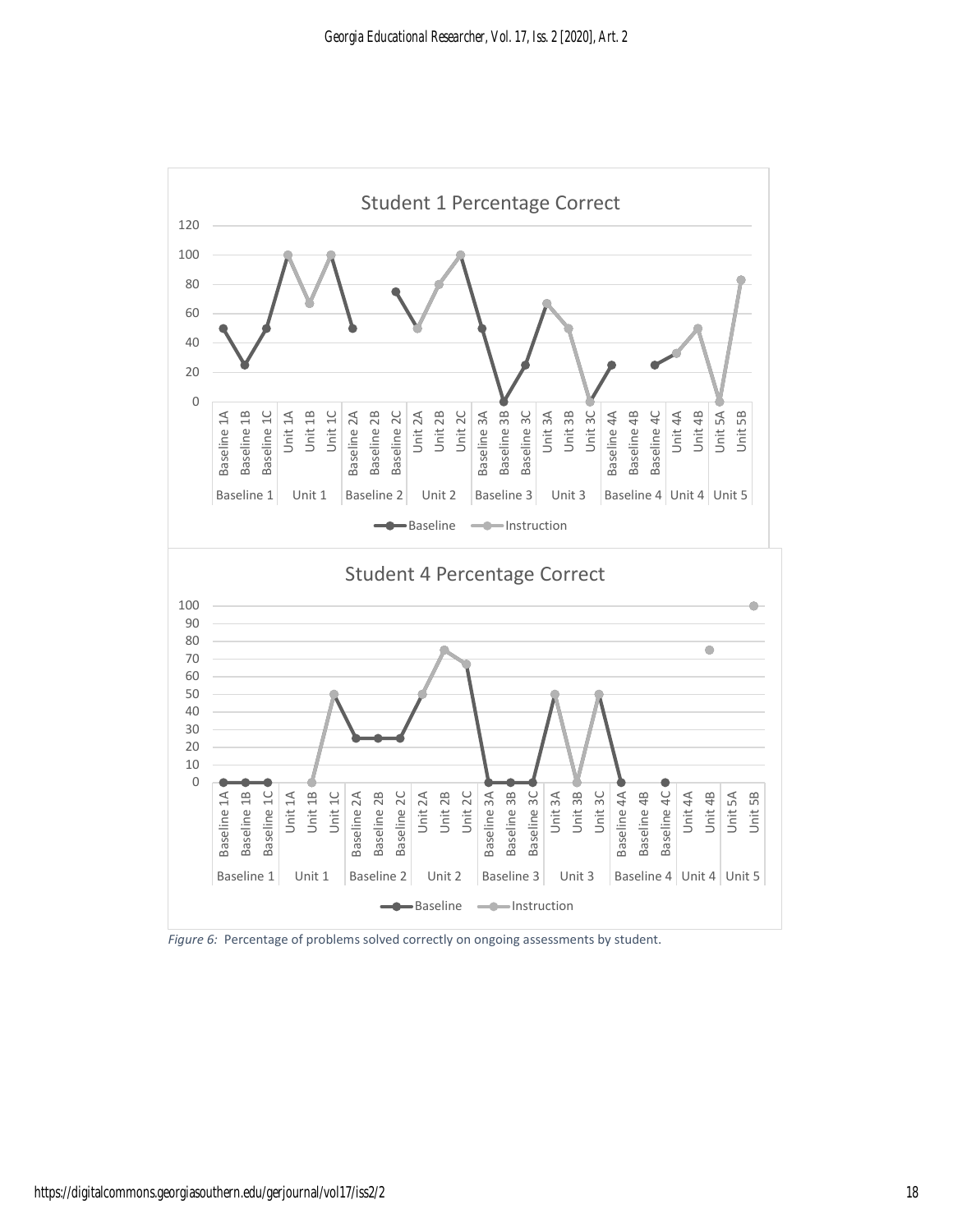

*Figure 6:* Percentage of problems solved correctly on ongoing assessments by student.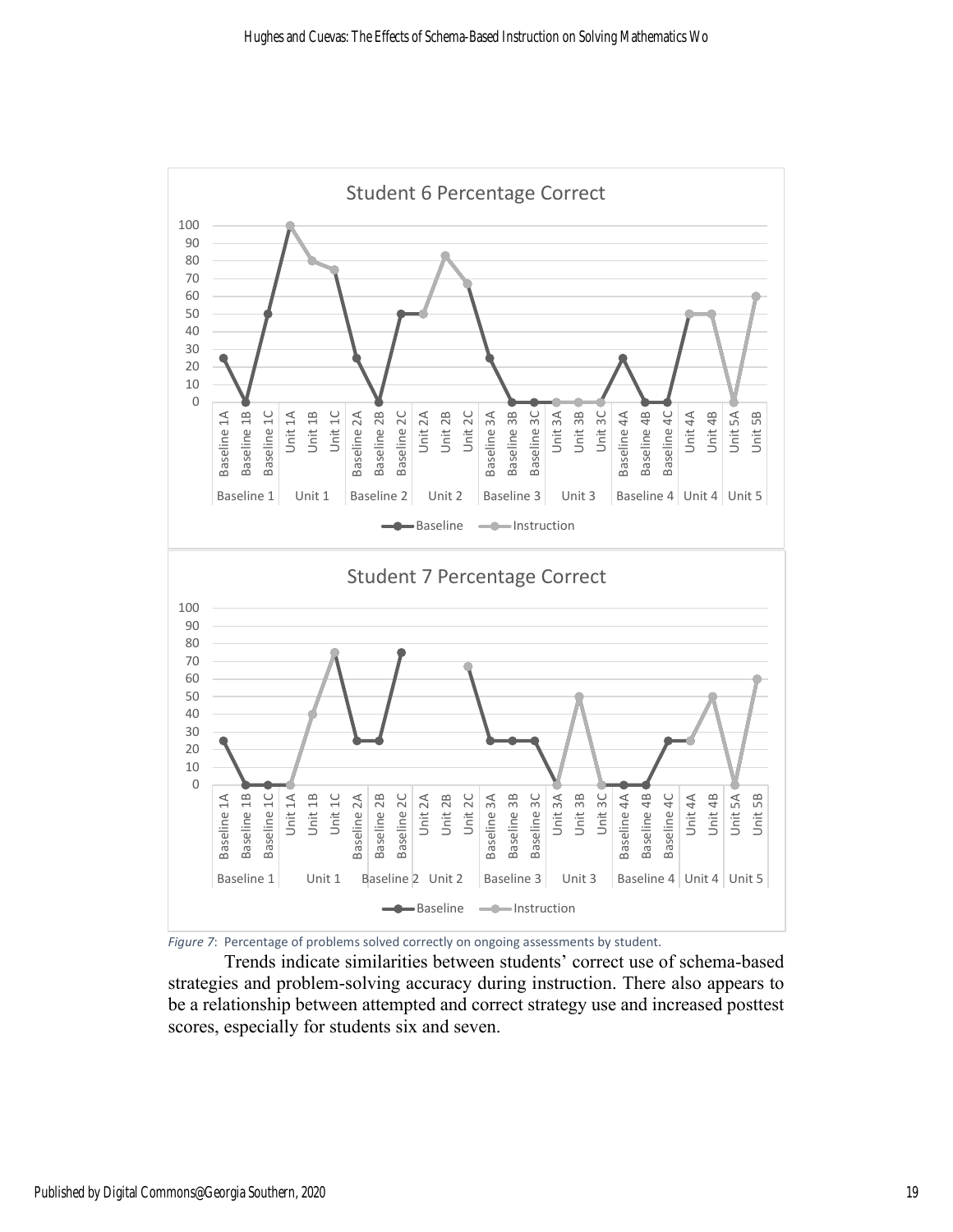

*Figure 7*: Percentage of problems solved correctly on ongoing assessments by student.

Trends indicate similarities between students' correct use of schema-based strategies and problem-solving accuracy during instruction. There also appears to be a relationship between attempted and correct strategy use and increased posttest scores, especially for students six and seven.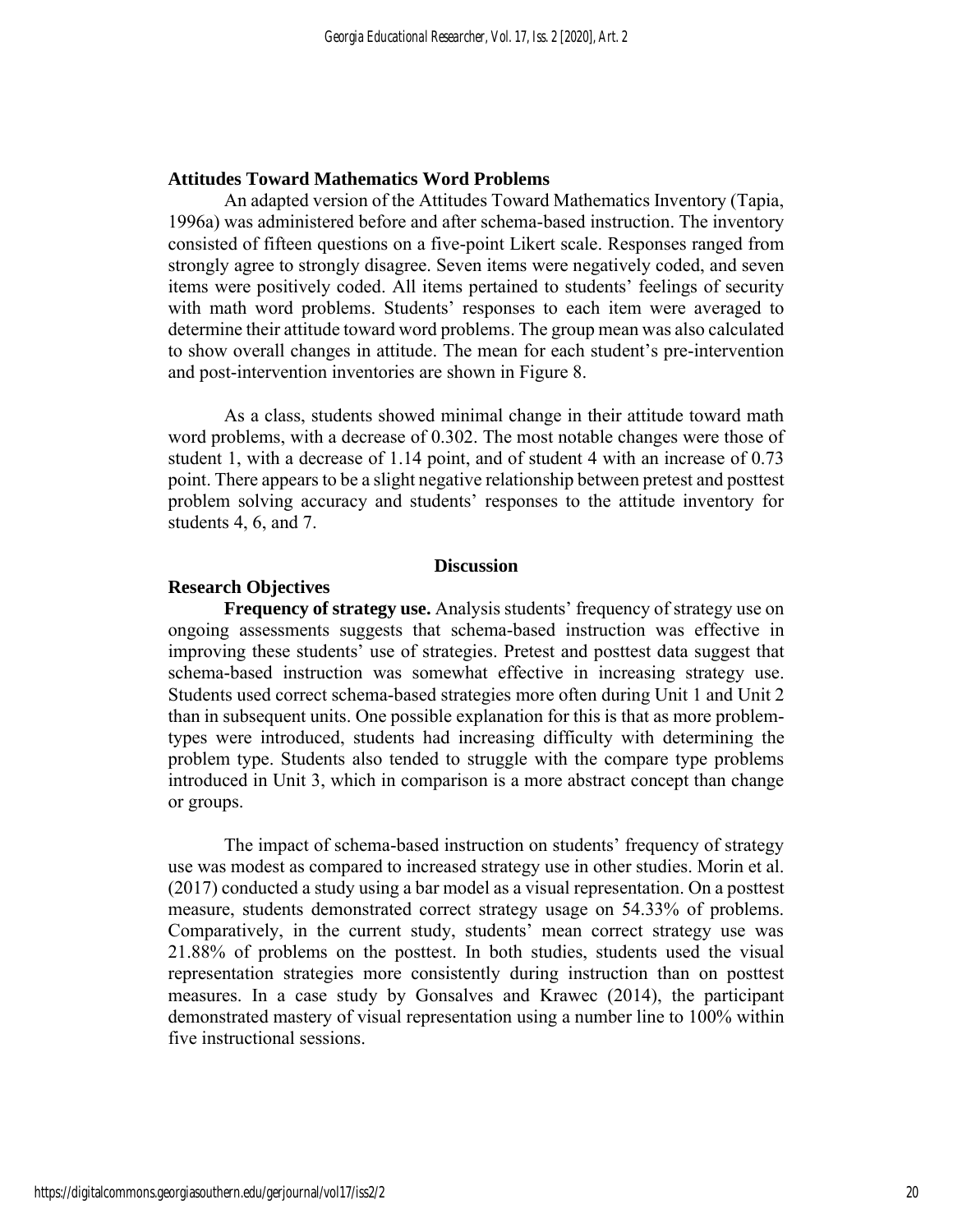#### **Attitudes Toward Mathematics Word Problems**

An adapted version of the Attitudes Toward Mathematics Inventory (Tapia, 1996a) was administered before and after schema-based instruction. The inventory consisted of fifteen questions on a five-point Likert scale. Responses ranged from strongly agree to strongly disagree. Seven items were negatively coded, and seven items were positively coded. All items pertained to students' feelings of security with math word problems. Students' responses to each item were averaged to determine their attitude toward word problems. The group mean was also calculated to show overall changes in attitude. The mean for each student's pre-intervention and post-intervention inventories are shown in Figure 8.

As a class, students showed minimal change in their attitude toward math word problems, with a decrease of 0.302. The most notable changes were those of student 1, with a decrease of 1.14 point, and of student 4 with an increase of 0.73 point. There appears to be a slight negative relationship between pretest and posttest problem solving accuracy and students' responses to the attitude inventory for students 4, 6, and 7.

#### **Discussion**

#### **Research Objectives**

**Frequency of strategy use.** Analysis students' frequency of strategy use on ongoing assessments suggests that schema-based instruction was effective in improving these students' use of strategies. Pretest and posttest data suggest that schema-based instruction was somewhat effective in increasing strategy use. Students used correct schema-based strategies more often during Unit 1 and Unit 2 than in subsequent units. One possible explanation for this is that as more problemtypes were introduced, students had increasing difficulty with determining the problem type. Students also tended to struggle with the compare type problems introduced in Unit 3, which in comparison is a more abstract concept than change or groups.

The impact of schema-based instruction on students' frequency of strategy use was modest as compared to increased strategy use in other studies. Morin et al. (2017) conducted a study using a bar model as a visual representation. On a posttest measure, students demonstrated correct strategy usage on 54.33% of problems. Comparatively, in the current study, students' mean correct strategy use was 21.88% of problems on the posttest. In both studies, students used the visual representation strategies more consistently during instruction than on posttest measures. In a case study by Gonsalves and Krawec (2014), the participant demonstrated mastery of visual representation using a number line to 100% within five instructional sessions.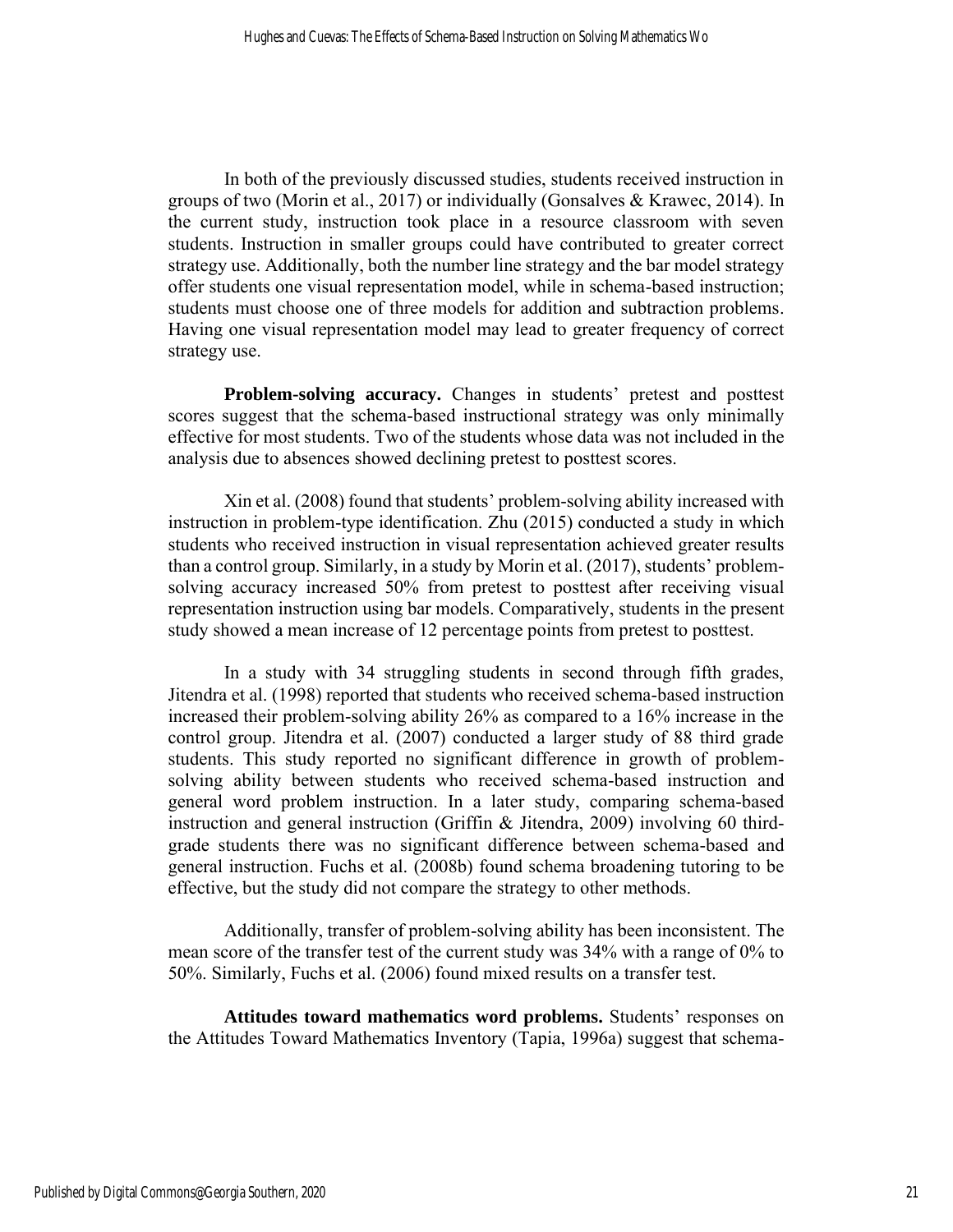In both of the previously discussed studies, students received instruction in groups of two (Morin et al., 2017) or individually (Gonsalves & Krawec, 2014). In the current study, instruction took place in a resource classroom with seven students. Instruction in smaller groups could have contributed to greater correct strategy use. Additionally, both the number line strategy and the bar model strategy offer students one visual representation model, while in schema-based instruction; students must choose one of three models for addition and subtraction problems. Having one visual representation model may lead to greater frequency of correct strategy use.

**Problem-solving accuracy.** Changes in students' pretest and posttest scores suggest that the schema-based instructional strategy was only minimally effective for most students. Two of the students whose data was not included in the analysis due to absences showed declining pretest to posttest scores.

Xin et al. (2008) found that students' problem-solving ability increased with instruction in problem-type identification. Zhu (2015) conducted a study in which students who received instruction in visual representation achieved greater results than a control group. Similarly, in a study by Morin et al. (2017), students' problemsolving accuracy increased 50% from pretest to posttest after receiving visual representation instruction using bar models. Comparatively, students in the present study showed a mean increase of 12 percentage points from pretest to posttest.

In a study with 34 struggling students in second through fifth grades, Jitendra et al. (1998) reported that students who received schema-based instruction increased their problem-solving ability 26% as compared to a 16% increase in the control group. Jitendra et al. (2007) conducted a larger study of 88 third grade students. This study reported no significant difference in growth of problemsolving ability between students who received schema-based instruction and general word problem instruction. In a later study, comparing schema-based instruction and general instruction (Griffin & Jitendra, 2009) involving 60 thirdgrade students there was no significant difference between schema-based and general instruction. Fuchs et al. (2008b) found schema broadening tutoring to be effective, but the study did not compare the strategy to other methods.

Additionally, transfer of problem-solving ability has been inconsistent. The mean score of the transfer test of the current study was 34% with a range of 0% to 50%. Similarly, Fuchs et al. (2006) found mixed results on a transfer test.

**Attitudes toward mathematics word problems.** Students' responses on the Attitudes Toward Mathematics Inventory (Tapia, 1996a) suggest that schema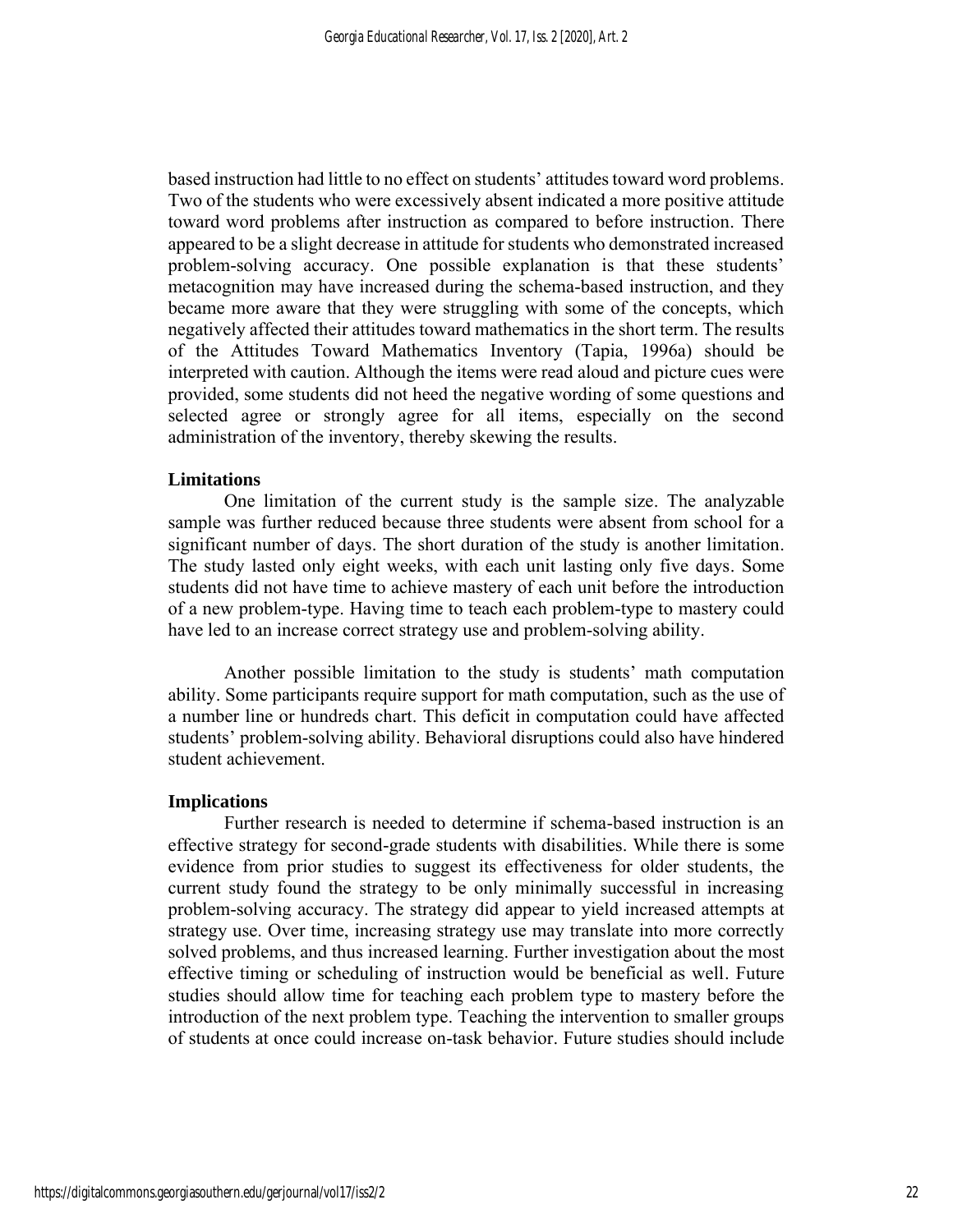based instruction had little to no effect on students' attitudes toward word problems. Two of the students who were excessively absent indicated a more positive attitude toward word problems after instruction as compared to before instruction. There appeared to be a slight decrease in attitude for students who demonstrated increased problem-solving accuracy. One possible explanation is that these students' metacognition may have increased during the schema-based instruction, and they became more aware that they were struggling with some of the concepts, which negatively affected their attitudes toward mathematics in the short term. The results of the Attitudes Toward Mathematics Inventory (Tapia, 1996a) should be interpreted with caution. Although the items were read aloud and picture cues were provided, some students did not heed the negative wording of some questions and selected agree or strongly agree for all items, especially on the second administration of the inventory, thereby skewing the results.

#### **Limitations**

One limitation of the current study is the sample size. The analyzable sample was further reduced because three students were absent from school for a significant number of days. The short duration of the study is another limitation. The study lasted only eight weeks, with each unit lasting only five days. Some students did not have time to achieve mastery of each unit before the introduction of a new problem-type. Having time to teach each problem-type to mastery could have led to an increase correct strategy use and problem-solving ability.

Another possible limitation to the study is students' math computation ability. Some participants require support for math computation, such as the use of a number line or hundreds chart. This deficit in computation could have affected students' problem-solving ability. Behavioral disruptions could also have hindered student achievement.

#### **Implications**

Further research is needed to determine if schema-based instruction is an effective strategy for second-grade students with disabilities. While there is some evidence from prior studies to suggest its effectiveness for older students, the current study found the strategy to be only minimally successful in increasing problem-solving accuracy. The strategy did appear to yield increased attempts at strategy use. Over time, increasing strategy use may translate into more correctly solved problems, and thus increased learning. Further investigation about the most effective timing or scheduling of instruction would be beneficial as well. Future studies should allow time for teaching each problem type to mastery before the introduction of the next problem type. Teaching the intervention to smaller groups of students at once could increase on-task behavior. Future studies should include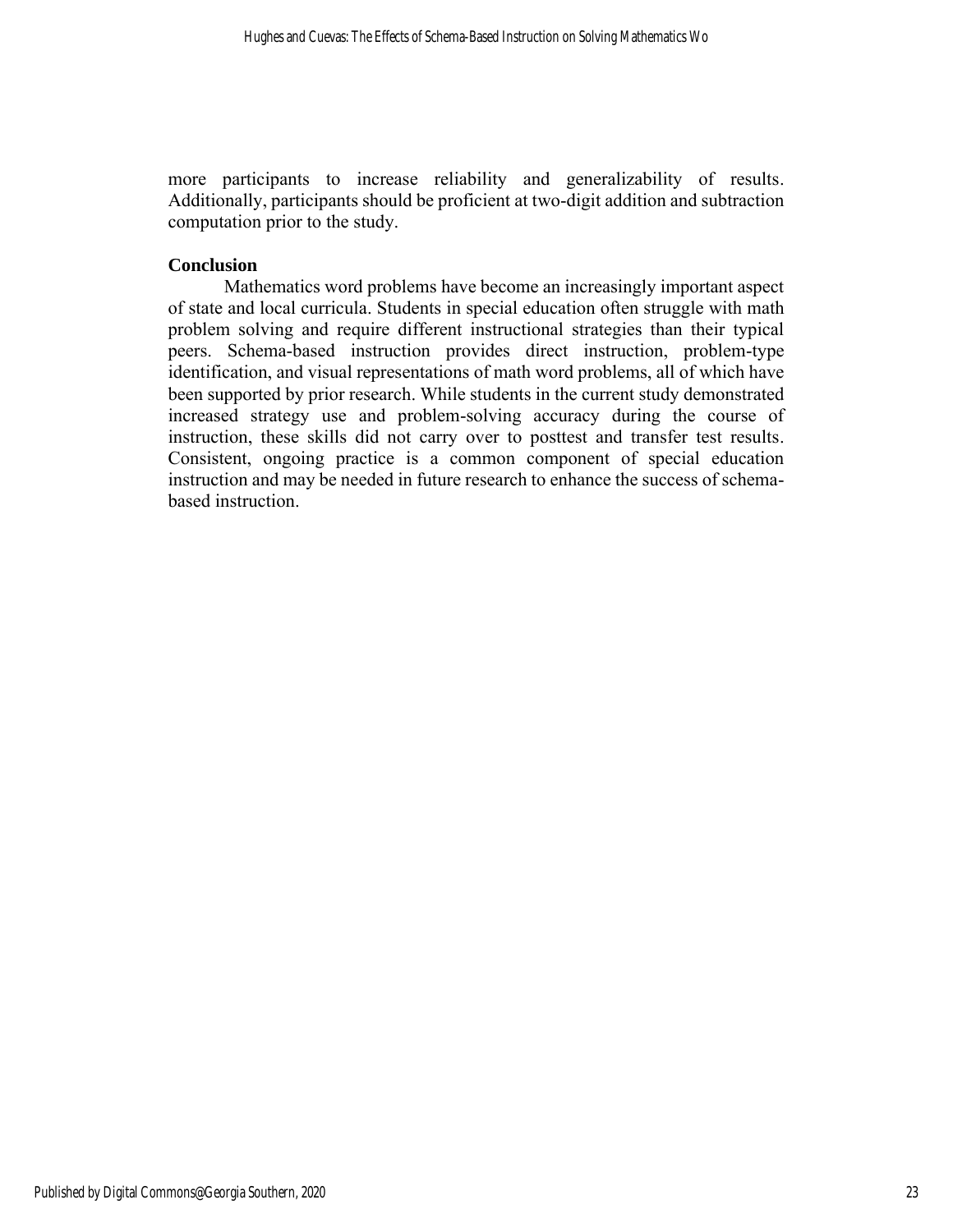more participants to increase reliability and generalizability of results. Additionally, participants should be proficient at two-digit addition and subtraction computation prior to the study.

#### **Conclusion**

Mathematics word problems have become an increasingly important aspect of state and local curricula. Students in special education often struggle with math problem solving and require different instructional strategies than their typical peers. Schema-based instruction provides direct instruction, problem-type identification, and visual representations of math word problems, all of which have been supported by prior research. While students in the current study demonstrated increased strategy use and problem-solving accuracy during the course of instruction, these skills did not carry over to posttest and transfer test results. Consistent, ongoing practice is a common component of special education instruction and may be needed in future research to enhance the success of schemabased instruction.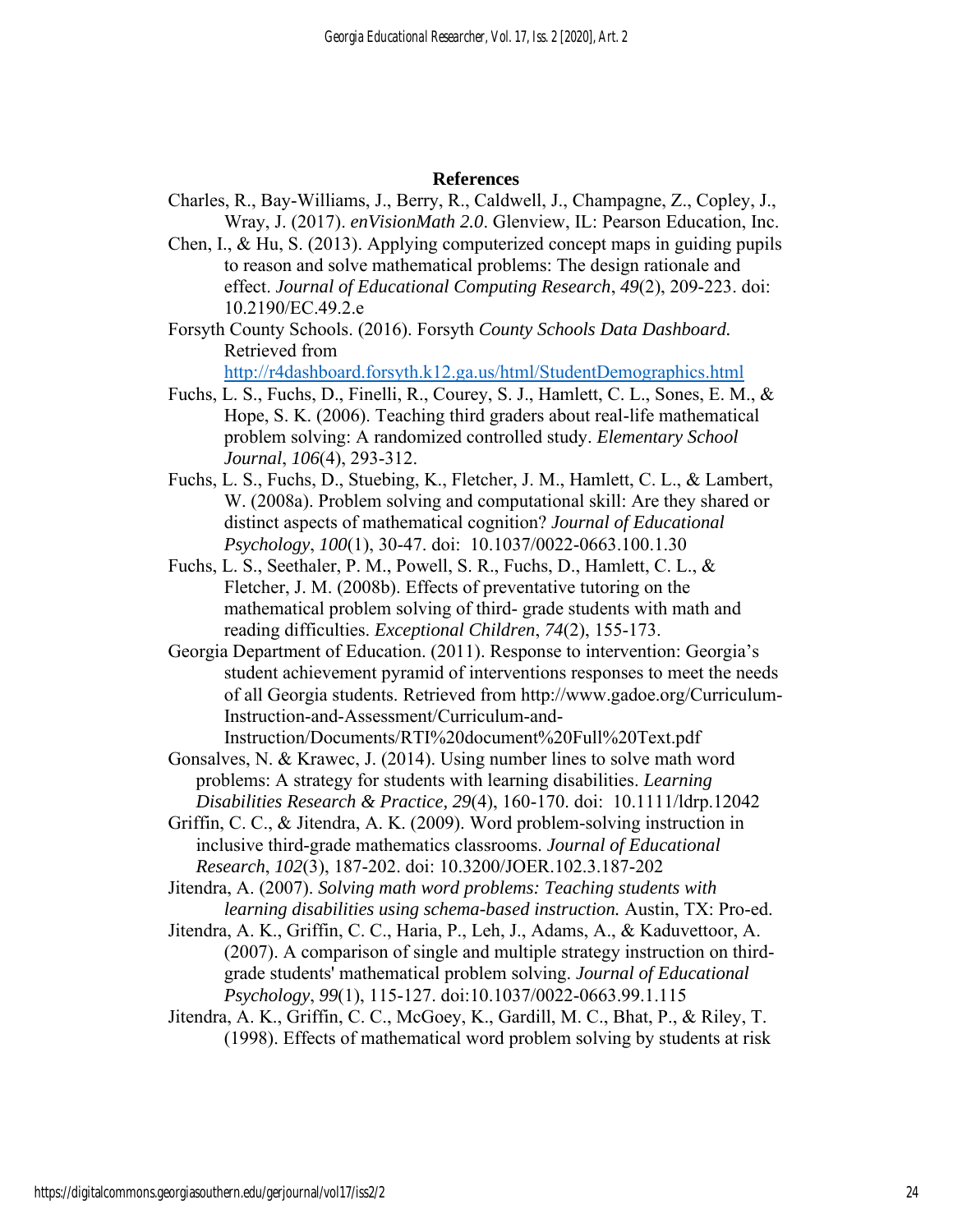#### **References**

- Charles, R., Bay-Williams, J., Berry, R., Caldwell, J., Champagne, Z., Copley, J., Wray, J. (2017). *enVisionMath 2.0*. Glenview, IL: Pearson Education, Inc.
- Chen, I., & Hu, S. (2013). Applying computerized concept maps in guiding pupils to reason and solve mathematical problems: The design rationale and effect. *Journal of Educational Computing Research*, *49*(2), 209-223. doi: 10.2190/EC.49.2.e
- Forsyth County Schools. (2016). Forsyth *County Schools Data Dashboard.* Retrieved from

<http://r4dashboard.forsyth.k12.ga.us/html/StudentDemographics.html>

- Fuchs, L. S., Fuchs, D., Finelli, R., Courey, S. J., Hamlett, C. L., Sones, E. M., & Hope, S. K. (2006). Teaching third graders about real-life mathematical problem solving: A randomized controlled study. *Elementary School Journal*, *106*(4), 293-312.
- Fuchs, L. S., Fuchs, D., Stuebing, K., Fletcher, J. M., Hamlett, C. L., & Lambert, W. (2008a). Problem solving and computational skill: Are they shared or distinct aspects of mathematical cognition? *Journal of Educational Psychology*, *100*(1), 30-47. doi: 10.1037/0022-0663.100.1.30
- Fuchs, L. S., Seethaler, P. M., Powell, S. R., Fuchs, D., Hamlett, C. L., & Fletcher, J. M. (2008b). Effects of preventative tutoring on the mathematical problem solving of third- grade students with math and reading difficulties. *Exceptional Children*, *74*(2), 155-173.
- Georgia Department of Education. (2011). Response to intervention: Georgia's student achievement pyramid of interventions responses to meet the needs of all Georgia students. Retrieved from http://www.gadoe.org/Curriculum-Instruction-and-Assessment/Curriculum-and-Instruction/Documents/RTI%20document%20Full%20Text.pdf
- Gonsalves, N. & Krawec, J. (2014). Using number lines to solve math word problems: A strategy for students with learning disabilities. *Learning Disabilities Research & Practice, 29*(4), 160-170. doi: 10.1111/ldrp.12042
- Griffin, C. C., & Jitendra, A. K. (2009). Word problem-solving instruction in inclusive third-grade mathematics classrooms. *Journal of Educational Research*, *102*(3), 187-202. doi: 10.3200/JOER.102.3.187-202

Jitendra, A. (2007). *Solving math word problems: Teaching students with learning disabilities using schema-based instruction.* Austin, TX: Pro-ed.

- Jitendra, A. K., Griffin, C. C., Haria, P., Leh, J., Adams, A., & Kaduvettoor, A. (2007). A comparison of single and multiple strategy instruction on thirdgrade students' mathematical problem solving. *Journal of Educational Psychology*, *99*(1), 115-127. doi:10.1037/0022-0663.99.1.115
- Jitendra, A. K., Griffin, C. C., McGoey, K., Gardill, M. C., Bhat, P., & Riley, T. (1998). Effects of mathematical word problem solving by students at risk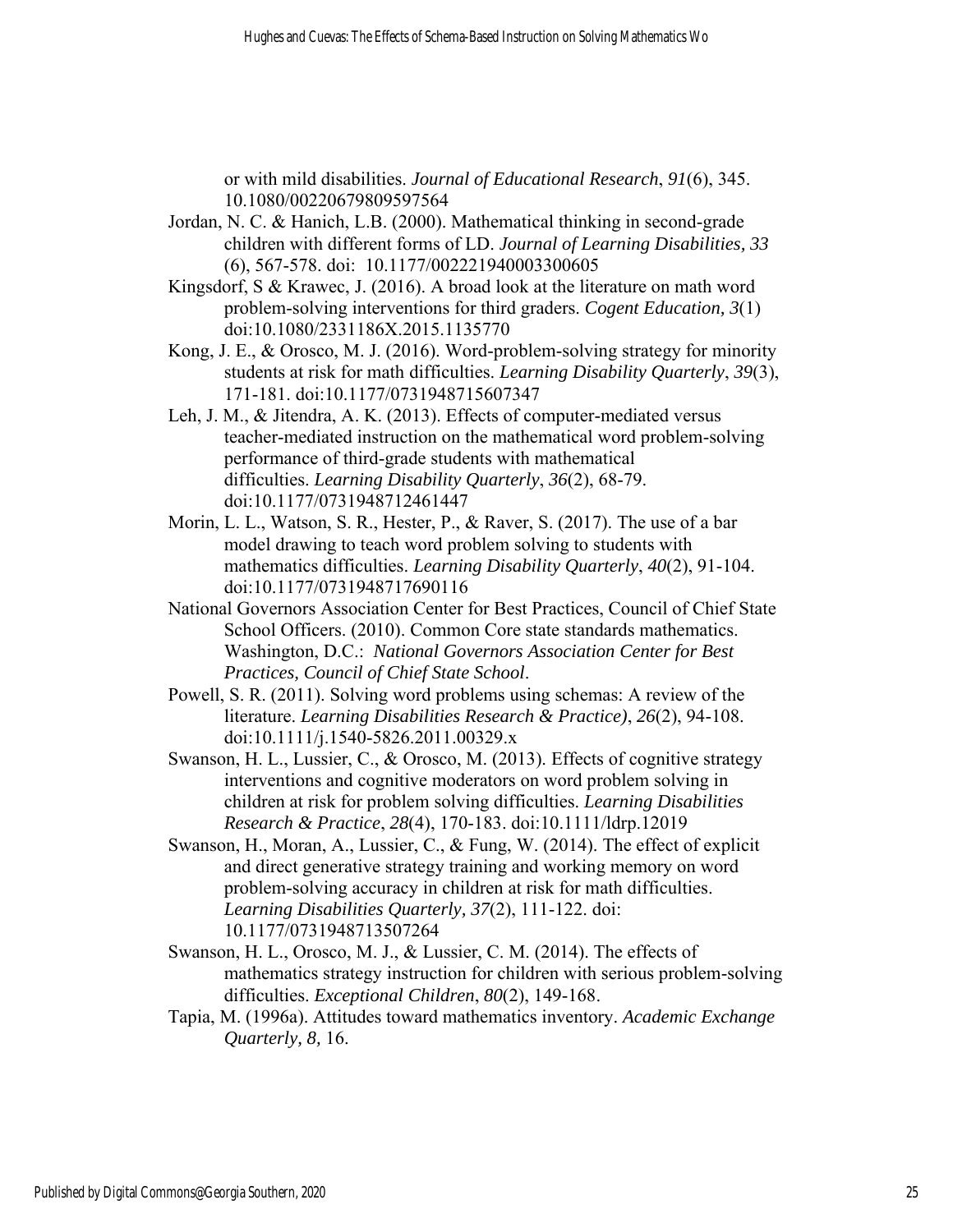or with mild disabilities. *Journal of Educational Research*, *91*(6), 345. 10.1080/00220679809597564

- Jordan, N. C. & Hanich, L.B. (2000). Mathematical thinking in second-grade children with different forms of LD. *Journal of Learning Disabilities, 33* (6), 567-578. doi: 10.1177/002221940003300605
- Kingsdorf, S & Krawec, J. (2016). A broad look at the literature on math word problem-solving interventions for third graders. *Cogent Education, 3*(1) doi:10.1080/2331186X.2015.1135770
- Kong, J. E., & Orosco, M. J. (2016). Word-problem-solving strategy for minority students at risk for math difficulties. *Learning Disability Quarterly*, *39*(3), 171-181. doi:10.1177/0731948715607347
- Leh, J. M., & Jitendra, A. K. (2013). Effects of computer-mediated versus teacher-mediated instruction on the mathematical word problem-solving performance of third-grade students with mathematical difficulties. *Learning Disability Quarterly*, *36*(2), 68-79. doi:10.1177/0731948712461447
- Morin, L. L., Watson, S. R., Hester, P., & Raver, S. (2017). The use of a bar model drawing to teach word problem solving to students with mathematics difficulties. *Learning Disability Quarterly*, *40*(2), 91-104. doi:10.1177/0731948717690116
- National Governors Association Center for Best Practices, Council of Chief State School Officers. (2010). Common Core state standards mathematics. Washington, D.C.: *National Governors Association Center for Best Practices, Council of Chief State School*.
- Powell, S. R. (2011). Solving word problems using schemas: A review of the literature. *Learning Disabilities Research & Practice)*, *26*(2), 94-108. doi:10.1111/j.1540-5826.2011.00329.x
- Swanson, H. L., Lussier, C., & Orosco, M. (2013). Effects of cognitive strategy interventions and cognitive moderators on word problem solving in children at risk for problem solving difficulties. *Learning Disabilities Research & Practice*, *28*(4), 170-183. doi:10.1111/ldrp.12019
- Swanson, H., Moran, A., Lussier, C., & Fung, W. (2014). The effect of explicit and direct generative strategy training and working memory on word problem-solving accuracy in children at risk for math difficulties. *Learning Disabilities Quarterly, 37*(2), 111-122. doi: 10.1177/0731948713507264
- Swanson, H. L., Orosco, M. J., & Lussier, C. M. (2014). The effects of mathematics strategy instruction for children with serious problem-solving difficulties. *Exceptional Children*, *80*(2), 149-168.
- Tapia, M. (1996a). Attitudes toward mathematics inventory. *Academic Exchange Quarterly, 8,* 16.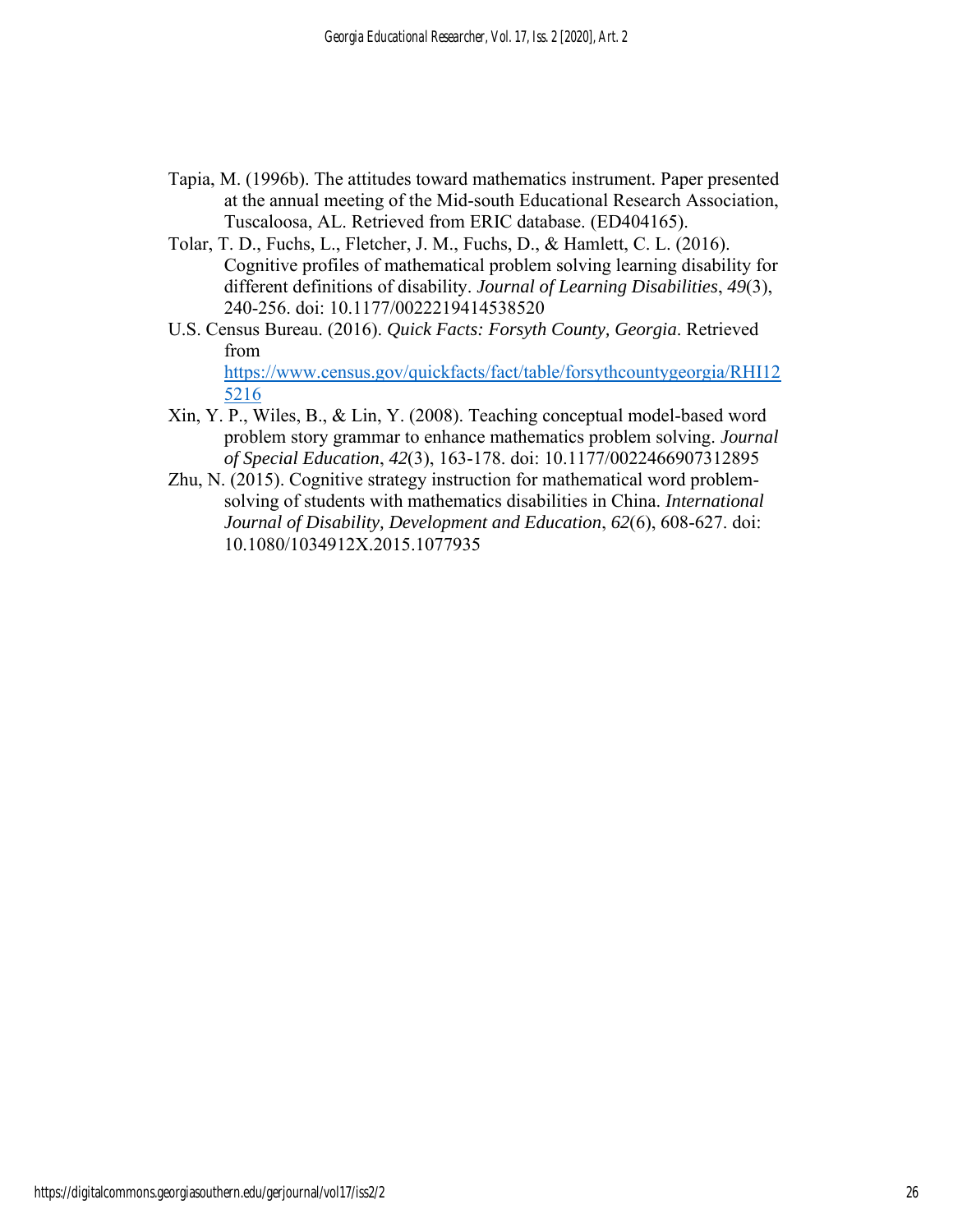- Tapia, M. (1996b). The attitudes toward mathematics instrument. Paper presented at the annual meeting of the Mid-south Educational Research Association, Tuscaloosa, AL. Retrieved from ERIC database. (ED404165).
- Tolar, T. D., Fuchs, L., Fletcher, J. M., Fuchs, D., & Hamlett, C. L. (2016). Cognitive profiles of mathematical problem solving learning disability for different definitions of disability. *Journal of Learning Disabilities*, *49*(3), 240-256. doi: 10.1177/0022219414538520
- U.S. Census Bureau. (2016). *Quick Facts: Forsyth County, Georgia*. Retrieved from [https://www.census.gov/quickfacts/fact/table/forsythcountygeorgia/RHI12](https://www.census.gov/quickfacts/fact/table/forsythcountygeorgia/RHI125216) [5216](https://www.census.gov/quickfacts/fact/table/forsythcountygeorgia/RHI125216)
- Xin, Y. P., Wiles, B., & Lin, Y. (2008). Teaching conceptual model-based word problem story grammar to enhance mathematics problem solving. *Journal of Special Education*, *42*(3), 163-178. doi: 10.1177/0022466907312895
- Zhu, N. (2015). Cognitive strategy instruction for mathematical word problemsolving of students with mathematics disabilities in China. *International Journal of Disability, Development and Education*, *62*(6), 608-627. doi: 10.1080/1034912X.2015.1077935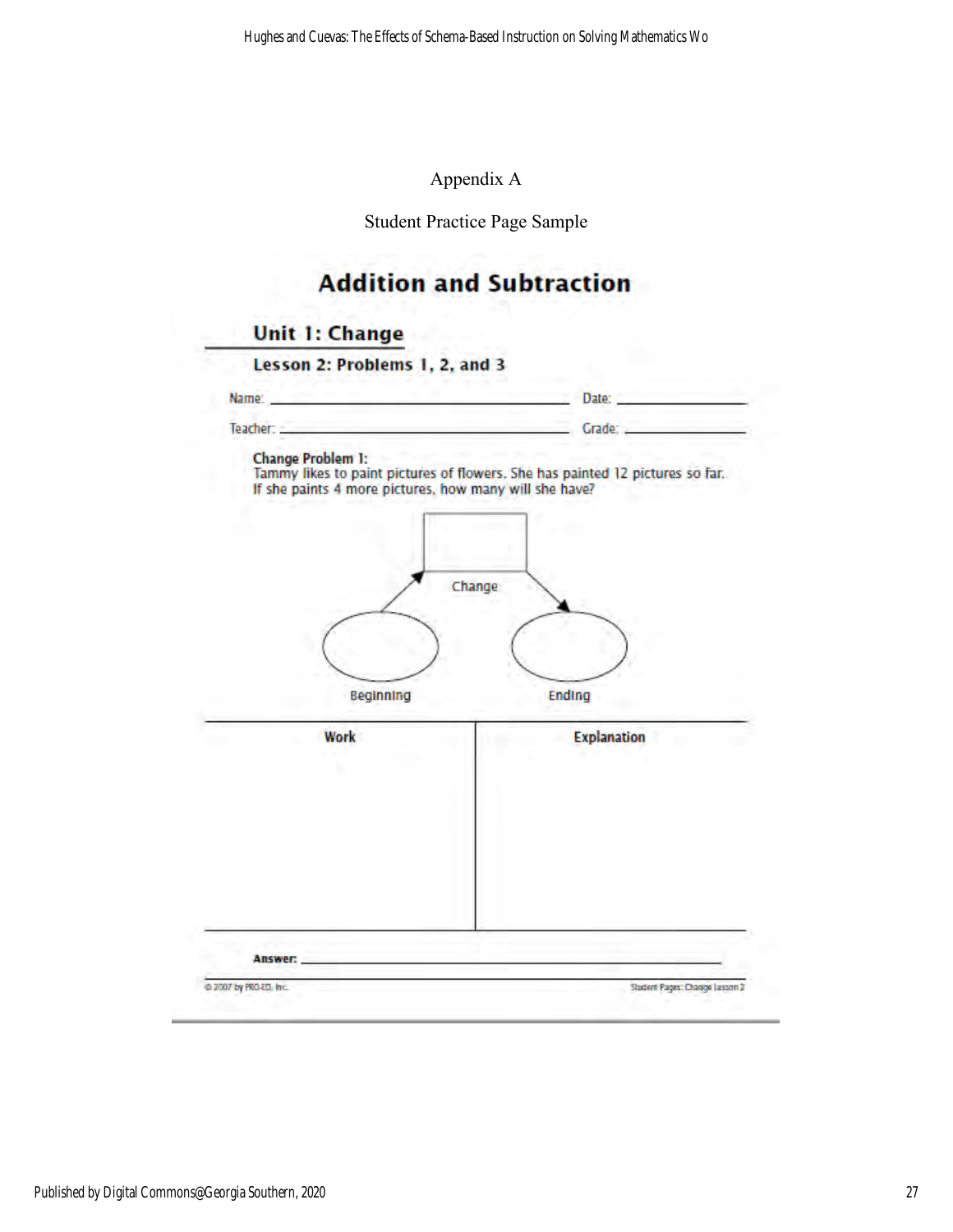## Appendix A

Student Practice Page Sample

# **Addition and Subtraction**

# **Unit 1: Change**

| Name: https://www.com/communications/communications/communications/communications/communications/communications/ | Date:                                                                                    |
|------------------------------------------------------------------------------------------------------------------|------------------------------------------------------------------------------------------|
| Teacher:                                                                                                         | Crade: Canada and Crade: Crade: 2002.                                                    |
| <b>Change Problem 1:</b><br>If she paints 4 more pictures, how many will she have?                               | Tammy likes to paint pictures of flowers. She has painted 12 pictures so far.<br>Change: |
| Beginning<br>Work                                                                                                | Ending<br><b>Explanation</b>                                                             |
|                                                                                                                  |                                                                                          |
|                                                                                                                  |                                                                                          |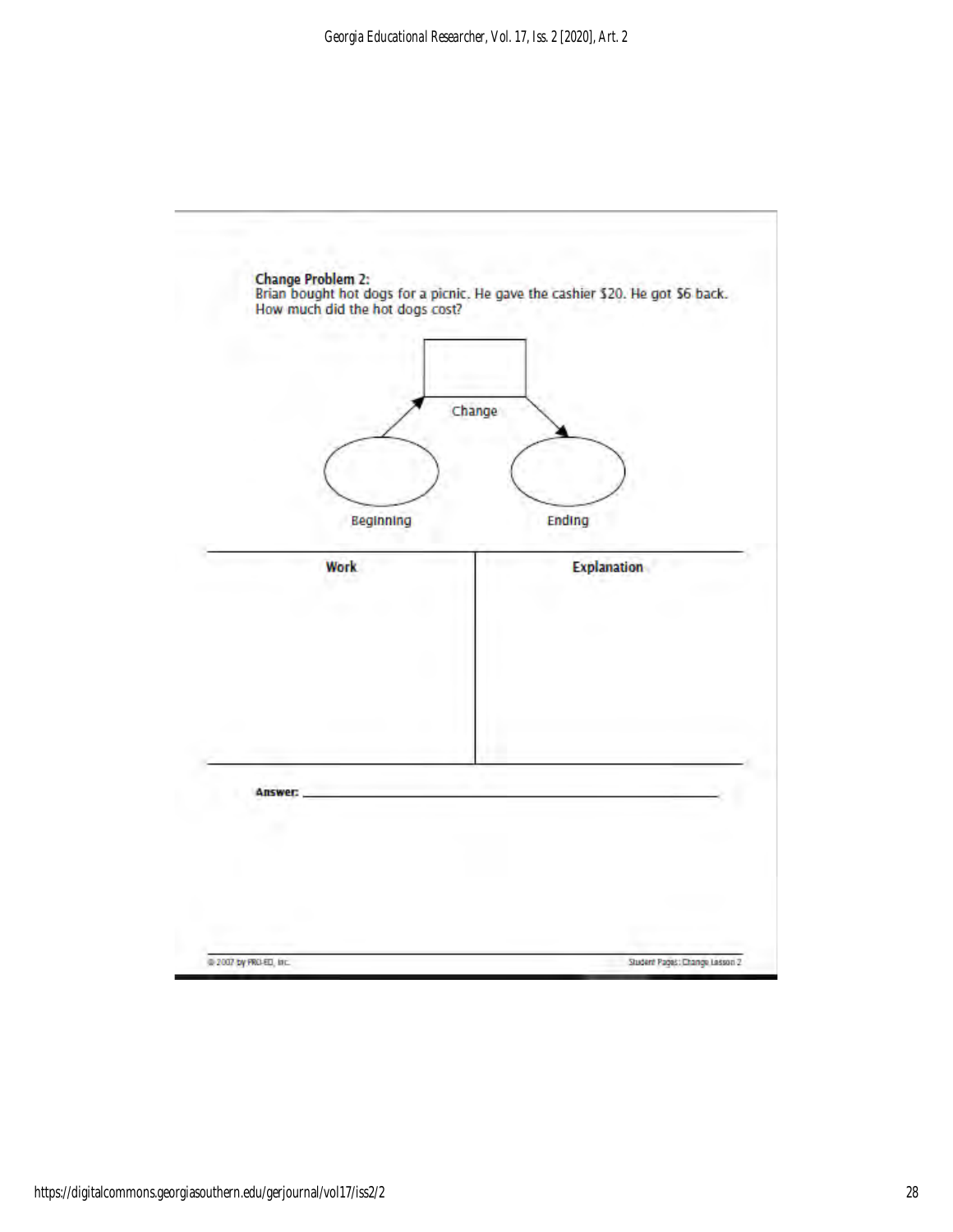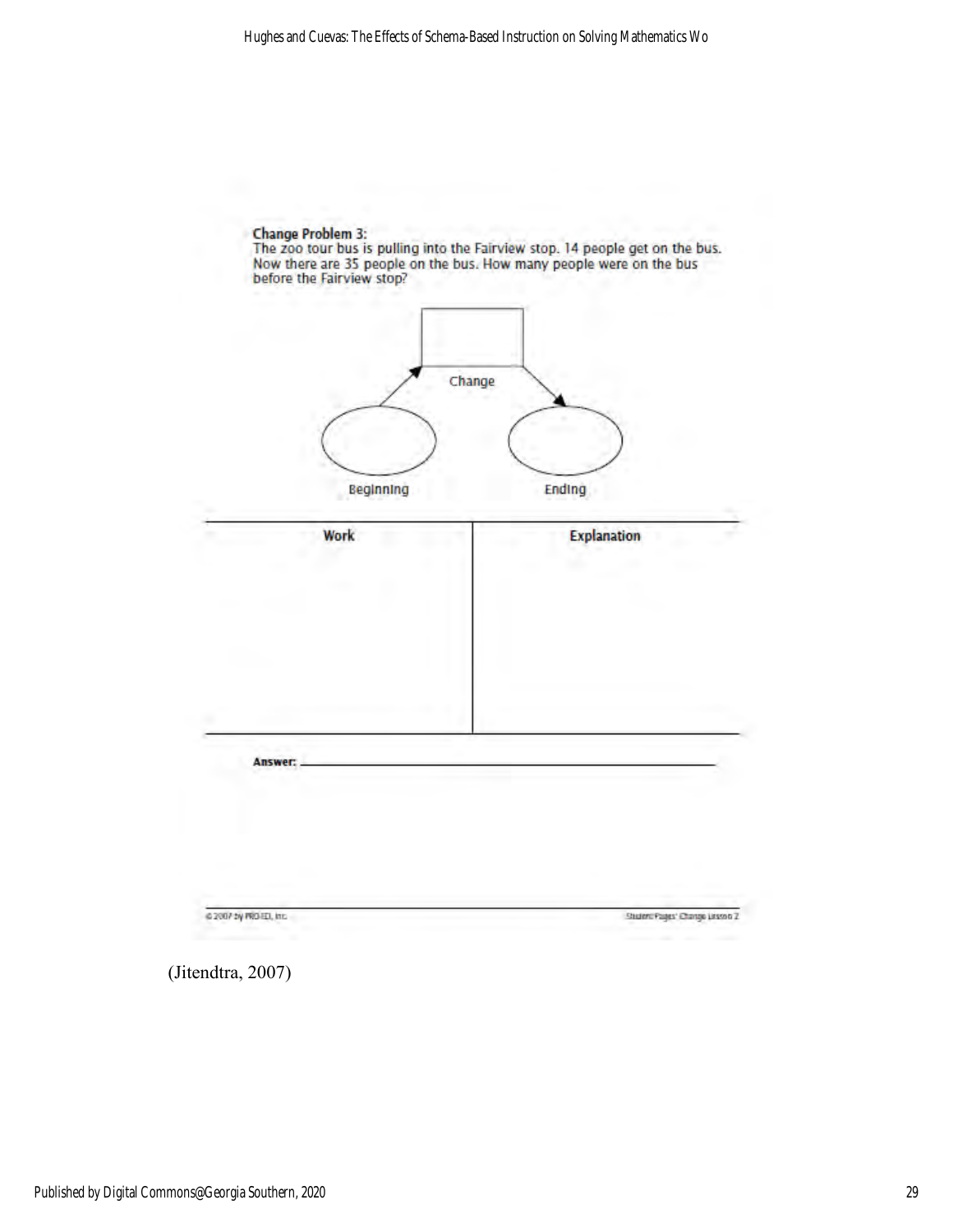

(Jitendtra, 2007)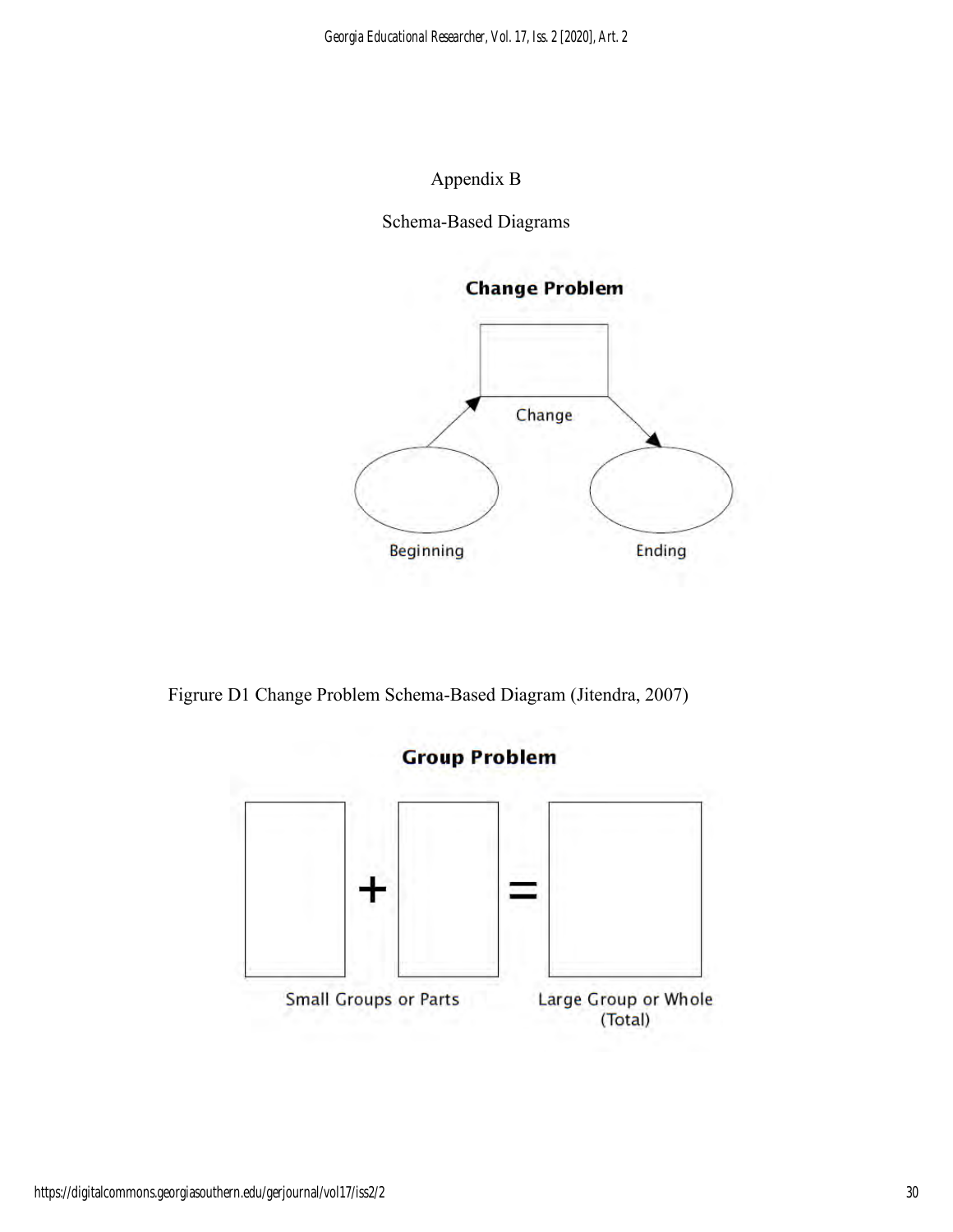## Appendix B

Schema-Based Diagrams



Figrure D1 Change Problem Schema-Based Diagram (Jitendra, 2007)

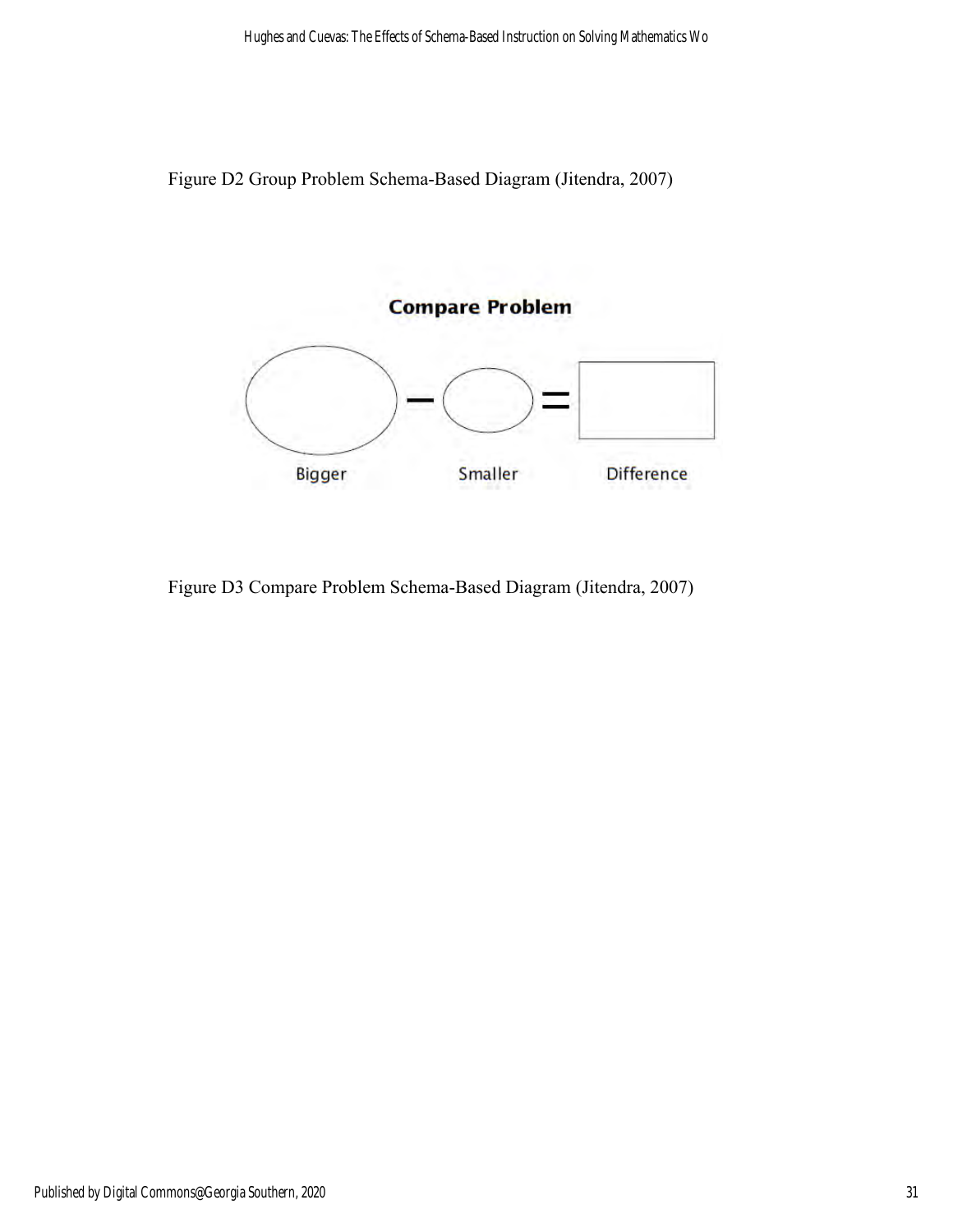Figure D2 Group Problem Schema-Based Diagram (Jitendra, 2007)



Figure D3 Compare Problem Schema-Based Diagram (Jitendra, 2007)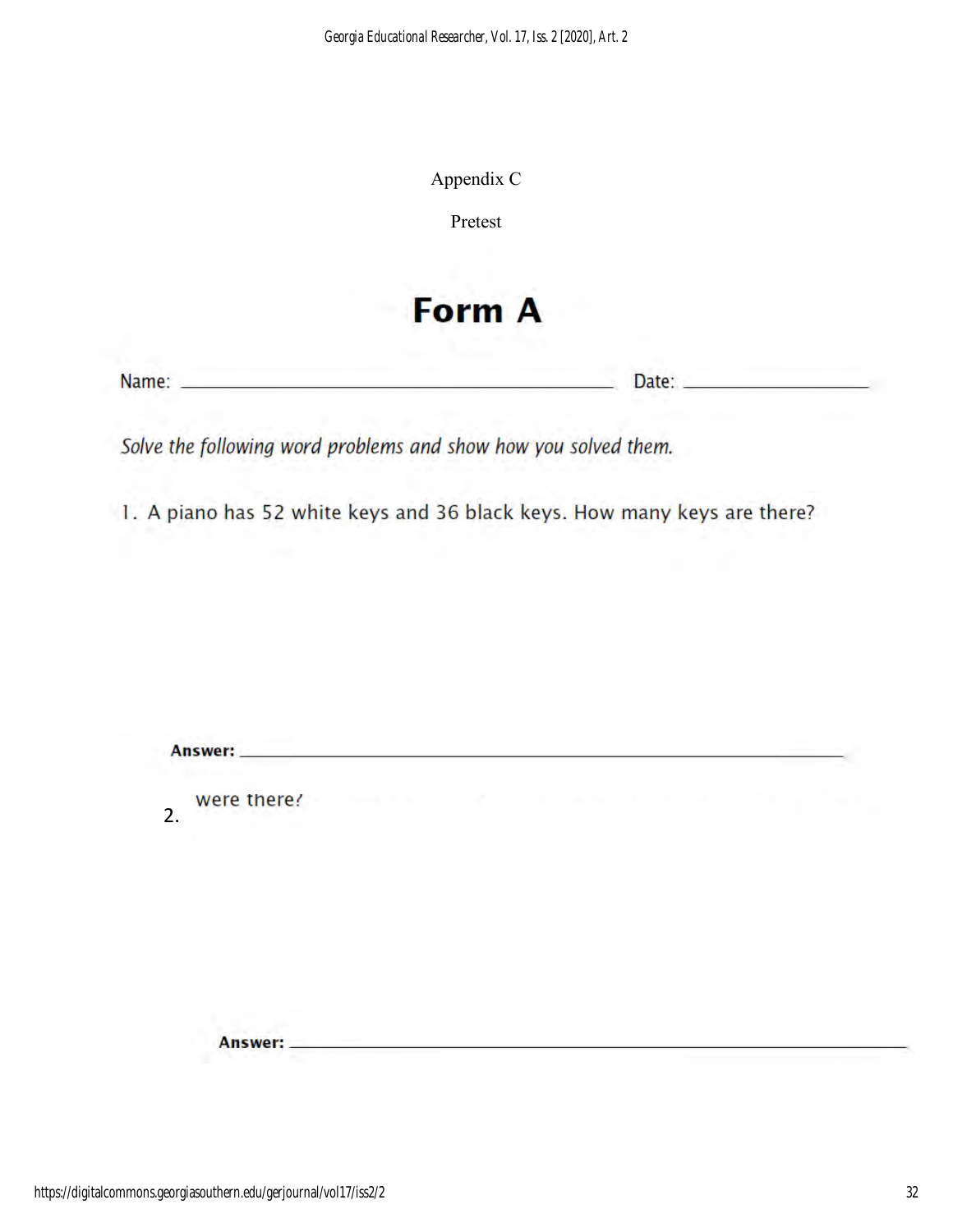| Appendix C |
|------------|
|------------|

Pretest

# **Form A**

Name:

Date:

Solve the following word problems and show how you solved them.

1. A piano has 52 white keys and 36 black keys. How many keys are there?

| 10월 20일 전 시간  |                         |                           |  |
|---------------|-------------------------|---------------------------|--|
| were there!   | comments of the Control | <b>CONTRACTOR</b> AND THE |  |
|               |                         |                           |  |
|               |                         |                           |  |
|               |                         |                           |  |
|               |                         |                           |  |
| <b>Answer</b> |                         |                           |  |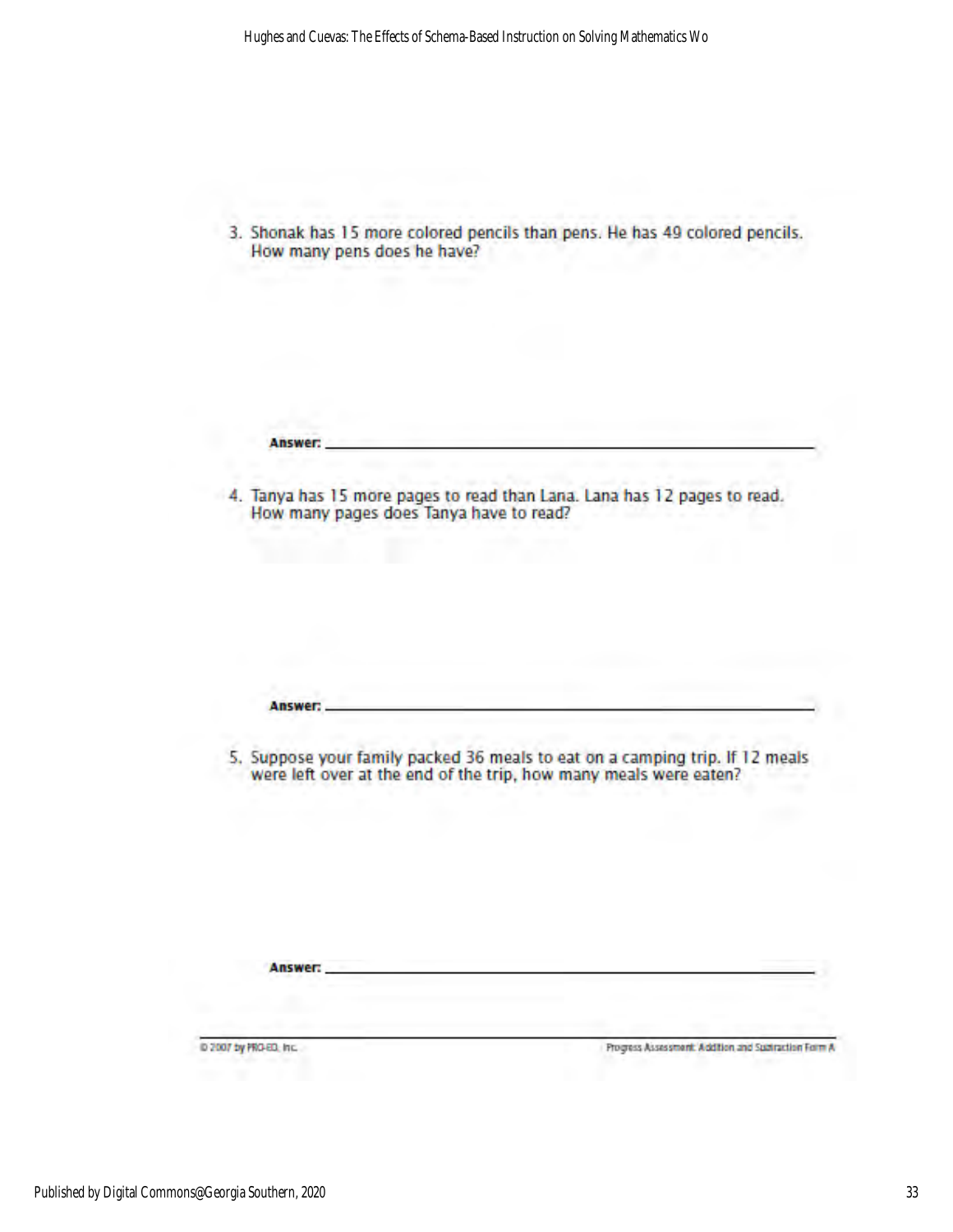3. Shonak has 15 more colored pencils than pens. He has 49 colored pencils. How many pens does he have?

Answer:

Answer:

Answer:

4. Tanya has 15 more pages to read than Lana. Lana has 12 pages to read. How many pages does Tanya have to read?

5. Suppose your family packed 36 meals to eat on a camping trip. If 12 meals were left over at the end of the trip, how many meals were eaten?

D 2007 by PRO-ED, Inc.

Progress Assessment: Addition and Spatraction Form A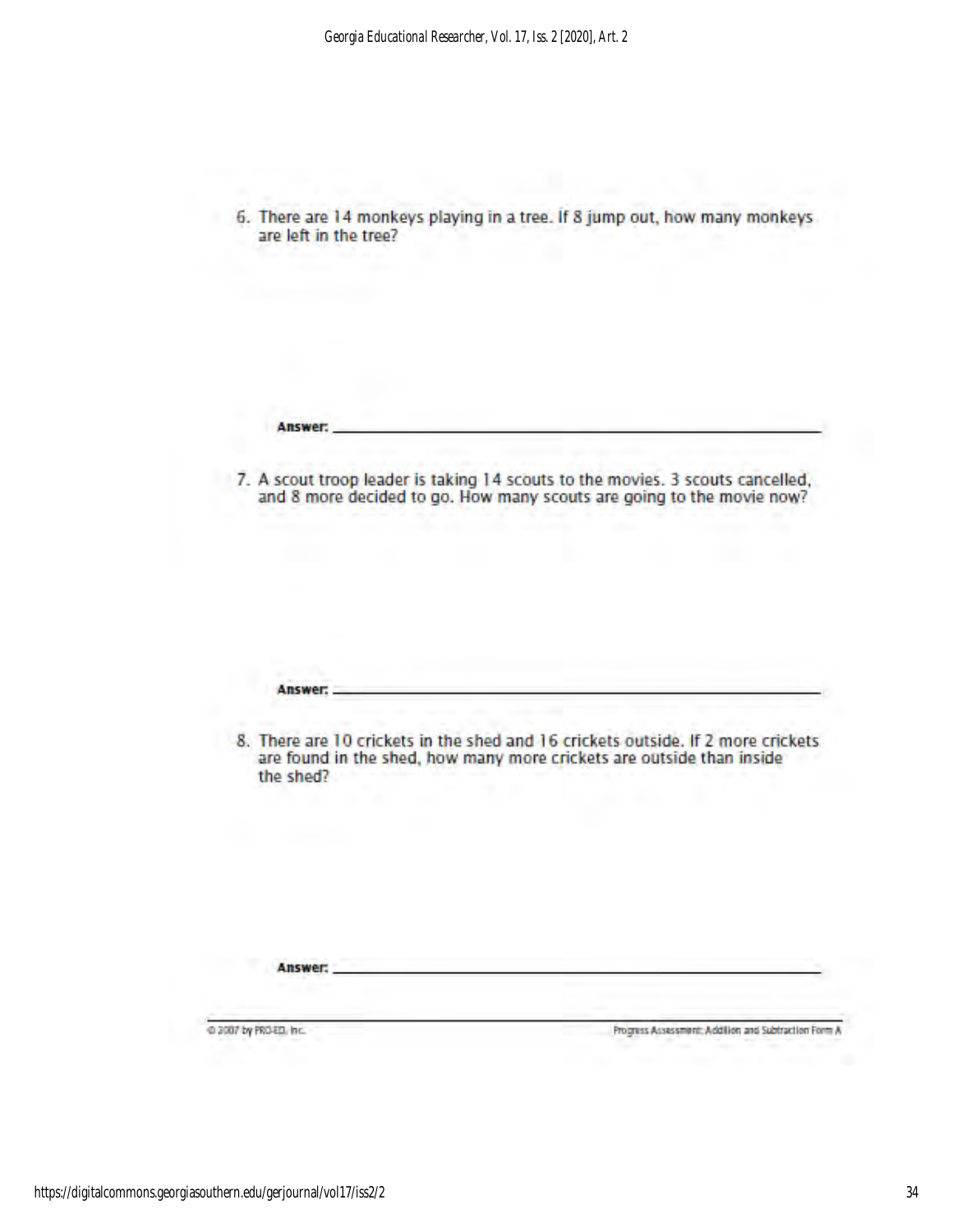6. There are 14 monkeys playing in a tree. If 8 jump out, how many monkeys are left in the tree?

Answer:

7. A scout troop leader is taking 14 scouts to the movies. 3 scouts cancelled, and 8 more decided to go. How many scouts are going to the movie now?

Answer: 8. There are 10 crickets in the shed and 16 crickets outside. If 2 more crickets are found in the shed, how many more crickets are outside than inside the shed? Answer: @ 2007 by PRO-ED, Inc. Progress Assessment: Addition and Subtraction Form A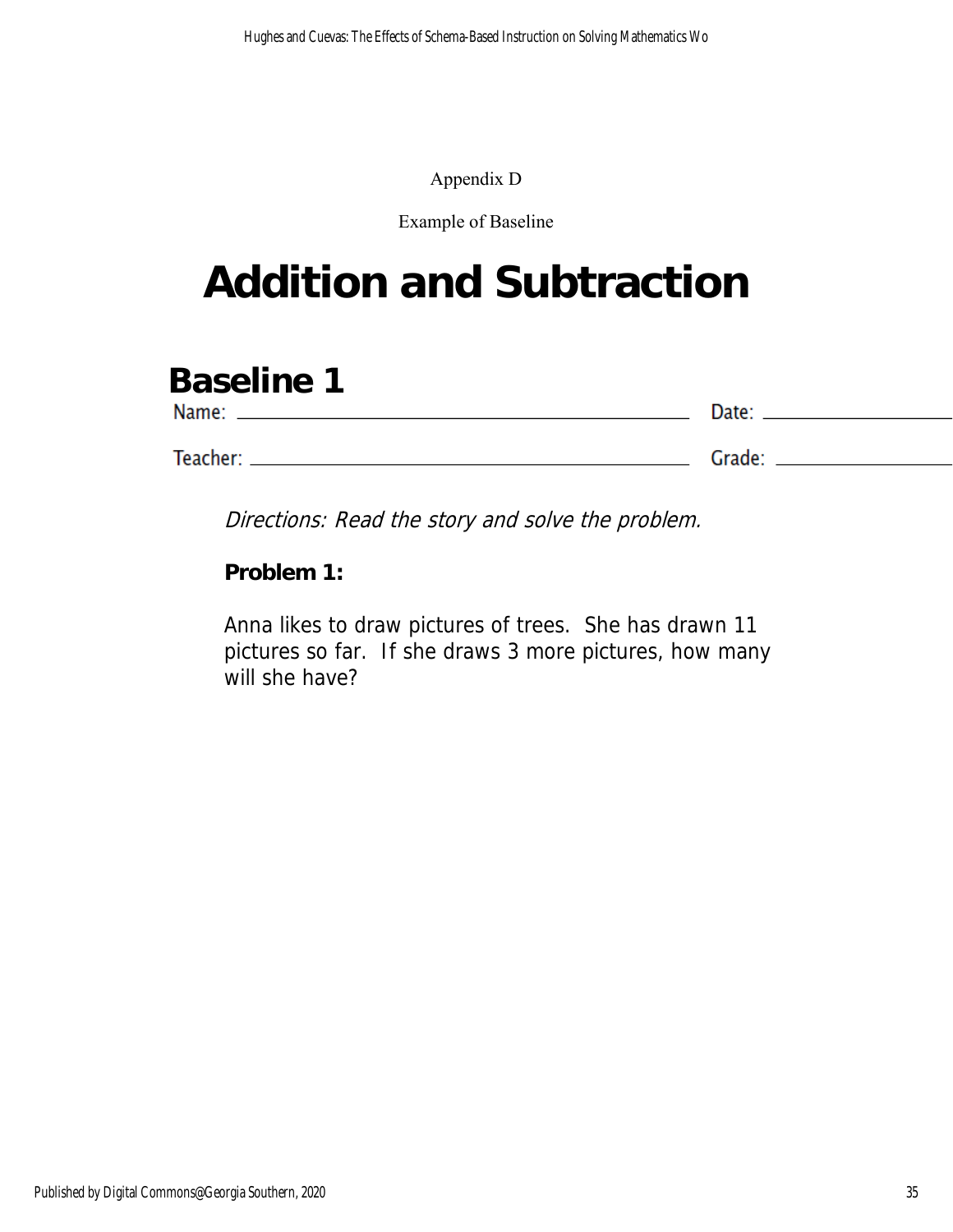## Appendix D

## Example of Baseline

# **Addition and Subtraction**

# **Baseline 1**

| Name:    | Date:  |
|----------|--------|
|          |        |
| Teacher: | Grade: |

Directions: Read the story and solve the problem.

**Problem 1:**

Anna likes to draw pictures of trees. She has drawn 11 pictures so far. If she draws 3 more pictures, how many will she have?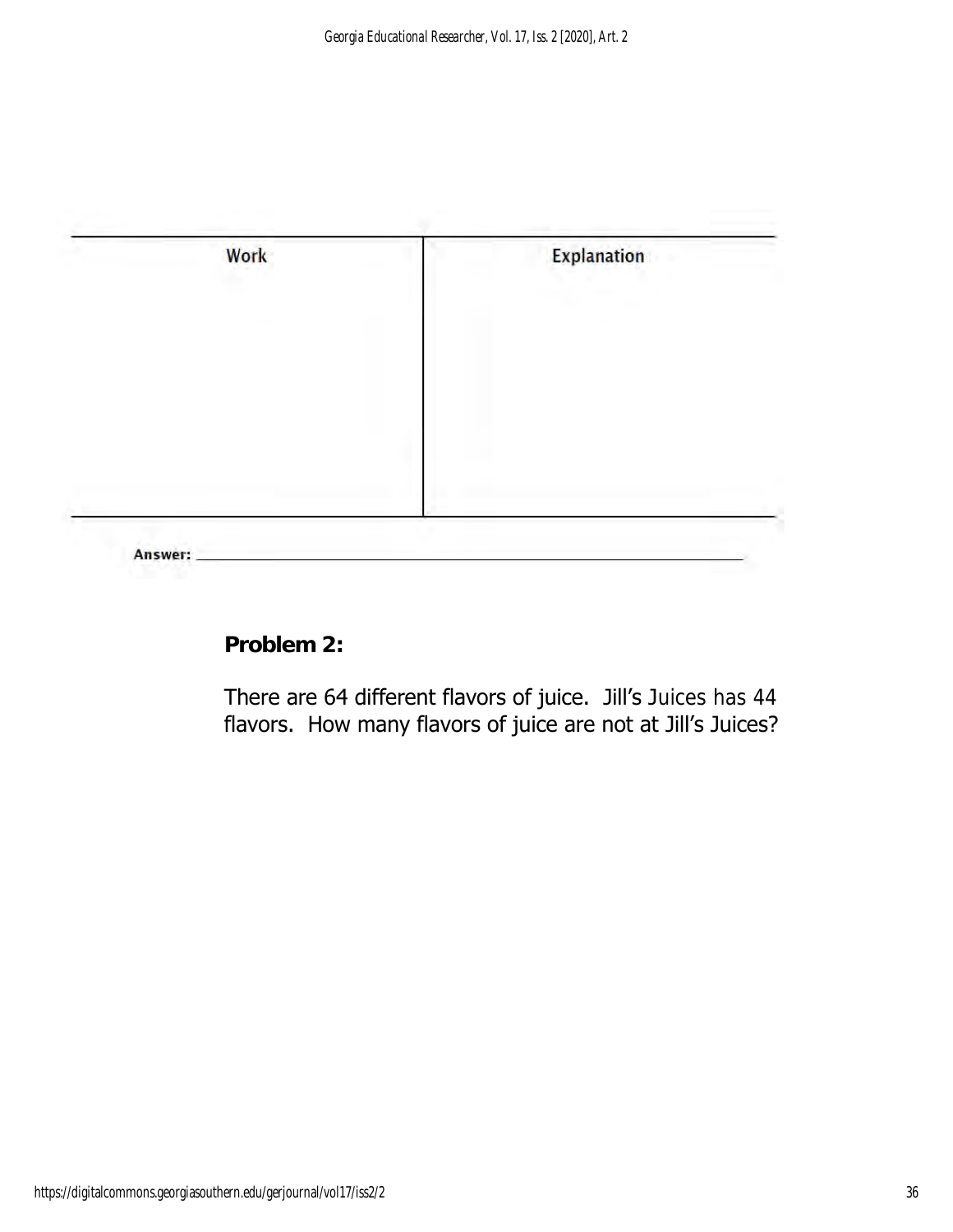

**Problem 2:**

There are 64 different flavors of juice. Jill's Juices has 44 flavors. How many flavors of juice are not at Jill's Juices?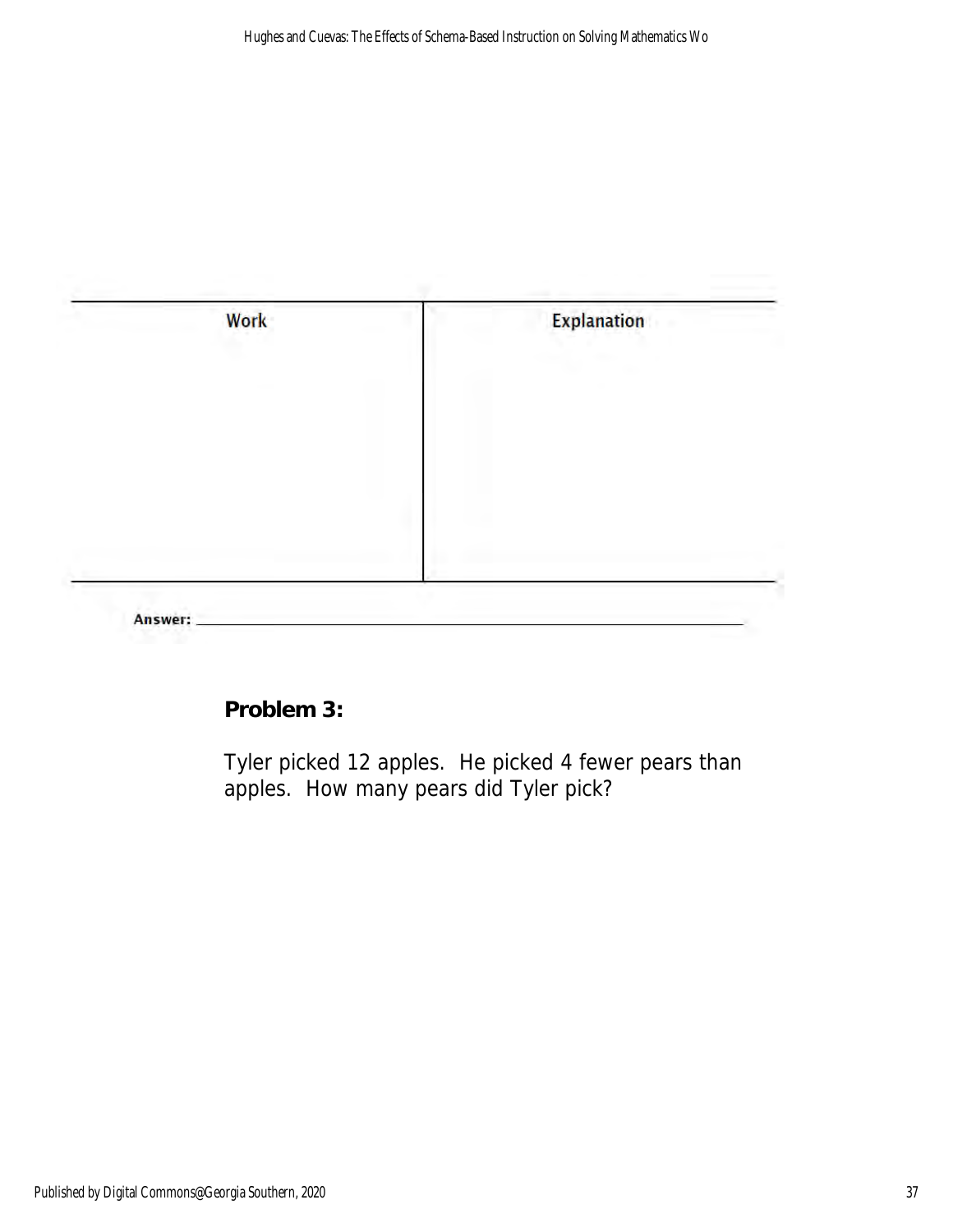

**Problem 3:**

Tyler picked 12 apples. He picked 4 fewer pears than apples. How many pears did Tyler pick?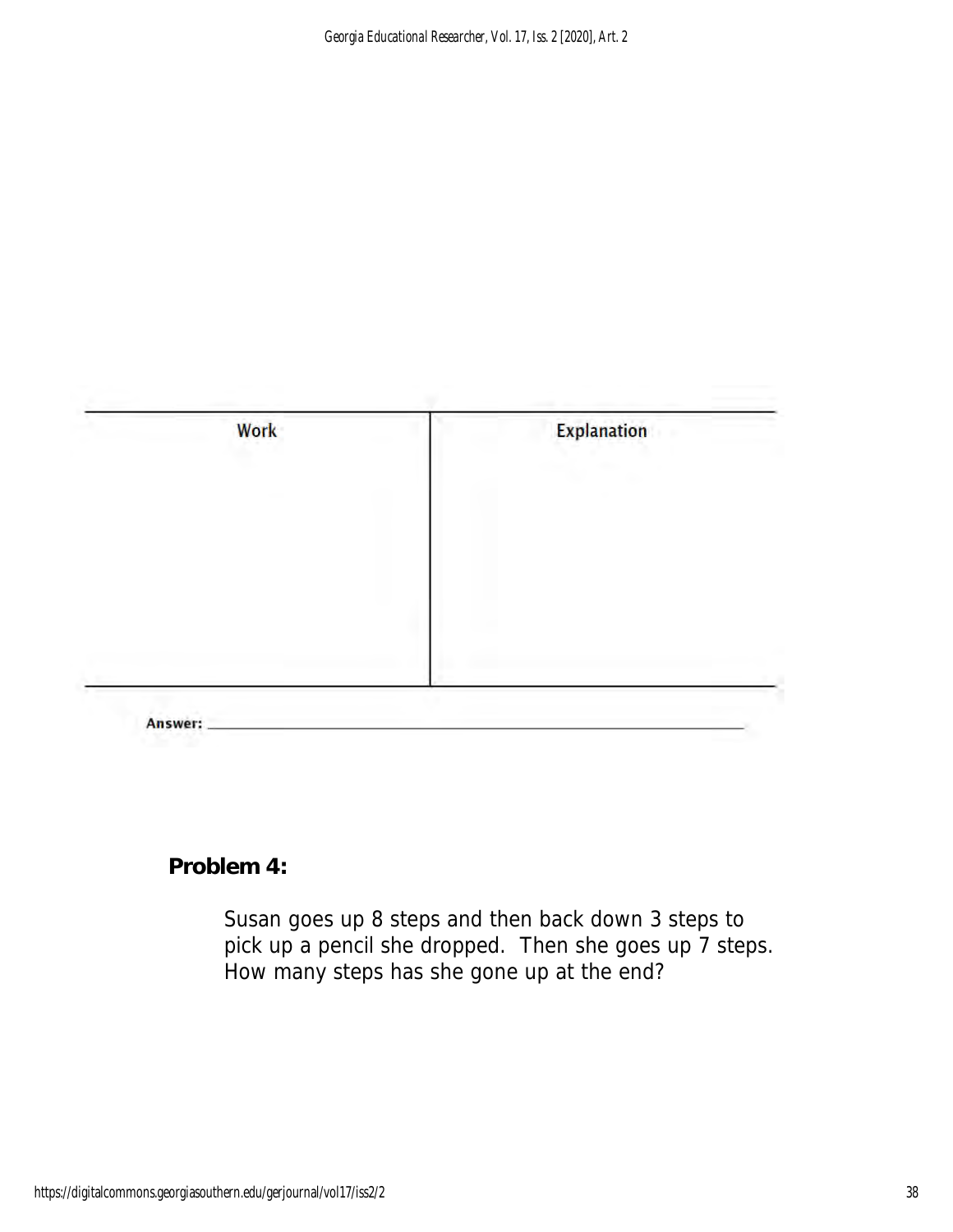

**Problem 4:**

Susan goes up 8 steps and then back down 3 steps to pick up a pencil she dropped. Then she goes up 7 steps. How many steps has she gone up at the end?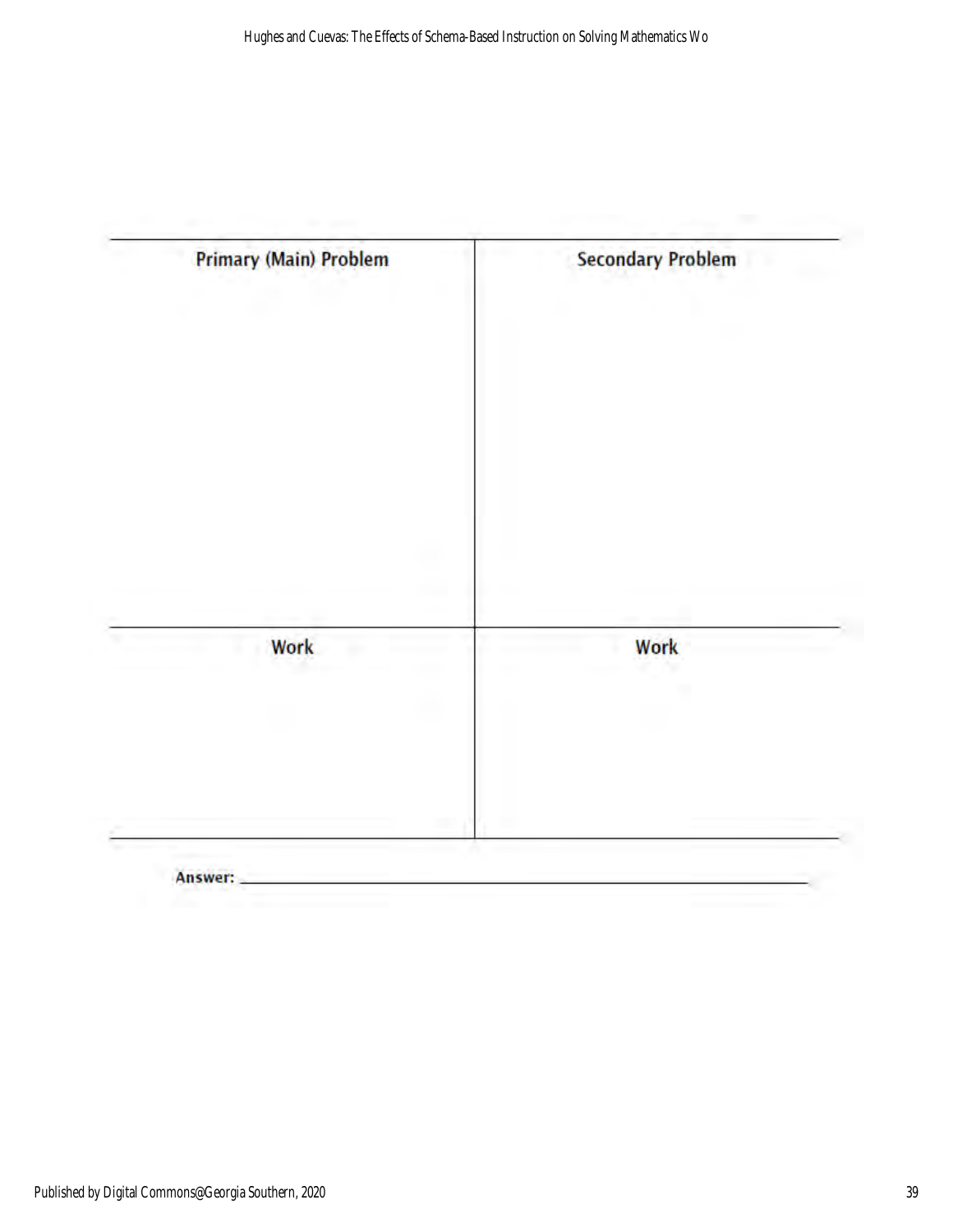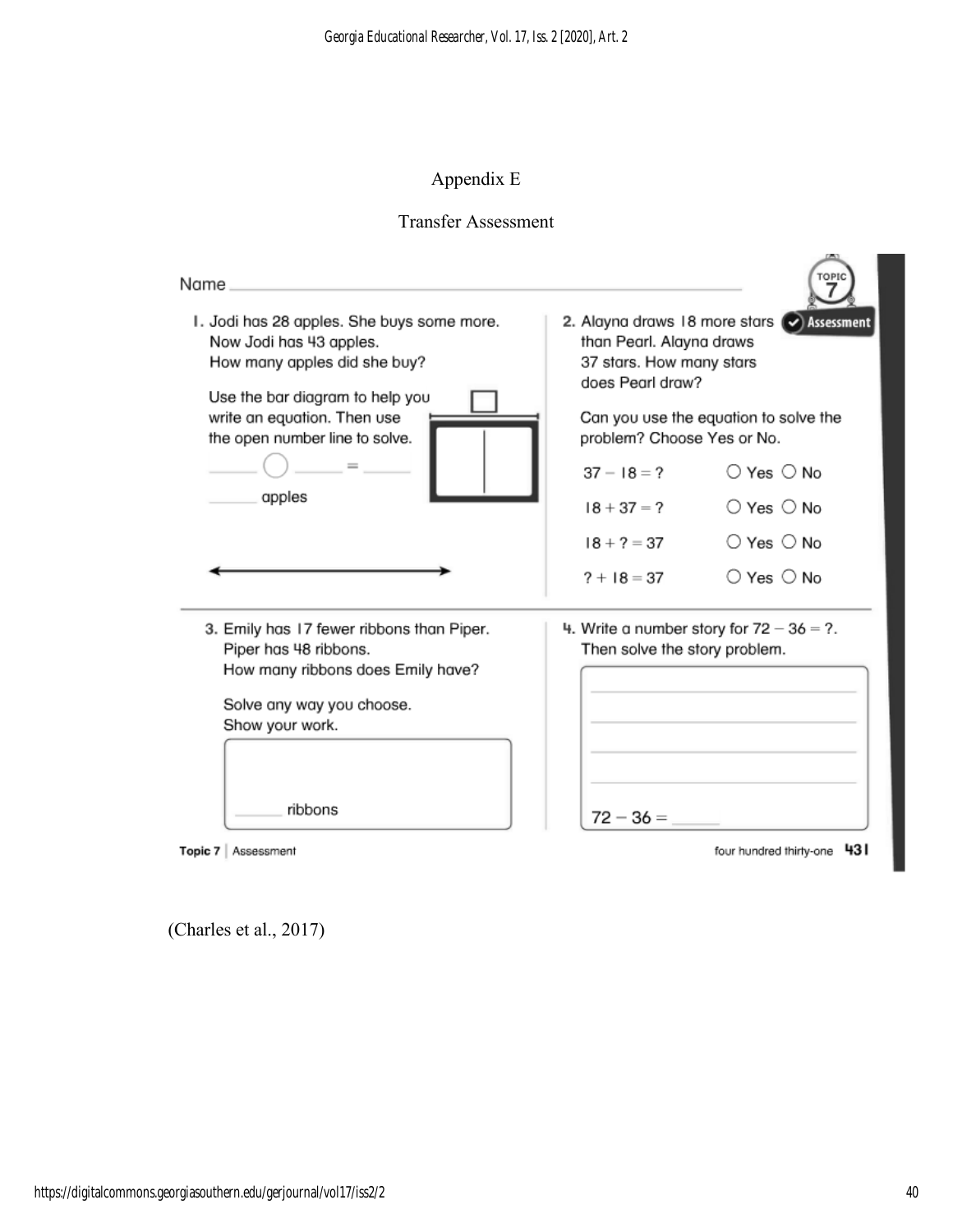# Appendix E

## Transfer Assessment

| Name.                                                                                                                                                                                                               |                                                                                                                                                                                                |                                             |  |
|---------------------------------------------------------------------------------------------------------------------------------------------------------------------------------------------------------------------|------------------------------------------------------------------------------------------------------------------------------------------------------------------------------------------------|---------------------------------------------|--|
| I. Jodi has 28 apples. She buys some more.<br>Now Jodi has 43 apples.<br>How many apples did she buy?<br>Use the bar diagram to help you<br>write an equation. Then use<br>the open number line to solve.<br>apples | 2. Alayna draws 18 more stars<br>Assessment<br>than Pearl. Alayna draws<br>37 stars. How many stars<br>does Pearl draw?<br>Can you use the equation to solve the<br>problem? Choose Yes or No. |                                             |  |
|                                                                                                                                                                                                                     | $37 - 18 = ?$                                                                                                                                                                                  | $\bigcirc$ Yes $\bigcirc$ No                |  |
|                                                                                                                                                                                                                     | $18 + 37 = ?$                                                                                                                                                                                  | $\bigcirc$ Yes $\bigcirc$ No                |  |
|                                                                                                                                                                                                                     | $18 + 7 = 37$                                                                                                                                                                                  | $\bigcirc$ Yes $\bigcirc$ No                |  |
|                                                                                                                                                                                                                     | $? + 18 = 37$                                                                                                                                                                                  | $\bigcirc$ Yes $\bigcirc$ No                |  |
| 3. Emily has 17 fewer ribbons than Piper.<br>Piper has 48 ribbons.<br>How many ribbons does Emily have?<br>Solve any way you choose.<br>Show your work.                                                             | Then solve the story problem.                                                                                                                                                                  | 4. Write a number story for $72 - 36 = ?$ . |  |
| ribbons                                                                                                                                                                                                             | $72 - 36 =$                                                                                                                                                                                    |                                             |  |

Topic 7 | Assessment

four hundred thirty-one 43

(Charles et al., 2017)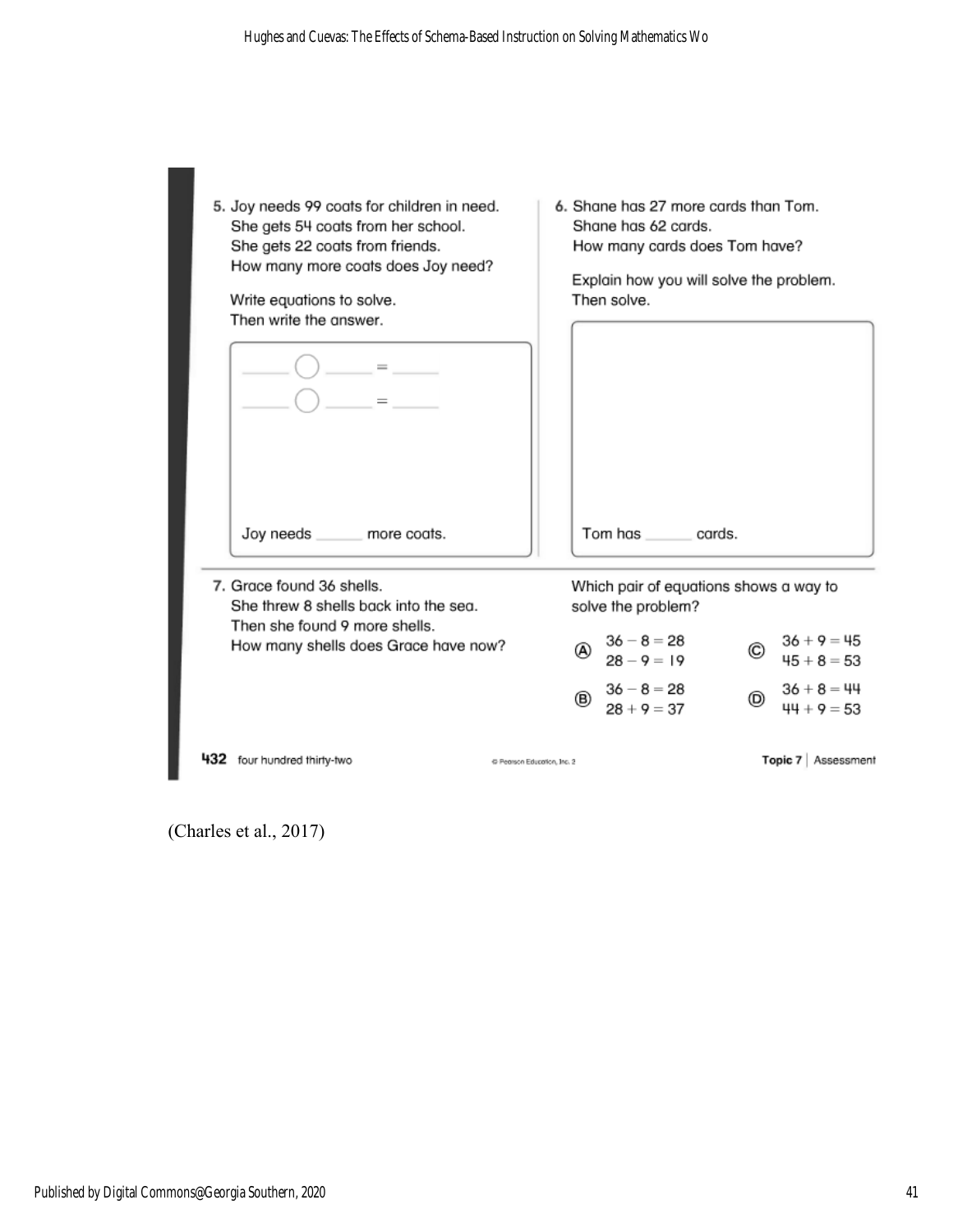| 5. Joy needs 99 coats for children in need.<br>She gets 54 coats from her school.<br>She gets 22 coats from friends.<br>How many more coats does Joy need?<br>Write equations to solve.<br>Then write the answer.<br>Joy needs ______ more coats. | 6. Shane has 27 more cards than Tom.<br>Shane has 62 cards.<br>How many cards does Tom have?<br>Explain how you will solve the problem.<br>Then solve.<br>Tom has cards. |                                       |
|---------------------------------------------------------------------------------------------------------------------------------------------------------------------------------------------------------------------------------------------------|--------------------------------------------------------------------------------------------------------------------------------------------------------------------------|---------------------------------------|
| 7. Grace found 36 shells.<br>She threw 8 shells back into the sea.                                                                                                                                                                                | Which pair of equations shows a way to<br>solve the problem?                                                                                                             |                                       |
| Then she found 9 more shells.<br>How many shells does Grace have now?                                                                                                                                                                             | $36 - 8 = 28$<br>A)<br>$28 - 9 = 19$                                                                                                                                     | $36 + 9 = 45$<br>C)<br>$45 + 8 = 53$  |
|                                                                                                                                                                                                                                                   | $36 - 8 = 28$<br>®<br>$28 + 9 = 37$                                                                                                                                      | $36 + 8 = 44$<br>(D)<br>$44 + 9 = 53$ |
| 432 four hundred thirty-two                                                                                                                                                                                                                       | C Pearson Education, Inc. 2                                                                                                                                              | Topic 7   Assessment                  |

(Charles et al., 2017)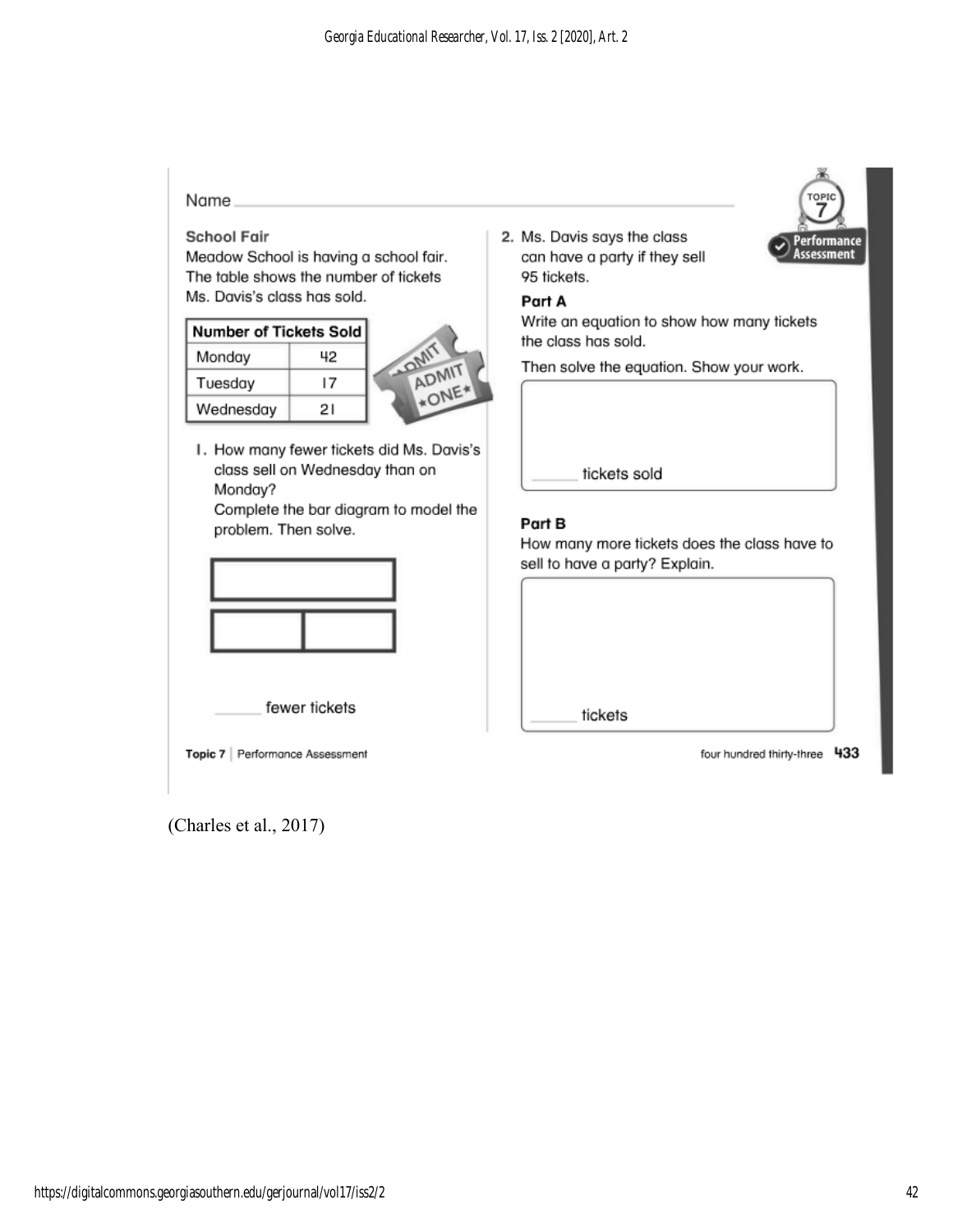#### Name

#### **School Fair**

Meadow School is having a school fair. The table shows the number of tickets Ms. Davis's class has sold.

| Number of Tickets Sol |    |
|-----------------------|----|
| Monday                | 42 |
| Tuesday               | 17 |
| Wednesday             | 21 |



I. How many fewer tickets did Ms. Davis's class sell on Wednesday than on Monday?

Complete the bar diagram to model the problem. Then solve.



fewer tickets

Topic 7 | Performance Assessment

(Charles et al., 2017)

2. Ms. Davis says the class can have a party if they sell 95 tickets.

#### Part A

Write an equation to show how many tickets the class has sold.

Then solve the equation. Show your work.

tickets sold

#### Part B

How many more tickets does the class have to sell to have a party? Explain.

tickets

four hundred thirty-three 433

erformance Assessment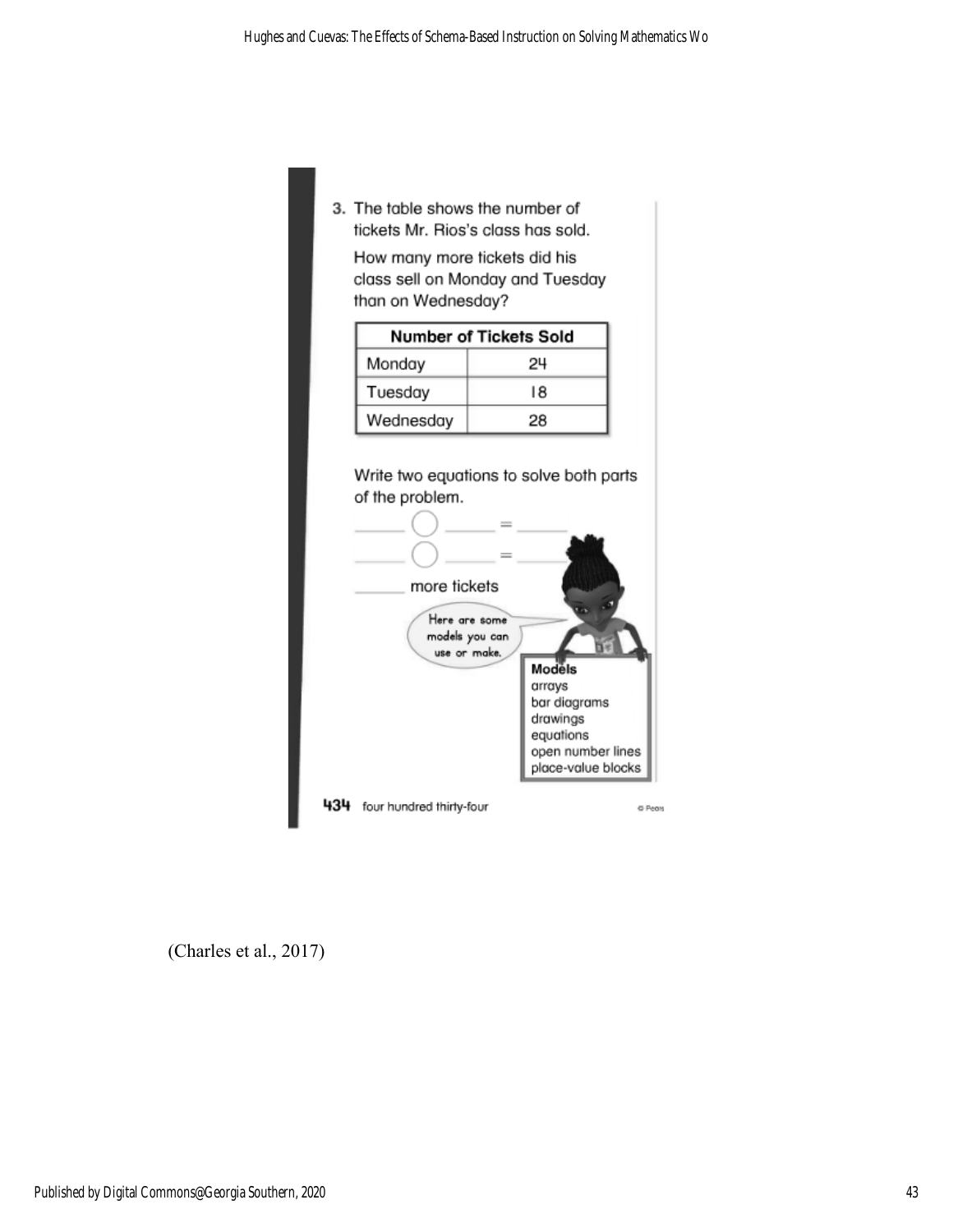3. The table shows the number of tickets Mr. Rios's class has sold.

How many more tickets did his class sell on Monday and Tuesday than on Wednesday?

| Number of Tickets Sold |    |  |  |  |
|------------------------|----|--|--|--|
| Monday<br>24           |    |  |  |  |
| Tuesday                | 18 |  |  |  |
| Wednesday              | 28 |  |  |  |



(Charles et al., 2017)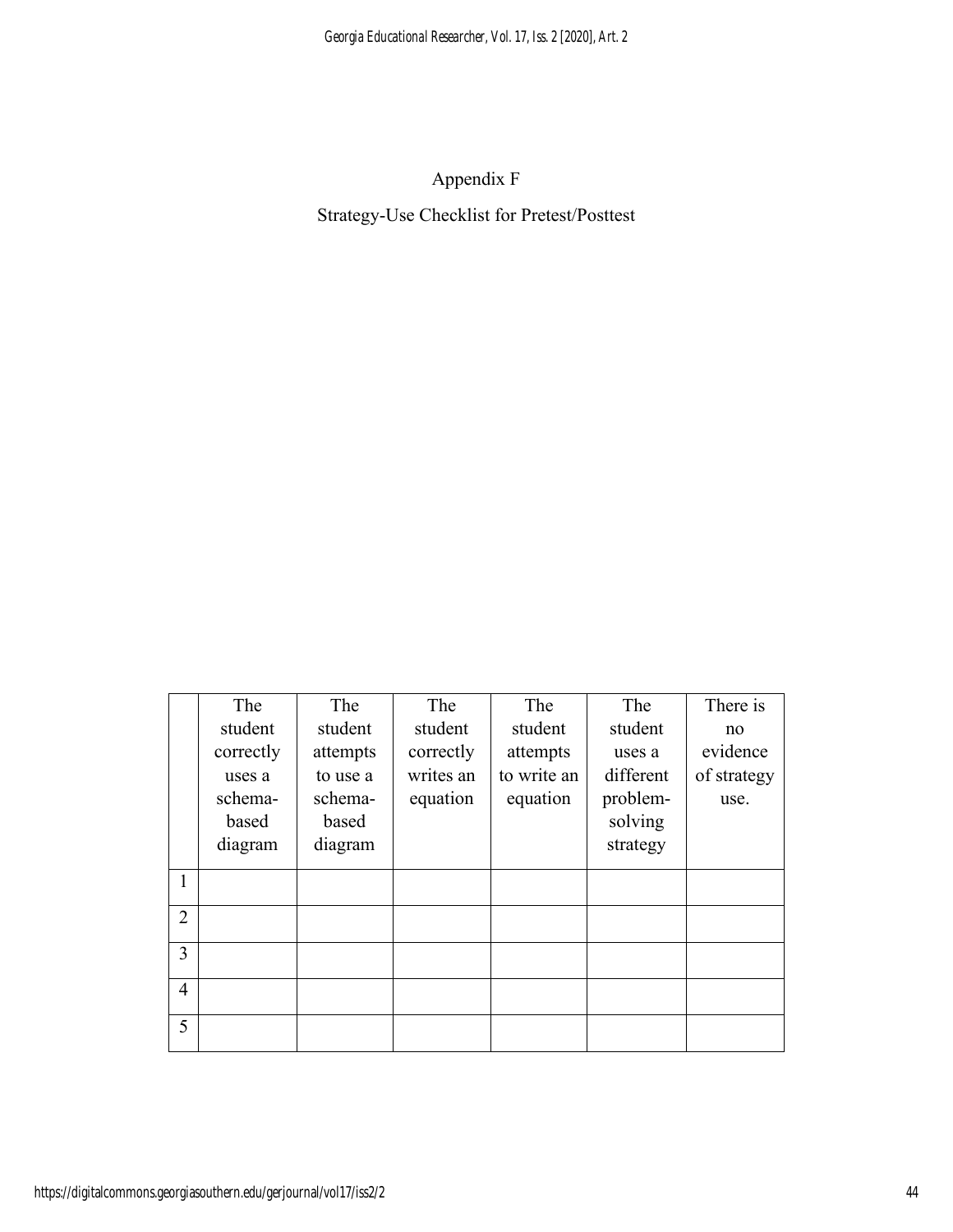Appendix F Strategy-Use Checklist for Pretest/Posttest

|                | The       | The      | The       | The         | The       | There is    |
|----------------|-----------|----------|-----------|-------------|-----------|-------------|
|                | student   | student  | student   | student     | student   | no          |
|                | correctly | attempts | correctly | attempts    | uses a    | evidence    |
|                | uses a    | to use a | writes an | to write an | different | of strategy |
|                | schema-   | schema-  | equation  | equation    | problem-  | use.        |
|                | based     | based    |           |             | solving   |             |
|                | diagram   | diagram  |           |             | strategy  |             |
| 1              |           |          |           |             |           |             |
|                |           |          |           |             |           |             |
| $\overline{2}$ |           |          |           |             |           |             |
|                |           |          |           |             |           |             |
| $\overline{3}$ |           |          |           |             |           |             |
| 4              |           |          |           |             |           |             |
|                |           |          |           |             |           |             |
| 5              |           |          |           |             |           |             |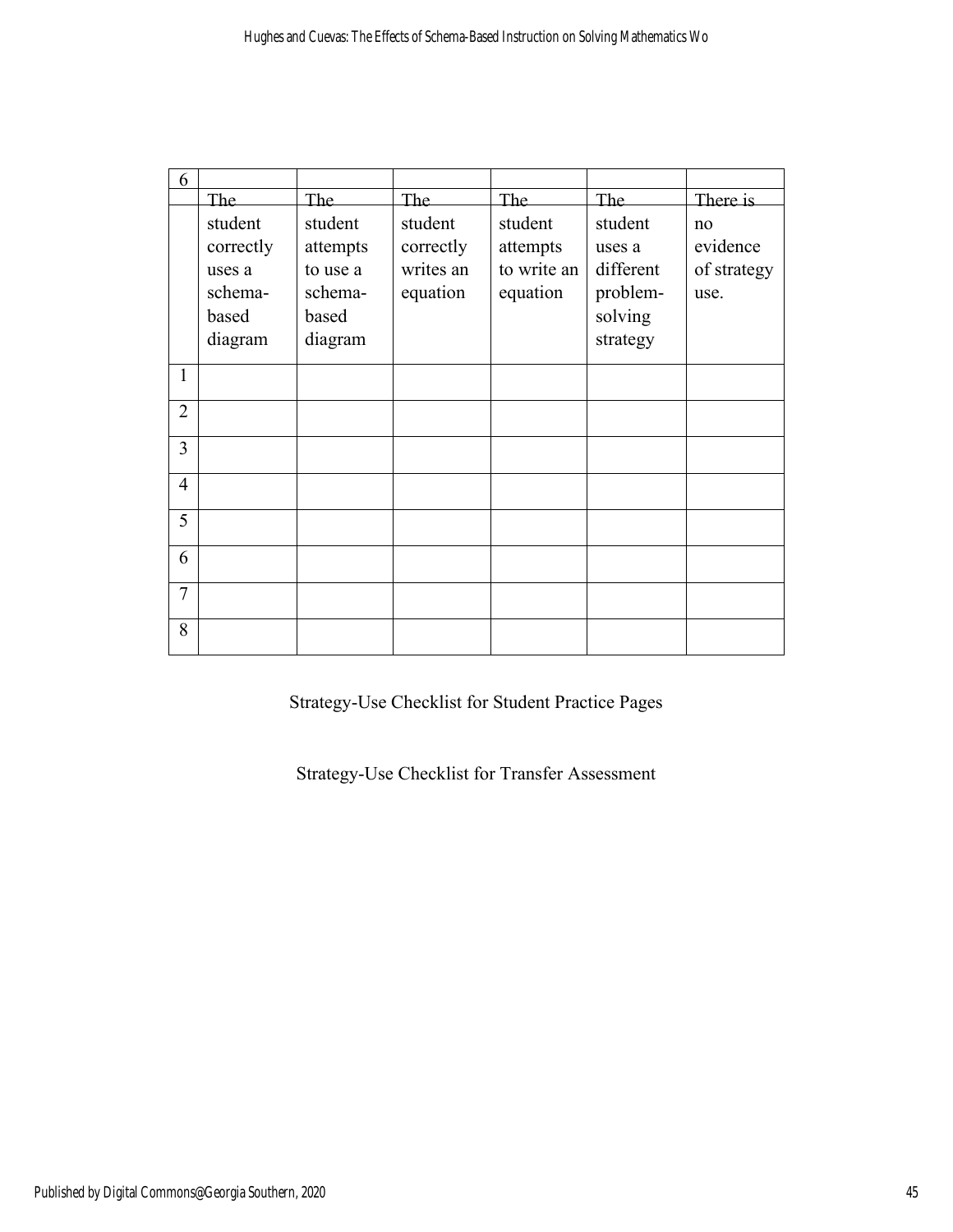| 6              |                                                               |                                                                |                                               |                                                |                                                                   |                                       |
|----------------|---------------------------------------------------------------|----------------------------------------------------------------|-----------------------------------------------|------------------------------------------------|-------------------------------------------------------------------|---------------------------------------|
|                | The                                                           | The                                                            | The                                           | The                                            | <b>The</b>                                                        | There is                              |
|                | student<br>correctly<br>uses a<br>schema-<br>based<br>diagram | student<br>attempts<br>to use a<br>schema-<br>based<br>diagram | student<br>correctly<br>writes an<br>equation | student<br>attempts<br>to write an<br>equation | student<br>uses a<br>different<br>problem-<br>solving<br>strategy | no<br>evidence<br>of strategy<br>use. |
| 1              |                                                               |                                                                |                                               |                                                |                                                                   |                                       |
| $\overline{2}$ |                                                               |                                                                |                                               |                                                |                                                                   |                                       |
| $\overline{3}$ |                                                               |                                                                |                                               |                                                |                                                                   |                                       |
| $\overline{4}$ |                                                               |                                                                |                                               |                                                |                                                                   |                                       |
| 5              |                                                               |                                                                |                                               |                                                |                                                                   |                                       |
| 6              |                                                               |                                                                |                                               |                                                |                                                                   |                                       |
| $\overline{7}$ |                                                               |                                                                |                                               |                                                |                                                                   |                                       |
| 8              |                                                               |                                                                |                                               |                                                |                                                                   |                                       |

Strategy-Use Checklist for Student Practice Pages

Strategy-Use Checklist for Transfer Assessment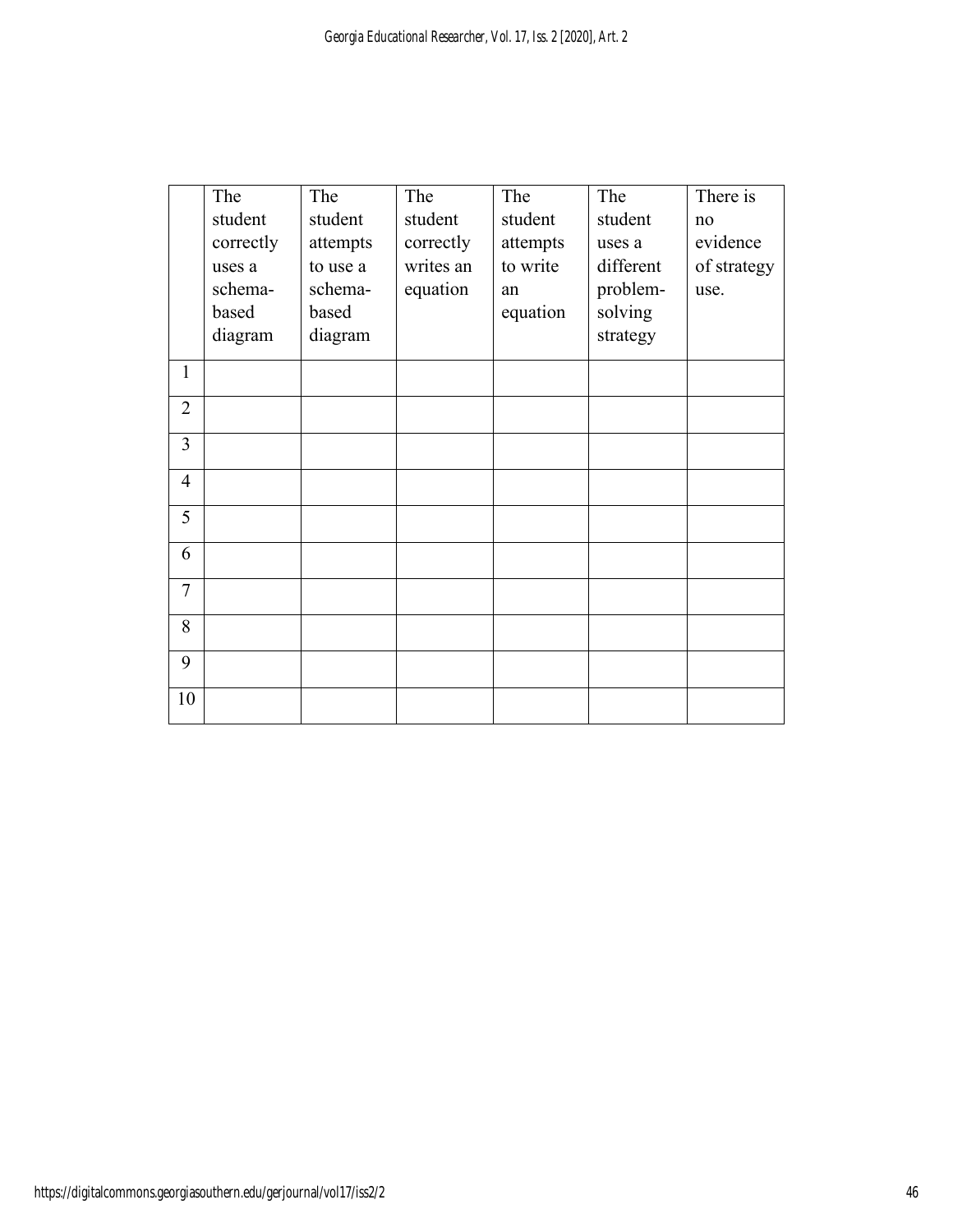|                | The       | The      | The       | The      | The       | There is    |
|----------------|-----------|----------|-----------|----------|-----------|-------------|
|                | student   | student  | student   | student  | student   | no          |
|                | correctly | attempts | correctly | attempts | uses a    | evidence    |
|                | uses a    | to use a | writes an | to write | different | of strategy |
|                | schema-   | schema-  | equation  | an       | problem-  | use.        |
|                | based     | based    |           | equation | solving   |             |
|                | diagram   | diagram  |           |          | strategy  |             |
| $\mathbf{1}$   |           |          |           |          |           |             |
| $\overline{2}$ |           |          |           |          |           |             |
| $\overline{3}$ |           |          |           |          |           |             |
| $\overline{4}$ |           |          |           |          |           |             |
| 5              |           |          |           |          |           |             |
| 6              |           |          |           |          |           |             |
| $\overline{7}$ |           |          |           |          |           |             |
| 8              |           |          |           |          |           |             |
| 9              |           |          |           |          |           |             |
| 10             |           |          |           |          |           |             |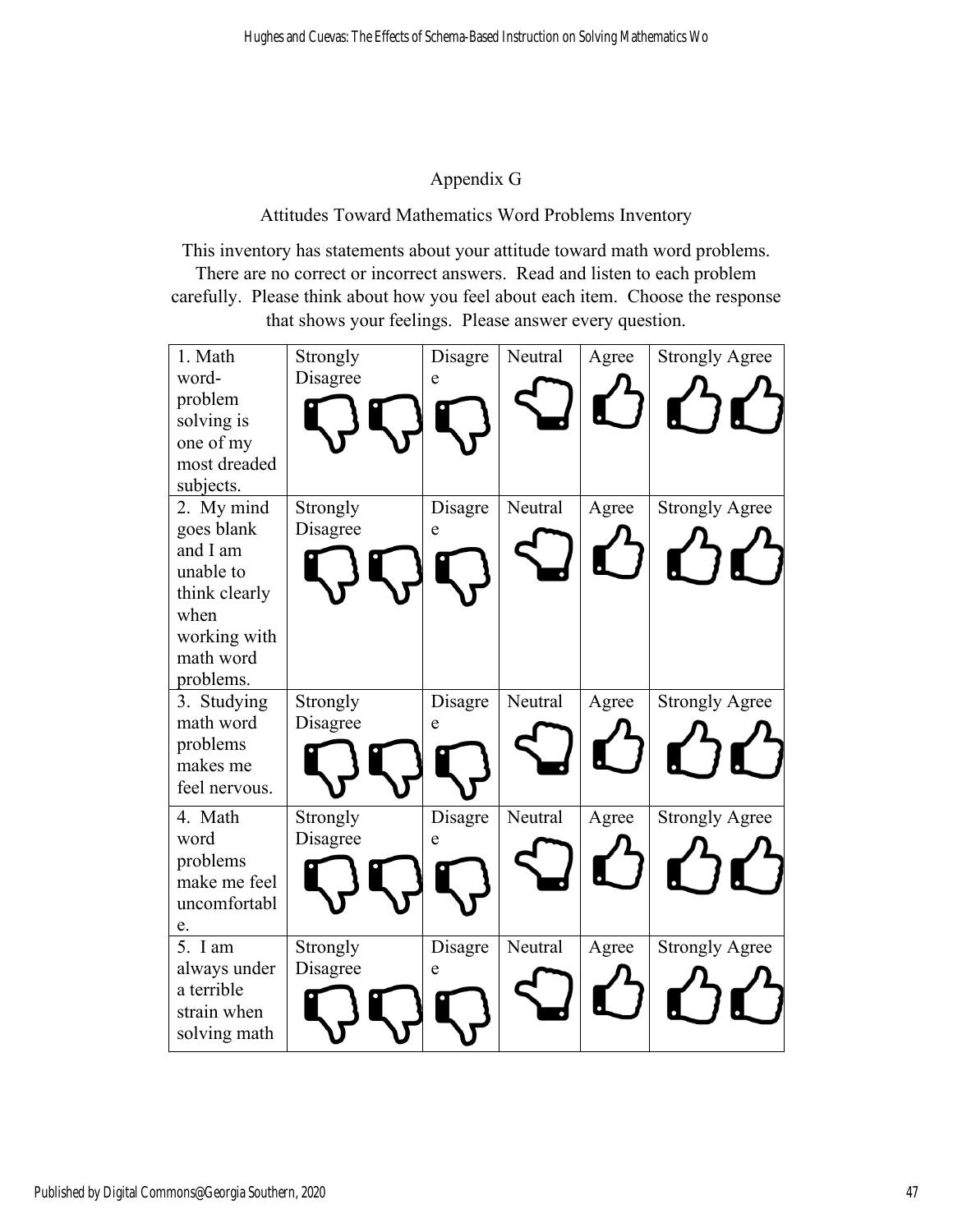## Appendix G

Attitudes Toward Mathematics Word Problems Inventory

This inventory has statements about your attitude toward math word problems. There are no correct or incorrect answers. Read and listen to each problem carefully. Please think about how you feel about each item. Choose the response that shows your feelings. Please answer every question.

| 1. Math<br>word-<br>problem<br>solving is<br>one of my<br>most dreaded<br>subjects.                                  | Strongly<br>Disagree | Disagre<br>e         | Neutral | Agree | <b>Strongly Agree</b> |
|----------------------------------------------------------------------------------------------------------------------|----------------------|----------------------|---------|-------|-----------------------|
| 2. My mind<br>goes blank<br>and I am<br>unable to<br>think clearly<br>when<br>working with<br>math word<br>problems. | Strongly<br>Disagree | Disagre<br>${\bf e}$ | Neutral | Agree | <b>Strongly Agree</b> |
| 3. Studying<br>math word<br>problems<br>makes me<br>feel nervous.                                                    | Strongly<br>Disagree | Disagre<br>e         | Neutral | Agree | <b>Strongly Agree</b> |
| 4. Math<br>word<br>problems<br>make me feel<br>uncomfortabl<br>e.                                                    | Strongly<br>Disagree | Disagre<br>e         | Neutral | Agree | <b>Strongly Agree</b> |
| 5. I am<br>always under<br>a terrible<br>strain when<br>solving math                                                 | Strongly<br>Disagree | Disagre<br>e         | Neutral | Agree | <b>Strongly Agree</b> |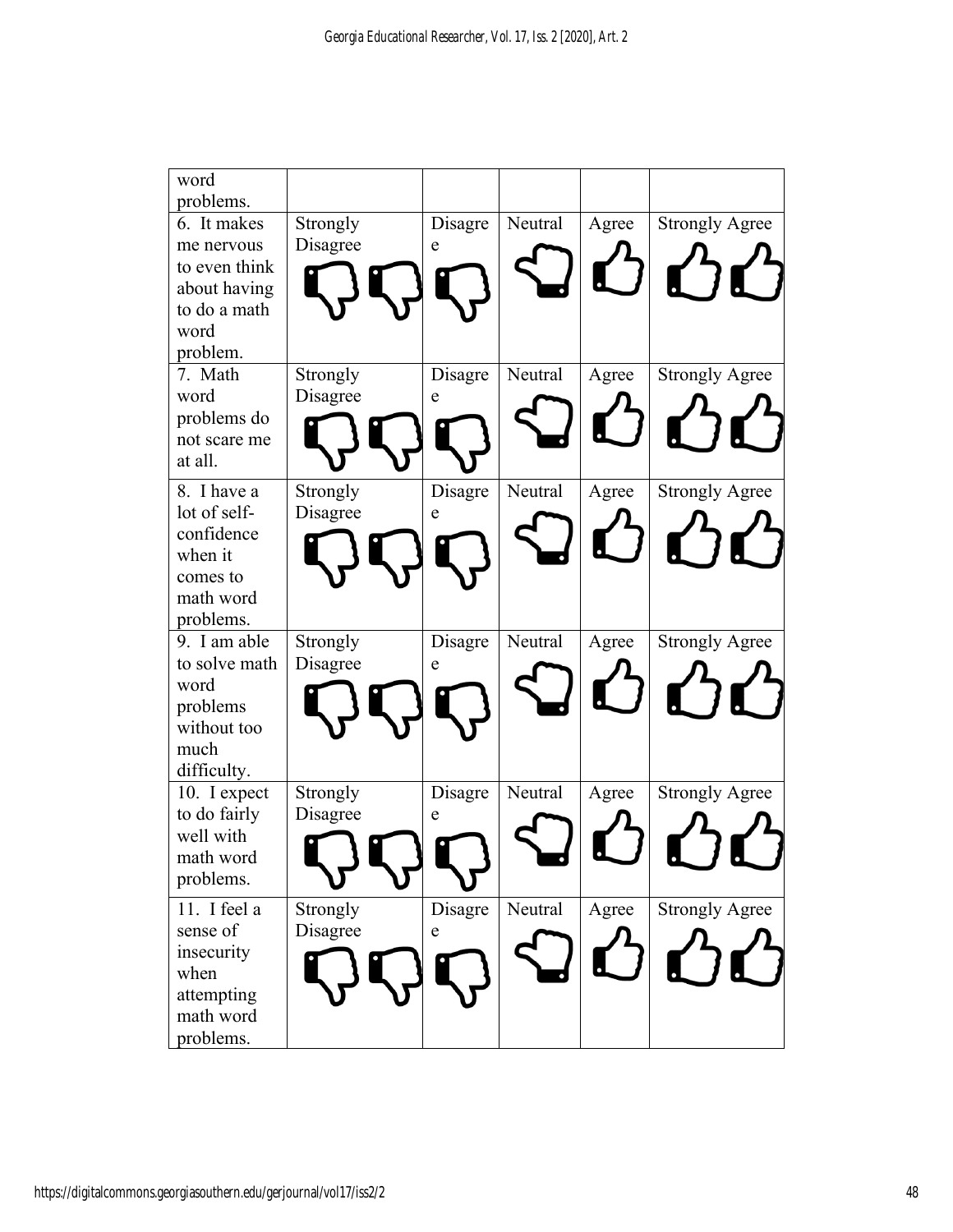| word                        |                      |             |         |       |                       |
|-----------------------------|----------------------|-------------|---------|-------|-----------------------|
| problems.<br>6. It makes    |                      |             | Neutral |       |                       |
|                             | Strongly             | Disagre     |         | Agree | <b>Strongly Agree</b> |
| me nervous<br>to even think | Disagree             | e           |         |       |                       |
| about having                |                      |             |         |       |                       |
| to do a math                |                      |             |         |       |                       |
| word                        |                      |             |         |       |                       |
| problem.                    |                      |             |         |       |                       |
| 7. Math                     | Strongly             | Disagre     | Neutral | Agree | <b>Strongly Agree</b> |
| word                        | Disagree             | e           |         |       |                       |
| problems do                 |                      |             |         |       |                       |
| not scare me                |                      |             |         |       |                       |
| at all.                     |                      |             |         |       |                       |
| 8. I have a                 | Strongly             | Disagre     | Neutral | Agree | <b>Strongly Agree</b> |
| lot of self-                | Disagree             | e           |         |       |                       |
| confidence                  |                      |             |         |       |                       |
| when it                     |                      |             |         |       |                       |
| comes to                    |                      |             |         |       |                       |
| math word                   |                      |             |         |       |                       |
| problems.                   |                      |             |         |       |                       |
| 9. I am able                | Strongly             | Disagre     | Neutral | Agree | <b>Strongly Agree</b> |
| to solve math               | Disagree             | e           |         |       |                       |
| word                        |                      |             |         |       |                       |
| problems                    |                      |             |         |       |                       |
| without too                 |                      |             |         |       |                       |
| much                        |                      |             |         |       |                       |
| difficulty.                 |                      |             |         |       |                       |
| 10. I expect                | Strongly<br>Disagree | Disagre     | Neutral | Agree | <b>Strongly Agree</b> |
| to do fairly<br>well with   |                      | $\mathbf e$ |         |       |                       |
| math word                   |                      |             |         |       |                       |
| problems.                   |                      |             |         |       |                       |
|                             |                      |             |         |       |                       |
| 11. I feel a                | Strongly             | Disagre     | Neutral | Agree | <b>Strongly Agree</b> |
| sense of                    | Disagree             | e           |         |       |                       |
| insecurity                  |                      |             |         |       |                       |
| when                        |                      |             |         |       |                       |
| attempting<br>math word     |                      |             |         |       |                       |
|                             |                      |             |         |       |                       |
| problems.                   |                      |             |         |       |                       |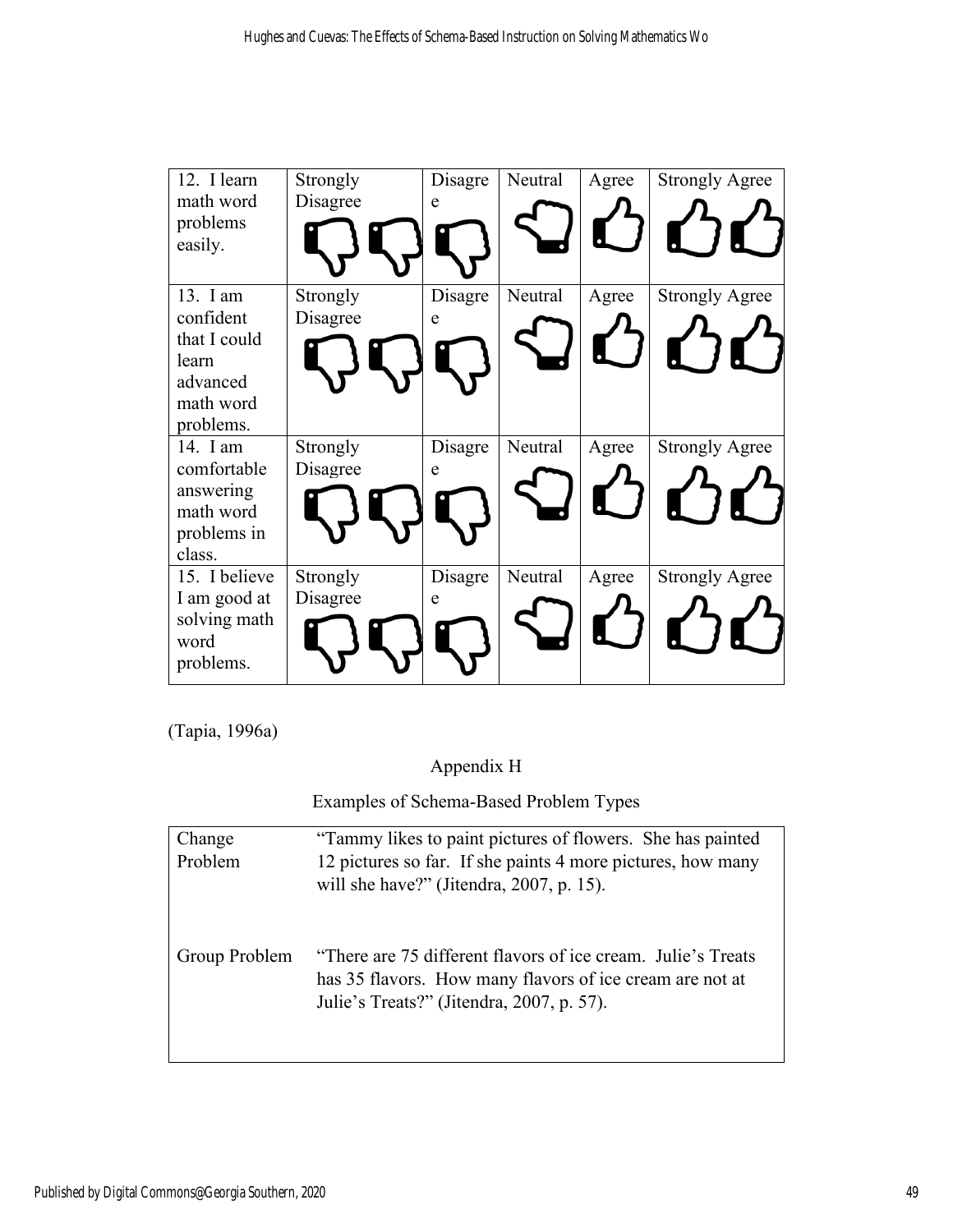| 12. I learn             | Strongly | Disagre | Neutral | Agree | <b>Strongly Agree</b> |
|-------------------------|----------|---------|---------|-------|-----------------------|
| math word               | Disagree | e       |         |       |                       |
| problems                |          |         |         |       |                       |
| easily.                 |          |         |         |       |                       |
|                         |          |         |         |       |                       |
| 13. I am                | Strongly | Disagre | Neutral | Agree | <b>Strongly Agree</b> |
| confident               | Disagree | e       |         |       |                       |
| that I could            |          |         |         |       |                       |
| learn                   |          |         |         |       |                       |
| advanced                |          |         |         |       |                       |
| math word               |          |         |         |       |                       |
| problems.               |          |         |         |       |                       |
| 14. I am                | Strongly | Disagre | Neutral | Agree | <b>Strongly Agree</b> |
| comfortable             | Disagree | e       |         |       |                       |
| answering               |          |         |         |       |                       |
| math word               |          |         |         |       |                       |
| problems in             |          |         |         |       |                       |
| class.<br>15. I believe |          |         |         |       |                       |
|                         | Strongly | Disagre | Neutral | Agree | <b>Strongly Agree</b> |
| I am good at            | Disagree | e       |         |       |                       |
| solving math<br>word    |          |         |         |       |                       |
| problems.               |          |         |         |       |                       |
|                         |          |         |         |       |                       |

(Tapia, 1996a)

Appendix H

Examples of Schema-Based Problem Types

| Change        | "Tammy likes to paint pictures of flowers. She has painted                                                                                                            |
|---------------|-----------------------------------------------------------------------------------------------------------------------------------------------------------------------|
| Problem       | 12 pictures so far. If she paints 4 more pictures, how many<br>will she have?" (Jitendra, 2007, p. 15).                                                               |
| Group Problem | "There are 75 different flavors of ice cream. Julie's Treats<br>has 35 flavors. How many flavors of ice cream are not at<br>Julie's Treats?" (Jitendra, 2007, p. 57). |